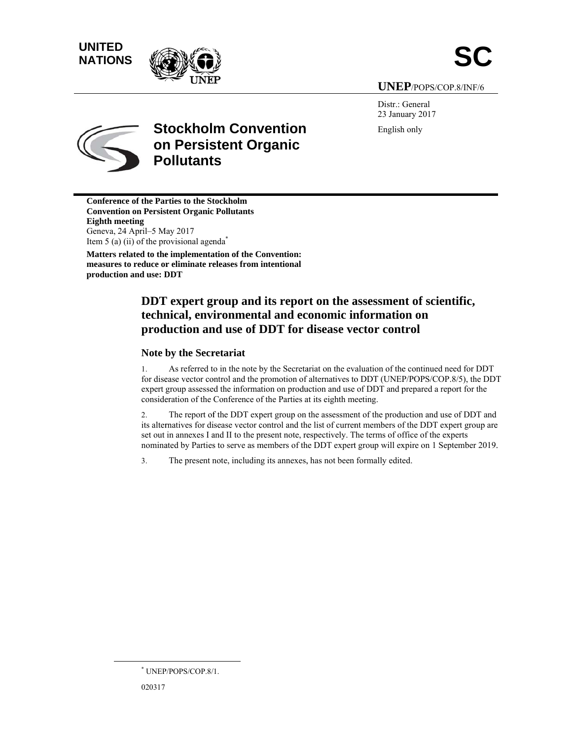# **UNITED** UNITED<br>NATIONS





**UNE EP**/POPS/CO P.8/INF/6

Distr.: General 23 Janu uary 2017 English h only



# **Stockholm Convention on Persistent Organic Pollutants**

**Conference of the Parties to the Stockholm Convention on Persistent Organic Pollutants Eighth m meeting**  Geneva, 2 24 April–5 M May 2017 Item 5 (a) (ii) of the provisional agenda<sup>\*</sup> **Matters related to the implementation of the Convention:** measures to reduce or eliminate releases from intentional **producti on and use: D DDT**

# **DDT** expert group and its report on the assessment of scientific, **technical, environmental and economic information on** production and use of DDT for disease vector control

### **Note by the Secretariat**

1. for disease vector control and the promotion of alternatives to DDT (UNEP/POPS/COP.8/5), the DDT expert group assessed the information on production and use of DDT and prepared a report for the consideration of the Conference of the Parties at its eighth meeting. As referred to in the note by the Secretariat on the evaluation of the continued need for DDT

2. its alternatives for disease vector control and the list of current members of the DDT expert group are set out in annexes I and II to the present note, respectively. The terms of office of the experts nominated by Parties to serve as members of the DDT expert group will expire on 1 September 2019. The report of the DDT expert group on the assessment of the production and use of DDT and )T<br>d<br>e<br>).

3. The present note, including its annexes, has not been formally edited.

 $\overline{a}$ 

 $\overline{a}$ 

 $\overline{a}$ 

 <sup>\*</sup> UNEP/POPS/COP.8/1.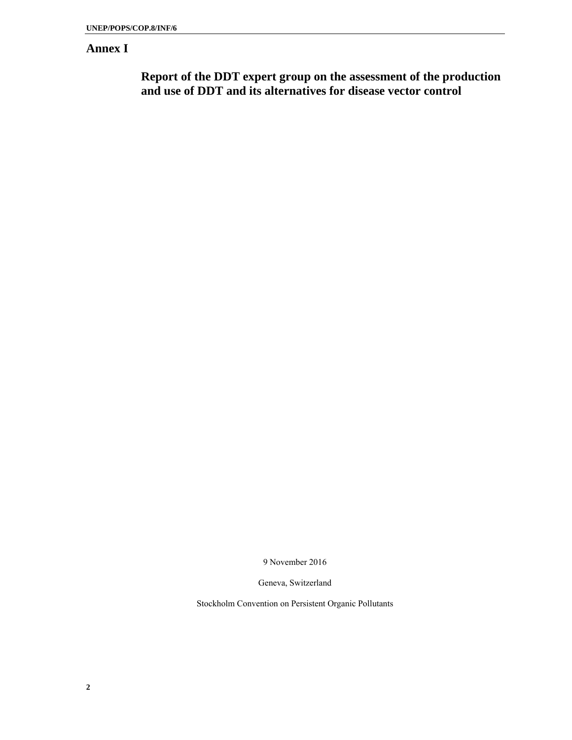# **Annex I**

**Report of the DDT expert group on the assessment of the production and use of DDT and its alternatives for disease vector control** 

9 November 2016

Geneva, Switzerland

Stockholm Convention on Persistent Organic Pollutants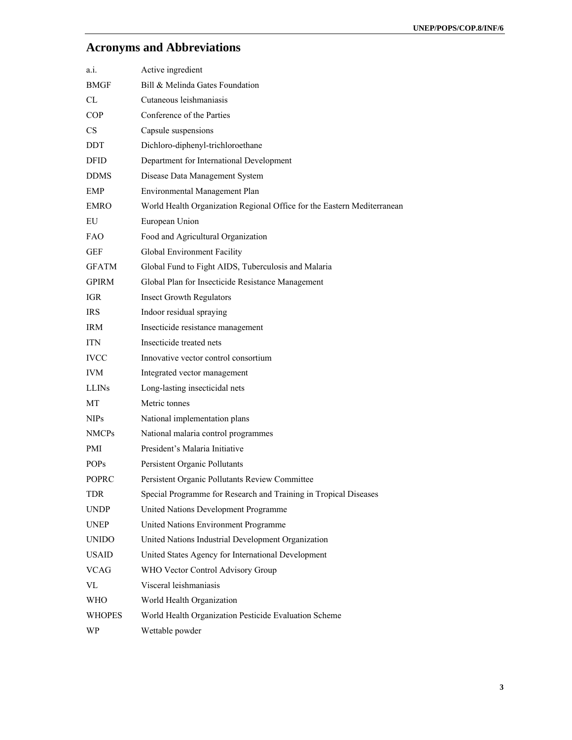# **Acronyms and Abbreviations**

| a.1.          | Active ingredient                                                       |
|---------------|-------------------------------------------------------------------------|
| BMGF          | Bill & Melinda Gates Foundation                                         |
| CL            | Cutaneous leishmaniasis                                                 |
| <b>COP</b>    | Conference of the Parties                                               |
| <b>CS</b>     | Capsule suspensions                                                     |
| DDT           | Dichloro-diphenyl-trichloroethane                                       |
| DFID          | Department for International Development                                |
| <b>DDMS</b>   | Disease Data Management System                                          |
| <b>EMP</b>    | Environmental Management Plan                                           |
| EMRO          | World Health Organization Regional Office for the Eastern Mediterranean |
| EU            | European Union                                                          |
| FAO           | Food and Agricultural Organization                                      |
| <b>GEF</b>    | Global Environment Facility                                             |
| <b>GFATM</b>  | Global Fund to Fight AIDS, Tuberculosis and Malaria                     |
| <b>GPIRM</b>  | Global Plan for Insecticide Resistance Management                       |
| IGR           | <b>Insect Growth Regulators</b>                                         |
| IRS.          | Indoor residual spraying                                                |
| IRM           | Insecticide resistance management                                       |
| ITN           | Insecticide treated nets                                                |
| <b>IVCC</b>   | Innovative vector control consortium                                    |
| <b>IVM</b>    | Integrated vector management                                            |
| <b>LLINS</b>  | Long-lasting insecticidal nets                                          |
| МT            | Metric tonnes                                                           |
| <b>NIPs</b>   | National implementation plans                                           |
| <b>NMCPs</b>  | National malaria control programmes                                     |
| PMI           | President's Malaria Initiative                                          |
| <b>POPs</b>   | Persistent Organic Pollutants                                           |
| POPRC         | Persistent Organic Pollutants Review Committee                          |
| <b>TDR</b>    | Special Programme for Research and Training in Tropical Diseases        |
| <b>UNDP</b>   | United Nations Development Programme                                    |
| <b>UNEP</b>   | United Nations Environment Programme                                    |
| <b>UNIDO</b>  | United Nations Industrial Development Organization                      |
| <b>USAID</b>  | United States Agency for International Development                      |
| VCAG          | WHO Vector Control Advisory Group                                       |
| VL            | Visceral leishmaniasis                                                  |
| <b>WHO</b>    | World Health Organization                                               |
| <b>WHOPES</b> | World Health Organization Pesticide Evaluation Scheme                   |
| WP            | Wettable powder                                                         |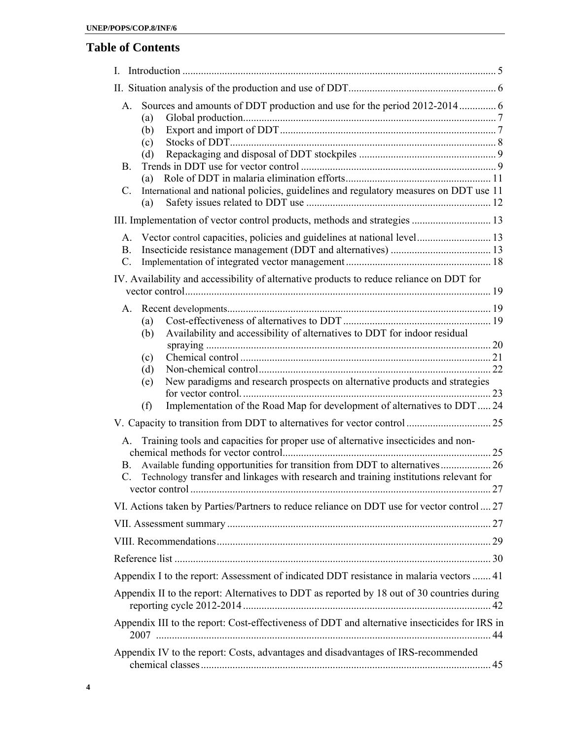# **Table of Contents**

| L                                                                                                                                                                                                                                                                                                                       |  |
|-------------------------------------------------------------------------------------------------------------------------------------------------------------------------------------------------------------------------------------------------------------------------------------------------------------------------|--|
|                                                                                                                                                                                                                                                                                                                         |  |
| Sources and amounts of DDT production and use for the period 2012-2014 6<br>$A_{-}$<br>(a)<br>(b)<br>(c)<br>(d)<br><b>B.</b><br>(a)<br>International and national policies, guidelines and regulatory measures on DDT use 11<br>C.<br>(a)<br>III. Implementation of vector control products, methods and strategies  13 |  |
| Vector control capacities, policies and guidelines at national level 13<br>A.                                                                                                                                                                                                                                           |  |
| B.                                                                                                                                                                                                                                                                                                                      |  |
| $\mathcal{C}$ .                                                                                                                                                                                                                                                                                                         |  |
| IV. Availability and accessibility of alternative products to reduce reliance on DDT for                                                                                                                                                                                                                                |  |
| A.                                                                                                                                                                                                                                                                                                                      |  |
| (a)                                                                                                                                                                                                                                                                                                                     |  |
| Availability and accessibility of alternatives to DDT for indoor residual<br>(b)                                                                                                                                                                                                                                        |  |
| (c)                                                                                                                                                                                                                                                                                                                     |  |
| (d)                                                                                                                                                                                                                                                                                                                     |  |
| New paradigms and research prospects on alternative products and strategies<br>(e)                                                                                                                                                                                                                                      |  |
| Implementation of the Road Map for development of alternatives to DDT  24<br>(f)                                                                                                                                                                                                                                        |  |
|                                                                                                                                                                                                                                                                                                                         |  |
| Training tools and capacities for proper use of alternative insecticides and non-<br>$A_{-}$<br>Available funding opportunities for transition from DDT to alternatives 26<br>В.<br>$\mathcal{C}$ .<br>Technology transfer and linkages with research and training institutions relevant for                            |  |
| VI. Actions taken by Parties/Partners to reduce reliance on DDT use for vector control  27                                                                                                                                                                                                                              |  |
|                                                                                                                                                                                                                                                                                                                         |  |
|                                                                                                                                                                                                                                                                                                                         |  |
|                                                                                                                                                                                                                                                                                                                         |  |
| Appendix I to the report: Assessment of indicated DDT resistance in malaria vectors  41                                                                                                                                                                                                                                 |  |
| Appendix II to the report: Alternatives to DDT as reported by 18 out of 30 countries during                                                                                                                                                                                                                             |  |
| Appendix III to the report: Cost-effectiveness of DDT and alternative insecticides for IRS in                                                                                                                                                                                                                           |  |
| Appendix IV to the report: Costs, advantages and disadvantages of IRS-recommended                                                                                                                                                                                                                                       |  |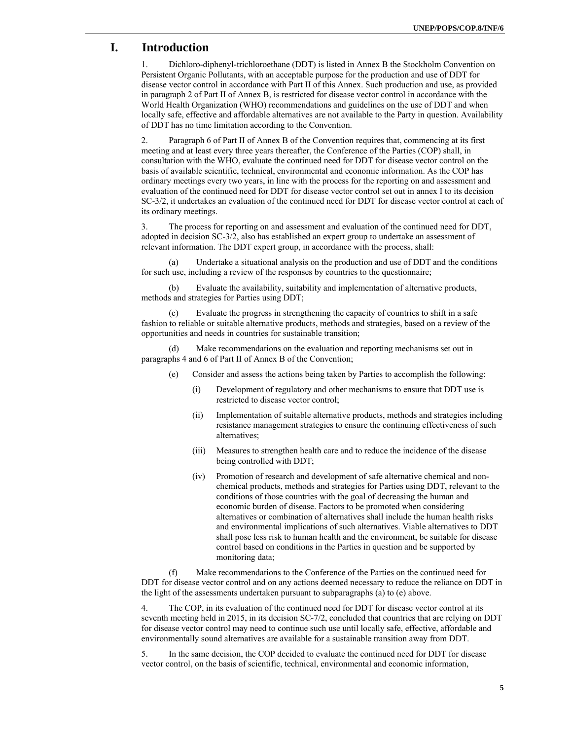# **I. Introduction**

1. Dichloro-diphenyl-trichloroethane (DDT) is listed in Annex B the Stockholm Convention on Persistent Organic Pollutants, with an acceptable purpose for the production and use of DDT for disease vector control in accordance with Part II of this Annex. Such production and use, as provided in paragraph 2 of Part II of Annex B, is restricted for disease vector control in accordance with the World Health Organization (WHO) recommendations and guidelines on the use of DDT and when locally safe, effective and affordable alternatives are not available to the Party in question. Availability of DDT has no time limitation according to the Convention.

2. Paragraph 6 of Part II of Annex B of the Convention requires that, commencing at its first meeting and at least every three years thereafter, the Conference of the Parties (COP) shall, in consultation with the WHO, evaluate the continued need for DDT for disease vector control on the basis of available scientific, technical, environmental and economic information. As the COP has ordinary meetings every two years, in line with the process for the reporting on and assessment and evaluation of the continued need for DDT for disease vector control set out in annex I to its decision SC-3/2, it undertakes an evaluation of the continued need for DDT for disease vector control at each of its ordinary meetings.

3. The process for reporting on and assessment and evaluation of the continued need for DDT, adopted in decision SC-3/2, also has established an expert group to undertake an assessment of relevant information. The DDT expert group, in accordance with the process, shall:

(a) Undertake a situational analysis on the production and use of DDT and the conditions for such use, including a review of the responses by countries to the questionnaire;

(b) Evaluate the availability, suitability and implementation of alternative products, methods and strategies for Parties using DDT;

Evaluate the progress in strengthening the capacity of countries to shift in a safe fashion to reliable or suitable alternative products, methods and strategies, based on a review of the opportunities and needs in countries for sustainable transition;

(d) Make recommendations on the evaluation and reporting mechanisms set out in paragraphs 4 and 6 of Part II of Annex B of the Convention;

- (e) Consider and assess the actions being taken by Parties to accomplish the following:
	- (i) Development of regulatory and other mechanisms to ensure that DDT use is restricted to disease vector control;
	- (ii) Implementation of suitable alternative products, methods and strategies including resistance management strategies to ensure the continuing effectiveness of such alternatives;
	- (iii) Measures to strengthen health care and to reduce the incidence of the disease being controlled with DDT;
	- (iv) Promotion of research and development of safe alternative chemical and nonchemical products, methods and strategies for Parties using DDT, relevant to the conditions of those countries with the goal of decreasing the human and economic burden of disease. Factors to be promoted when considering alternatives or combination of alternatives shall include the human health risks and environmental implications of such alternatives. Viable alternatives to DDT shall pose less risk to human health and the environment, be suitable for disease control based on conditions in the Parties in question and be supported by monitoring data;

(f) Make recommendations to the Conference of the Parties on the continued need for DDT for disease vector control and on any actions deemed necessary to reduce the reliance on DDT in the light of the assessments undertaken pursuant to subparagraphs (a) to (e) above.

4. The COP, in its evaluation of the continued need for DDT for disease vector control at its seventh meeting held in 2015, in its decision SC-7/2, concluded that countries that are relying on DDT for disease vector control may need to continue such use until locally safe, effective, affordable and environmentally sound alternatives are available for a sustainable transition away from DDT.

5. In the same decision, the COP decided to evaluate the continued need for DDT for disease vector control, on the basis of scientific, technical, environmental and economic information,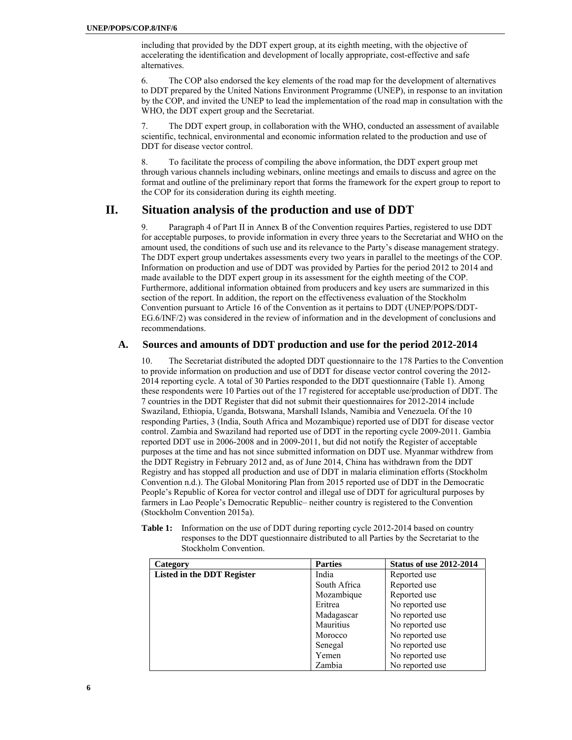including that provided by the DDT expert group, at its eighth meeting, with the objective of accelerating the identification and development of locally appropriate, cost-effective and safe alternatives.

6. The COP also endorsed the key elements of the road map for the development of alternatives to DDT prepared by the United Nations Environment Programme (UNEP), in response to an invitation by the COP, and invited the UNEP to lead the implementation of the road map in consultation with the WHO, the DDT expert group and the Secretariat.

7. The DDT expert group, in collaboration with the WHO, conducted an assessment of available scientific, technical, environmental and economic information related to the production and use of DDT for disease vector control.

8. To facilitate the process of compiling the above information, the DDT expert group met through various channels including webinars, online meetings and emails to discuss and agree on the format and outline of the preliminary report that forms the framework for the expert group to report to the COP for its consideration during its eighth meeting.

# **II. Situation analysis of the production and use of DDT**

9. Paragraph 4 of Part II in Annex B of the Convention requires Parties, registered to use DDT for acceptable purposes, to provide information in every three years to the Secretariat and WHO on the amount used, the conditions of such use and its relevance to the Party's disease management strategy. The DDT expert group undertakes assessments every two years in parallel to the meetings of the COP. Information on production and use of DDT was provided by Parties for the period 2012 to 2014 and made available to the DDT expert group in its assessment for the eighth meeting of the COP. Furthermore, additional information obtained from producers and key users are summarized in this section of the report. In addition, the report on the effectiveness evaluation of the Stockholm Convention pursuant to Article 16 of the Convention as it pertains to DDT (UNEP/POPS/DDT-EG.6/INF/2) was considered in the review of information and in the development of conclusions and recommendations.

### **A. Sources and amounts of DDT production and use for the period 2012-2014**

10. The Secretariat distributed the adopted DDT questionnaire to the 178 Parties to the Convention to provide information on production and use of DDT for disease vector control covering the 2012- 2014 reporting cycle. A total of 30 Parties responded to the DDT questionnaire (Table 1). Among these respondents were 10 Parties out of the 17 registered for acceptable use/production of DDT. The 7 countries in the DDT Register that did not submit their questionnaires for 2012-2014 include Swaziland, Ethiopia, Uganda, Botswana, Marshall Islands, Namibia and Venezuela. Of the 10 responding Parties, 3 (India, South Africa and Mozambique) reported use of DDT for disease vector control. Zambia and Swaziland had reported use of DDT in the reporting cycle 2009-2011. Gambia reported DDT use in 2006-2008 and in 2009-2011, but did not notify the Register of acceptable purposes at the time and has not since submitted information on DDT use. Myanmar withdrew from the DDT Registry in February 2012 and, as of June 2014, China has withdrawn from the DDT Registry and has stopped all production and use of DDT in malaria elimination efforts (Stockholm Convention n.d.). The Global Monitoring Plan from 2015 reported use of DDT in the Democratic People's Republic of Korea for vector control and illegal use of DDT for agricultural purposes by farmers in Lao People's Democratic Republic– neither country is registered to the Convention (Stockholm Convention 2015a).

| responses to the DDT questionnaire distributed to all Parties by the Secretariat to the<br>Stockholm Convention. |                |                                |  |  |
|------------------------------------------------------------------------------------------------------------------|----------------|--------------------------------|--|--|
| Category                                                                                                         | <b>Parties</b> | <b>Status of use 2012-2014</b> |  |  |
| Listed in the DDT Register                                                                                       | India          | Reported use                   |  |  |

**Table 1:** Information on the use of DDT during reporting cycle 2012-2014 based on country

| Category                          | <b>Parties</b> | <b>Status of use 2012-2014</b> |
|-----------------------------------|----------------|--------------------------------|
| <b>Listed in the DDT Register</b> | India          | Reported use                   |
|                                   | South Africa   | Reported use                   |
|                                   | Mozambique     | Reported use                   |
|                                   | Eritrea        | No reported use                |
|                                   | Madagascar     | No reported use                |
|                                   | Mauritius      | No reported use                |
|                                   | Morocco        | No reported use                |
|                                   | Senegal        | No reported use                |
|                                   | Yemen          | No reported use                |
|                                   | Zambia         | No reported use                |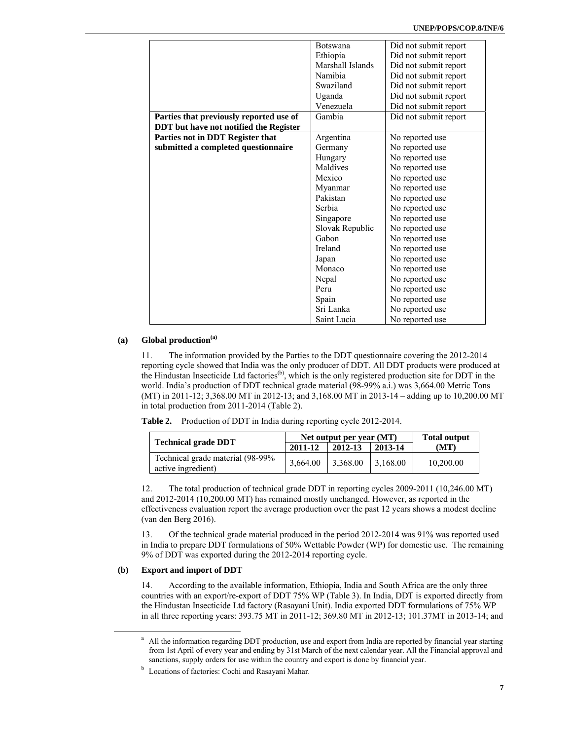|                                         | <b>Botswana</b>  | Did not submit report |
|-----------------------------------------|------------------|-----------------------|
|                                         | Ethiopia         | Did not submit report |
|                                         | Marshall Islands | Did not submit report |
|                                         | Namibia          | Did not submit report |
|                                         | Swaziland        | Did not submit report |
|                                         | Uganda           | Did not submit report |
|                                         | Venezuela        | Did not submit report |
| Parties that previously reported use of | Gambia           | Did not submit report |
| DDT but have not notified the Register  |                  |                       |
| Parties not in DDT Register that        | Argentina        | No reported use       |
| submitted a completed questionnaire     | Germany          | No reported use       |
|                                         | Hungary          | No reported use       |
|                                         | Maldives         | No reported use       |
|                                         | Mexico           | No reported use       |
|                                         | Myanmar          | No reported use       |
|                                         | Pakistan         | No reported use       |
|                                         | Serbia           | No reported use       |
|                                         | Singapore        | No reported use       |
|                                         | Slovak Republic  | No reported use       |
|                                         | Gabon            | No reported use       |
|                                         | Ireland          | No reported use       |
|                                         | Japan            | No reported use       |
|                                         | Monaco           | No reported use       |
|                                         | Nepal            | No reported use       |
|                                         | Peru             | No reported use       |
|                                         | Spain            | No reported use       |
|                                         | Sri Lanka        | No reported use       |
|                                         | Saint Lucia      | No reported use       |

#### **(a) Global production(a)**

11. The information provided by the Parties to the DDT questionnaire covering the 2012-2014 reporting cycle showed that India was the only producer of DDT. All DDT products were produced at the Hindustan Insecticide Ltd factories<sup>(b)</sup>, which is the only registered production site for DDT in the the Hindustan Insecticide Ltd factories<sup>(b)</sup>, which is the only registered production site for DDT in the world. India's production of DDT technical grade material (98-99% a.i.) was 3,664.00 Metric Tons (MT) in 2011-12; 3,368.00 MT in 2012-13; and 3,168.00 MT in 2013-14 – adding up to 10,200.00 MT in total production from 2011-2014 (Table 2).

|  |  |  |  |  |  | <b>Table 2.</b> Production of DDT in India during reporting cycle 2012-2014. |
|--|--|--|--|--|--|------------------------------------------------------------------------------|
|--|--|--|--|--|--|------------------------------------------------------------------------------|

| <b>Technical grade DDT</b>                             | Net output per year (MT) | <b>Total output</b> |          |           |
|--------------------------------------------------------|--------------------------|---------------------|----------|-----------|
|                                                        | 2011-12                  | $12012 - 13$        | 2013-14  | (MT)      |
| Technical grade material (98-99%<br>active ingredient) | 3,664.00                 | 3,368.00            | 3.168.00 | 10,200.00 |

12. The total production of technical grade DDT in reporting cycles 2009-2011 (10,246.00 MT) and 2012-2014 (10,200.00 MT) has remained mostly unchanged. However, as reported in the effectiveness evaluation report the average production over the past 12 years shows a modest decline (van den Berg 2016).

13. Of the technical grade material produced in the period 2012-2014 was 91% was reported used in India to prepare DDT formulations of 50% Wettable Powder (WP) for domestic use. The remaining 9% of DDT was exported during the 2012-2014 reporting cycle.

#### **(b) Export and import of DDT**

14. According to the available information, Ethiopia, India and South Africa are the only three countries with an export/re-export of DDT 75% WP (Table 3). In India, DDT is exported directly from the Hindustan Insecticide Ltd factory (Rasayani Unit). India exported DDT formulations of 75% WP in all three reporting years: 393.75 MT in 2011-12; 369.80 MT in 2012-13; 101.37MT in 2013-14; and

<sup>&</sup>lt;sup>a</sup> All the information regarding DDT production, use and export from India are reported by financial year starting from 1st April of every year and ending by 31st March of the next calendar year. All the Financial approval and sanctions, supply orders for use within the country and export is done by financial year.

<sup>&</sup>lt;sup>b</sup> Locations of factories: Cochi and Rasayani Mahar.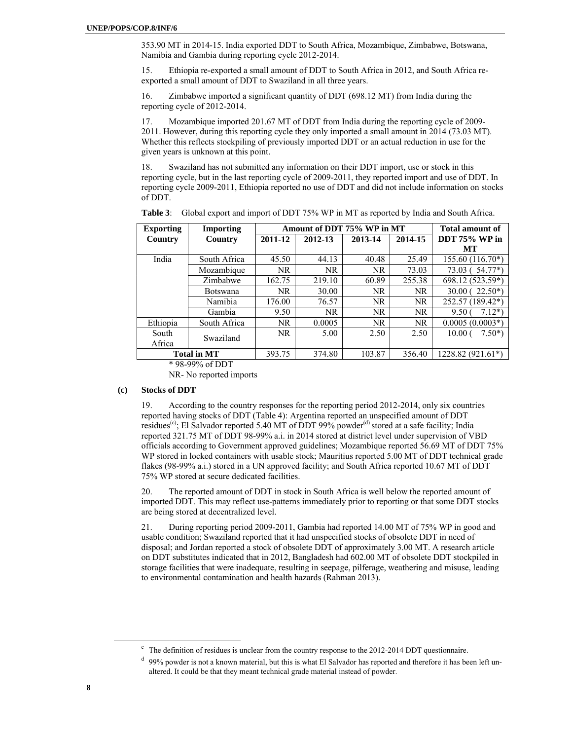353.90 MT in 2014-15. India exported DDT to South Africa, Mozambique, Zimbabwe, Botswana, Namibia and Gambia during reporting cycle 2012-2014.

15. Ethiopia re-exported a small amount of DDT to South Africa in 2012, and South Africa reexported a small amount of DDT to Swaziland in all three years.

16. Zimbabwe imported a significant quantity of DDT (698.12 MT) from India during the reporting cycle of 2012-2014.

17. Mozambique imported 201.67 MT of DDT from India during the reporting cycle of 2009- 2011. However, during this reporting cycle they only imported a small amount in 2014 (73.03 MT). Whether this reflects stockpiling of previously imported DDT or an actual reduction in use for the given years is unknown at this point.

18. Swaziland has not submitted any information on their DDT import, use or stock in this reporting cycle, but in the last reporting cycle of 2009-2011, they reported import and use of DDT. In reporting cycle 2009-2011, Ethiopia reported no use of DDT and did not include information on stocks of DDT.

| <b>Exporting</b>   | Importing       | Amount of DDT 75% WP in MT |         |           | <b>Total amount of</b> |                                |
|--------------------|-----------------|----------------------------|---------|-----------|------------------------|--------------------------------|
| <b>Country</b>     | Country         | 2011-12                    | 2012-13 | 2013-14   | 2014-15                | DDT $75%$ WP in                |
|                    |                 |                            |         |           |                        | MТ                             |
| India              | South Africa    | 45.50                      | 44.13   | 40.48     | 25.49                  | $155.60(116.70*)$              |
|                    | Mozambique      | NR.                        | NR.     | <b>NR</b> | 73.03                  | $54.77*)$<br>73.03 (           |
|                    | Zimbabwe        | 162.75                     | 219.10  | 60.89     | 255.38                 | 698.12 (523.59*)               |
|                    | <b>Botswana</b> | NR.                        | 30.00   | <b>NR</b> | NR.                    | $30.00(22.50*)$                |
|                    | <b>Namibia</b>  | 176.00                     | 76.57   | NR        | <b>NR</b>              | 252.57 (189.42*)               |
|                    | Gambia          | 9.50                       | NR.     | NR        | NR.                    | $7.12*$<br>9.50 <sub>1</sub>   |
| Ethiopia           | South Africa    | NR.                        | 0.0005  | NR        | NR.                    | $0.0005(0.0003*)$              |
| South              | Swaziland       | NR.                        | 5.00    | 2.50      | 2.50                   | $7.50*)$<br>10.00 <sub>0</sub> |
| Africa             |                 |                            |         |           |                        |                                |
| <b>Total in MT</b> |                 | 393.75                     | 374.80  | 103.87    | 356.40                 | $1228.82(921.61*)$             |

**Table 3**: Global export and import of DDT 75% WP in MT as reported by India and South Africa.

\* 98-99% of DDT

NR- No reported imports

#### **(c) Stocks of DDT**

19. According to the country responses for the reporting period 2012-2014, only six countries reported having stocks of DDT (Table 4): Argentina reported an unspecified amount of DDT residues<sup>(c)</sup>; El Salvador reported 5.40 MT of DDT 99% powder<sup>(d)</sup> stored at a safe facility; India reported 321.75 MT of DDT 98-99% a.i. in 2014 stored at district level under supervision of VBD officials according to Government approved guidelines; Mozambique reported 56.69 MT of DDT 75% WP stored in locked containers with usable stock; Mauritius reported 5.00 MT of DDT technical grade flakes (98-99% a.i.) stored in a UN approved facility; and South Africa reported 10.67 MT of DDT 75% WP stored at secure dedicated facilities.

20. The reported amount of DDT in stock in South Africa is well below the reported amount of imported DDT. This may reflect use-patterns immediately prior to reporting or that some DDT stocks are being stored at decentralized level.

21. During reporting period 2009-2011, Gambia had reported 14.00 MT of 75% WP in good and usable condition; Swaziland reported that it had unspecified stocks of obsolete DDT in need of disposal; and Jordan reported a stock of obsolete DDT of approximately 3.00 MT. A research article on DDT substitutes indicated that in 2012, Bangladesh had 602.00 MT of obsolete DDT stockpiled in storage facilities that were inadequate, resulting in seepage, pilferage, weathering and misuse, leading to environmental contamination and health hazards (Rahman 2013).

 $\frac{1}{\sqrt{1-\frac{1}{2}}}\frac{1}{\sqrt{1-\frac{1}{2}}\sqrt{1-\frac{1}{2}}\left(\frac{1}{2}-\frac{1}{2}\right)}$  $\degree$  The definition of residues is unclear from the country response to the 2012-2014 DDT questionnaire.

<sup>&</sup>lt;sup>d</sup> 99% powder is not a known material, but this is what El Salvador has reported and therefore it has been left unaltered. It could be that they meant technical grade material instead of powder.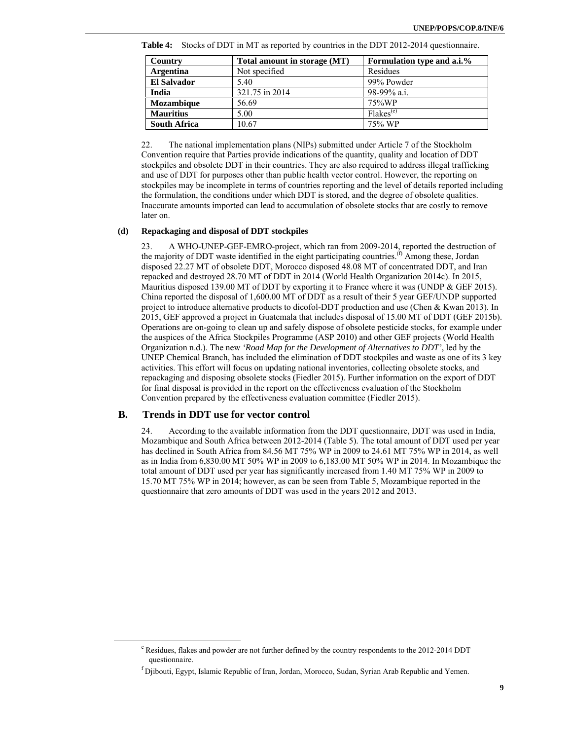| Country             | Total amount in storage (MT) | Formulation type and a.i.% |
|---------------------|------------------------------|----------------------------|
| <b>Argentina</b>    | Not specified                | Residues                   |
| <b>El Salvador</b>  | 5.40                         | 99% Powder                 |
| India               | 321.75 in 2014               | 98-99% a.i.                |
| <b>Mozambique</b>   | 56.69                        | 75%WP                      |
| <b>Mauritius</b>    | 5.00                         | Flakes <sup>(e)</sup>      |
| <b>South Africa</b> | 10.67                        | 75% WP                     |

**Table 4:** Stocks of DDT in MT as reported by countries in the DDT 2012-2014 questionnaire.

22. The national implementation plans (NIPs) submitted under Article 7 of the Stockholm Convention require that Parties provide indications of the quantity, quality and location of DDT stockpiles and obsolete DDT in their countries. They are also required to address illegal trafficking and use of DDT for purposes other than public health vector control. However, the reporting on stockpiles may be incomplete in terms of countries reporting and the level of details reported including the formulation, the conditions under which DDT is stored, and the degree of obsolete qualities. Inaccurate amounts imported can lead to accumulation of obsolete stocks that are costly to remove later on.

#### **(d) Repackaging and disposal of DDT stockpiles**

A WHO-UNEP-GEF-EMRO-project, which ran from 2009-2014, reported the destruction of the majority of DDT waste identified in the eight participating countries.<sup>(f)</sup> Among these, Jordan disposed 22.27 MT of obsolete DDT, Morocco disposed 48.08 MT of concentrated DDT, and Iran repacked and destroyed 28.70 MT of DDT in 2014 (World Health Organization 2014c). In 2015, Mauritius disposed 139.00 MT of DDT by exporting it to France where it was (UNDP & GEF 2015). China reported the disposal of 1,600.00 MT of DDT as a result of their 5 year GEF/UNDP supported project to introduce alternative products to dicofol-DDT production and use (Chen & Kwan 2013). In 2015, GEF approved a project in Guatemala that includes disposal of 15.00 MT of DDT (GEF 2015b). Operations are on-going to clean up and safely dispose of obsolete pesticide stocks, for example under the auspices of the Africa Stockpiles Programme (ASP 2010) and other GEF projects (World Health Organization n.d.). The new *'Road Map for the Development of Alternatives to DDT'*, led by the UNEP Chemical Branch, has included the elimination of DDT stockpiles and waste as one of its 3 key activities. This effort will focus on updating national inventories, collecting obsolete stocks, and repackaging and disposing obsolete stocks (Fiedler 2015). Further information on the export of DDT for final disposal is provided in the report on the effectiveness evaluation of the Stockholm Convention prepared by the effectiveness evaluation committee (Fiedler 2015).

#### **B. Trends in DDT use for vector control**

24. According to the available information from the DDT questionnaire, DDT was used in India, Mozambique and South Africa between 2012-2014 (Table 5). The total amount of DDT used per year has declined in South Africa from 84.56 MT 75% WP in 2009 to 24.61 MT 75% WP in 2014, as well as in India from 6,830.00 MT 50% WP in 2009 to 6,183.00 MT 50% WP in 2014. In Mozambique the total amount of DDT used per year has significantly increased from 1.40 MT 75% WP in 2009 to 15.70 MT 75% WP in 2014; however, as can be seen from Table 5, Mozambique reported in the questionnaire that zero amounts of DDT was used in the years 2012 and 2013.

<sup>&</sup>lt;sup>e</sup> Residues, flakes and powder are not further defined by the country respondents to the 2012-2014 DDT questionnaire.

<sup>&</sup>lt;sup>f</sup> Djibouti, Egypt, Islamic Republic of Iran, Jordan, Morocco, Sudan, Syrian Arab Republic and Yemen.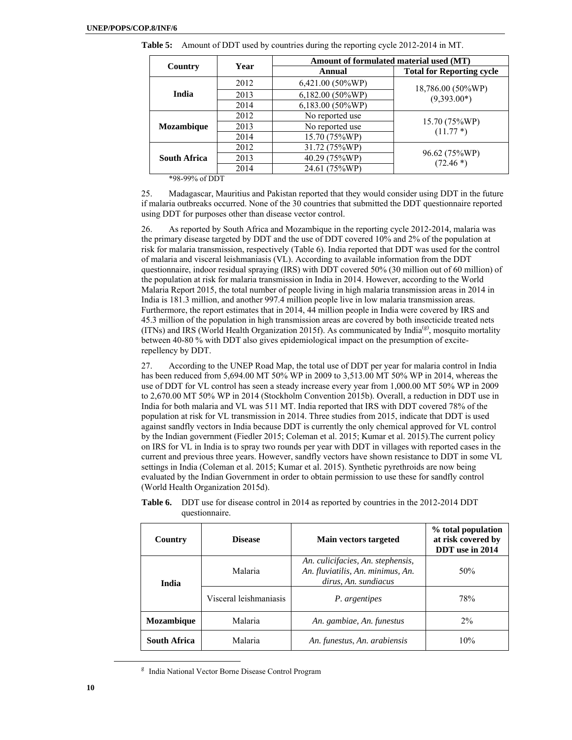|      |                    | Amount of formulated material used (MT) |
|------|--------------------|-----------------------------------------|
|      | Annual             | <b>Total for Reporting cycle</b>        |
| 2012 | 6,421.00 (50%WP)   | 18,786.00 (50%WP)                       |
| 2013 | $6,182.00(50\%WP)$ | $(9,393.00*)$                           |
| 2014 | 6,183.00 (50%WP)   |                                         |
| 2012 | No reported use    |                                         |
| 2013 | No reported use    | 15.70 (75%WP)<br>$(11.77*)$             |
| 2014 | 15.70 (75%WP)      |                                         |
| 2012 | 31.72 (75%WP)      |                                         |
| 2013 | 40.29 (75%WP)      | 96.62 (75%WP)<br>$(72.46*)$             |
| 2014 | 24.61 (75%WP)      |                                         |
|      | Year               |                                         |

**Table 5:** Amount of DDT used by countries during the reporting cycle 2012-2014 in MT.

\*98-99% of DDT

25. Madagascar, Mauritius and Pakistan reported that they would consider using DDT in the future if malaria outbreaks occurred. None of the 30 countries that submitted the DDT questionnaire reported using DDT for purposes other than disease vector control.

26. As reported by South Africa and Mozambique in the reporting cycle 2012-2014, malaria was the primary disease targeted by DDT and the use of DDT covered 10% and 2% of the population at risk for malaria transmission, respectively (Table 6). India reported that DDT was used for the control of malaria and visceral leishmaniasis (VL). According to available information from the DDT questionnaire, indoor residual spraying (IRS) with DDT covered 50% (30 million out of 60 million) of the population at risk for malaria transmission in India in 2014. However, according to the World Malaria Report 2015, the total number of people living in high malaria transmission areas in 2014 in India is 181.3 million, and another 997.4 million people live in low malaria transmission areas. Furthermore, the report estimates that in 2014, 44 million people in India were covered by IRS and 45.3 million of the population in high transmission areas are covered by both insecticide treated nets (ITNs) and IRS (World Health Organization 2015f). As communicated by India<sup>(g)</sup>, mosquito mortality between 40-80 % with DDT also gives epidemiological impact on the presumption of exciterepellency by DDT.

27. According to the UNEP Road Map, the total use of DDT per year for malaria control in India has been reduced from 5,694.00 MT 50% WP in 2009 to 3,513.00 MT 50% WP in 2014, whereas the use of DDT for VL control has seen a steady increase every year from 1,000.00 MT 50% WP in 2009 to 2,670.00 MT 50% WP in 2014 (Stockholm Convention 2015b). Overall, a reduction in DDT use in India for both malaria and VL was 511 MT. India reported that IRS with DDT covered 78% of the population at risk for VL transmission in 2014. Three studies from 2015, indicate that DDT is used against sandfly vectors in India because DDT is currently the only chemical approved for VL control by the Indian government (Fiedler 2015; Coleman et al. 2015; Kumar et al. 2015).The current policy on IRS for VL in India is to spray two rounds per year with DDT in villages with reported cases in the current and previous three years. However, sandfly vectors have shown resistance to DDT in some VL settings in India (Coleman et al. 2015; Kumar et al. 2015). Synthetic pyrethroids are now being evaluated by the Indian Government in order to obtain permission to use these for sandfly control (World Health Organization 2015d).

| Country                      | <b>Disease</b>         | Main vectors targeted                                                                          | % total population<br>at risk covered by<br>DDT use in 2014 |
|------------------------------|------------------------|------------------------------------------------------------------------------------------------|-------------------------------------------------------------|
| India                        | Malaria                | An. culicifacies, An. stephensis,<br>An. fluviatilis, An. minimus, An.<br>dirus, An. sundiacus | 50%                                                         |
|                              | Visceral leishmaniasis | P. argentipes                                                                                  | 78%                                                         |
| Malaria<br><b>Mozambique</b> |                        | An. gambiae, An. funestus                                                                      | $2\%$                                                       |
| <b>South Africa</b>          | Malaria                | An. funestus, An. arabiensis                                                                   | 10%                                                         |

**Table 6.** DDT use for disease control in 2014 as reported by countries in the 2012-2014 DDT questionnaire.

 $\frac{1}{\sqrt{2}}$ <sup>g</sup> India National Vector Borne Disease Control Program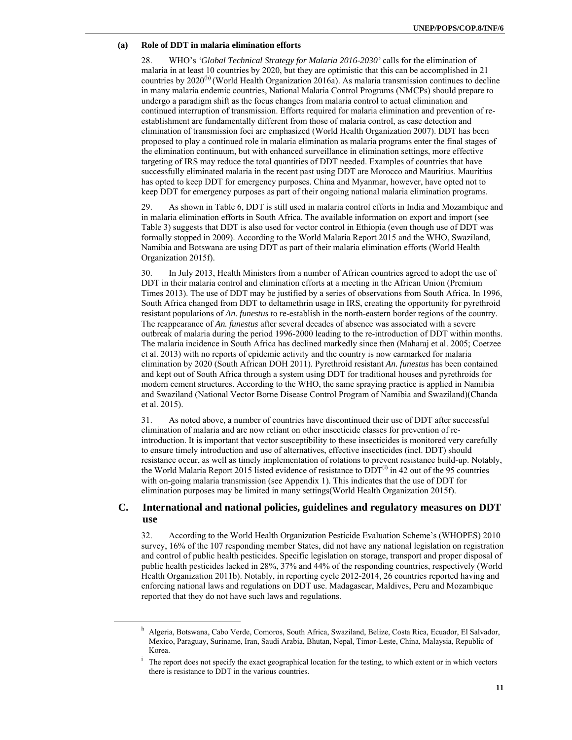#### **(a) Role of DDT in malaria elimination efforts**

28. WHO's *'Global Technical Strategy for Malaria 2016-2030'* calls for the elimination of malaria in at least 10 countries by 2020, but they are optimistic that this can be accomplished in 21 countries by  $2020<sup>(h)</sup>$  (World Health Organization 2016a). As malaria transmission continues to decline in many malaria endemic countries, National Malaria Control Programs (NMCPs) should prepare to undergo a paradigm shift as the focus changes from malaria control to actual elimination and continued interruption of transmission. Efforts required for malaria elimination and prevention of reestablishment are fundamentally different from those of malaria control, as case detection and elimination of transmission foci are emphasized (World Health Organization 2007). DDT has been proposed to play a continued role in malaria elimination as malaria programs enter the final stages of the elimination continuum, but with enhanced surveillance in elimination settings, more effective targeting of IRS may reduce the total quantities of DDT needed. Examples of countries that have successfully eliminated malaria in the recent past using DDT are Morocco and Mauritius. Mauritius has opted to keep DDT for emergency purposes. China and Myanmar, however, have opted not to keep DDT for emergency purposes as part of their ongoing national malaria elimination programs.

29. As shown in Table 6, DDT is still used in malaria control efforts in India and Mozambique and in malaria elimination efforts in South Africa. The available information on export and import (see Table 3) suggests that DDT is also used for vector control in Ethiopia (even though use of DDT was formally stopped in 2009). According to the World Malaria Report 2015 and the WHO, Swaziland, Namibia and Botswana are using DDT as part of their malaria elimination efforts (World Health Organization 2015f).

30. In July 2013, Health Ministers from a number of African countries agreed to adopt the use of DDT in their malaria control and elimination efforts at a meeting in the African Union (Premium Times 2013). The use of DDT may be justified by a series of observations from South Africa. In 1996, South Africa changed from DDT to deltamethrin usage in IRS, creating the opportunity for pyrethroid resistant populations of *An. funestus* to re-establish in the north-eastern border regions of the country. The reappearance of *An. funestus* after several decades of absence was associated with a severe outbreak of malaria during the period 1996-2000 leading to the re-introduction of DDT within months. The malaria incidence in South Africa has declined markedly since then (Maharaj et al. 2005; Coetzee et al. 2013) with no reports of epidemic activity and the country is now earmarked for malaria elimination by 2020 (South African DOH 2011). Pyrethroid resistant *An. funestus* has been contained and kept out of South Africa through a system using DDT for traditional houses and pyrethroids for modern cement structures. According to the WHO, the same spraying practice is applied in Namibia and Swaziland (National Vector Borne Disease Control Program of Namibia and Swaziland)(Chanda et al. 2015).

31. As noted above, a number of countries have discontinued their use of DDT after successful elimination of malaria and are now reliant on other insecticide classes for prevention of reintroduction. It is important that vector susceptibility to these insecticides is monitored very carefully to ensure timely introduction and use of alternatives, effective insecticides (incl. DDT) should resistance occur, as well as timely implementation of rotations to prevent resistance build-up. Notably, the World Malaria Report 2015 listed evidence of resistance to  $DDT<sup>(i)</sup>$  in 42 out of the 95 countries with on-going malaria transmission (see Appendix 1). This indicates that the use of DDT for elimination purposes may be limited in many settings(World Health Organization 2015f).

### **C. International and national policies, guidelines and regulatory measures on DDT use**

32. According to the World Health Organization Pesticide Evaluation Scheme's (WHOPES) 2010 survey, 16% of the 107 responding member States, did not have any national legislation on registration and control of public health pesticides. Specific legislation on storage, transport and proper disposal of public health pesticides lacked in 28%, 37% and 44% of the responding countries, respectively (World Health Organization 2011b). Notably, in reporting cycle 2012-2014, 26 countries reported having and enforcing national laws and regulations on DDT use. Madagascar, Maldives, Peru and Mozambique reported that they do not have such laws and regulations.

 $\overline{\phantom{a}}$  Algeria, Botswana, Cabo Verde, Comoros, South Africa, Swaziland, Belize, Costa Rica, Ecuador, El Salvador, Mexico, Paraguay, Suriname, Iran, Saudi Arabia, Bhutan, Nepal, Timor-Leste, China, Malaysia, Republic of Korea.

The report does not specify the exact geographical location for the testing, to which extent or in which vectors there is resistance to DDT in the various countries.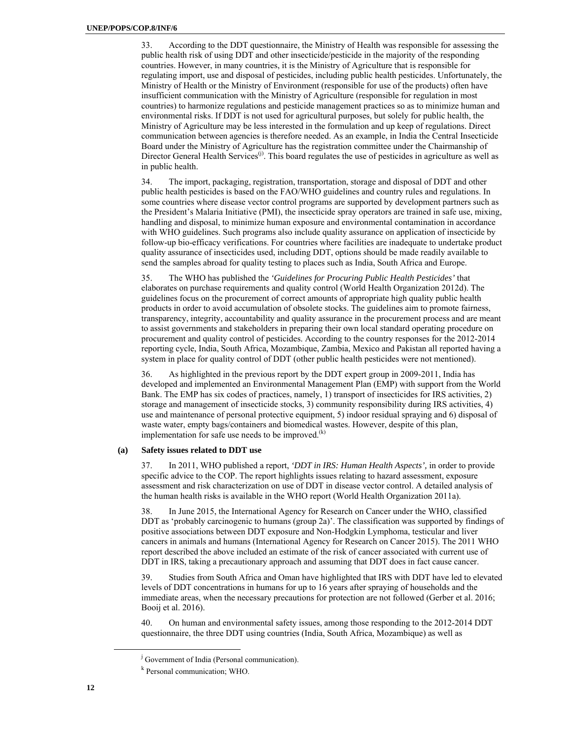33. According to the DDT questionnaire, the Ministry of Health was responsible for assessing the public health risk of using DDT and other insecticide/pesticide in the majority of the responding countries. However, in many countries, it is the Ministry of Agriculture that is responsible for regulating import, use and disposal of pesticides, including public health pesticides. Unfortunately, the Ministry of Health or the Ministry of Environment (responsible for use of the products) often have insufficient communication with the Ministry of Agriculture (responsible for regulation in most countries) to harmonize regulations and pesticide management practices so as to minimize human and environmental risks. If DDT is not used for agricultural purposes, but solely for public health, the Ministry of Agriculture may be less interested in the formulation and up keep of regulations. Direct communication between agencies is therefore needed. As an example, in India the Central Insecticide Board under the Ministry of Agriculture has the registration committee under the Chairmanship of Director General Health Services<sup>(j)</sup>. This board regulates the use of pesticides in agriculture as well as in public health.

34. The import, packaging, registration, transportation, storage and disposal of DDT and other public health pesticides is based on the FAO/WHO guidelines and country rules and regulations. In some countries where disease vector control programs are supported by development partners such as the President's Malaria Initiative (PMI), the insecticide spray operators are trained in safe use, mixing, handling and disposal, to minimize human exposure and environmental contamination in accordance with WHO guidelines. Such programs also include quality assurance on application of insecticide by follow-up bio-efficacy verifications. For countries where facilities are inadequate to undertake product quality assurance of insecticides used, including DDT, options should be made readily available to send the samples abroad for quality testing to places such as India, South Africa and Europe.

35. The WHO has published the *'Guidelines for Procuring Public Health Pesticides'* that elaborates on purchase requirements and quality control (World Health Organization 2012d). The guidelines focus on the procurement of correct amounts of appropriate high quality public health products in order to avoid accumulation of obsolete stocks. The guidelines aim to promote fairness, transparency, integrity, accountability and quality assurance in the procurement process and are meant to assist governments and stakeholders in preparing their own local standard operating procedure on procurement and quality control of pesticides. According to the country responses for the 2012-2014 reporting cycle, India, South Africa, Mozambique, Zambia, Mexico and Pakistan all reported having a system in place for quality control of DDT (other public health pesticides were not mentioned).

36. As highlighted in the previous report by the DDT expert group in 2009-2011, India has developed and implemented an Environmental Management Plan (EMP) with support from the World Bank. The EMP has six codes of practices, namely, 1) transport of insecticides for IRS activities, 2) storage and management of insecticide stocks, 3) community responsibility during IRS activities, 4) use and maintenance of personal protective equipment, 5) indoor residual spraying and 6) disposal of waste water, empty bags/containers and biomedical wastes. However, despite of this plan, implementation for safe use needs to be improved. $(k)$ 

#### **(a) Safety issues related to DDT use**

37. In 2011, WHO published a report, *'DDT in IRS: Human Health Aspects',* in order to provide specific advice to the COP. The report highlights issues relating to hazard assessment, exposure assessment and risk characterization on use of DDT in disease vector control. A detailed analysis of the human health risks is available in the WHO report (World Health Organization 2011a).

38. In June 2015, the International Agency for Research on Cancer under the WHO, classified DDT as 'probably carcinogenic to humans (group 2a)'. The classification was supported by findings of positive associations between DDT exposure and Non-Hodgkin Lymphoma, testicular and liver cancers in animals and humans (International Agency for Research on Cancer 2015). The 2011 WHO report described the above included an estimate of the risk of cancer associated with current use of DDT in IRS, taking a precautionary approach and assuming that DDT does in fact cause cancer.

39. Studies from South Africa and Oman have highlighted that IRS with DDT have led to elevated levels of DDT concentrations in humans for up to 16 years after spraying of households and the immediate areas, when the necessary precautions for protection are not followed (Gerber et al. 2016; Booij et al. 2016).

40. On human and environmental safety issues, among those responding to the 2012-2014 DDT questionnaire, the three DDT using countries (India, South Africa, Mozambique) as well as

 $\frac{1}{\sqrt{1-\frac{1}{2}}}$ <sup>j</sup> Government of India (Personal communication).

k Personal communication; WHO.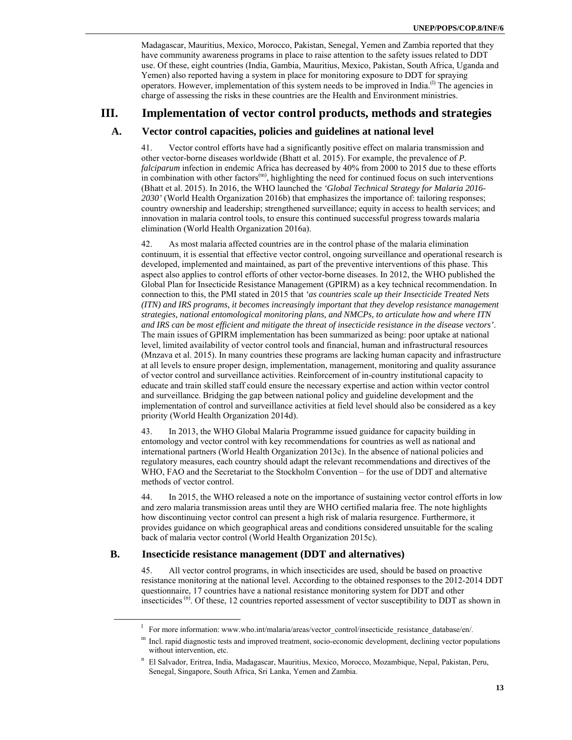Madagascar, Mauritius, Mexico, Morocco, Pakistan, Senegal, Yemen and Zambia reported that they have community awareness programs in place to raise attention to the safety issues related to DDT use. Of these, eight countries (India, Gambia, Mauritius, Mexico, Pakistan, South Africa, Uganda and Yemen) also reported having a system in place for monitoring exposure to DDT for spraying operators. However, implementation of this system needs to be improved in India.<sup>(1)</sup> The agencies in charge of assessing the risks in these countries are the Health and Environment ministries.

# **III. Implementation of vector control products, methods and strategies**

### **A. Vector control capacities, policies and guidelines at national level**

41. Vector control efforts have had a significantly positive effect on malaria transmission and other vector-borne diseases worldwide (Bhatt et al. 2015). For example, the prevalence of *P. falciparum* infection in endemic Africa has decreased by 40% from 2000 to 2015 due to these efforts in combination with other factors $<sup>(m)</sup>$ , highlighting the need for continued focus on such interventions</sup> (Bhatt et al. 2015). In 2016, the WHO launched the *'Global Technical Strategy for Malaria 2016- 2030'* (World Health Organization 2016b) that emphasizes the importance of: tailoring responses; country ownership and leadership; strengthened surveillance; equity in access to health services; and innovation in malaria control tools, to ensure this continued successful progress towards malaria elimination (World Health Organization 2016a).

42. As most malaria affected countries are in the control phase of the malaria elimination continuum, it is essential that effective vector control, ongoing surveillance and operational research is developed, implemented and maintained, as part of the preventive interventions of this phase. This aspect also applies to control efforts of other vector-borne diseases. In 2012, the WHO published the Global Plan for Insecticide Resistance Management (GPIRM) as a key technical recommendation. In connection to this, the PMI stated in 2015 that *'as countries scale up their Insecticide Treated Nets (ITN) and IRS programs, it becomes increasingly important that they develop resistance management strategies, national entomological monitoring plans, and NMCPs, to articulate how and where ITN and IRS can be most efficient and mitigate the threat of insecticide resistance in the disease vectors'*. The main issues of GPIRM implementation has been summarized as being: poor uptake at national level, limited availability of vector control tools and financial, human and infrastructural resources (Mnzava et al. 2015). In many countries these programs are lacking human capacity and infrastructure at all levels to ensure proper design, implementation, management, monitoring and quality assurance of vector control and surveillance activities. Reinforcement of in-country institutional capacity to educate and train skilled staff could ensure the necessary expertise and action within vector control and surveillance. Bridging the gap between national policy and guideline development and the implementation of control and surveillance activities at field level should also be considered as a key priority (World Health Organization 2014d).

43. In 2013, the WHO Global Malaria Programme issued guidance for capacity building in entomology and vector control with key recommendations for countries as well as national and international partners (World Health Organization 2013c). In the absence of national policies and regulatory measures, each country should adapt the relevant recommendations and directives of the WHO, FAO and the Secretariat to the Stockholm Convention – for the use of DDT and alternative methods of vector control.

44. In 2015, the WHO released a note on the importance of sustaining vector control efforts in low and zero malaria transmission areas until they are WHO certified malaria free. The note highlights how discontinuing vector control can present a high risk of malaria resurgence. Furthermore, it provides guidance on which geographical areas and conditions considered unsuitable for the scaling back of malaria vector control (World Health Organization 2015c).

### **B. Insecticide resistance management (DDT and alternatives)**

45. All vector control programs, in which insecticides are used, should be based on proactive resistance monitoring at the national level. According to the obtained responses to the 2012-2014 DDT questionnaire, 17 countries have a national resistance monitoring system for DDT and other insecticides (n). Of these, 12 countries reported assessment of vector susceptibility to DDT as shown in

 $\frac{1}{1}$ For more information: www.who.int/malaria/areas/vector\_control/insecticide\_resistance\_database/en/.

 $<sup>m</sup>$  Incl. rapid diagnostic tests and improved treatment, socio-economic development, declining vector populations</sup> without intervention, etc.

n El Salvador, Eritrea, India, Madagascar, Mauritius, Mexico, Morocco, Mozambique, Nepal, Pakistan, Peru, Senegal, Singapore, South Africa, Sri Lanka, Yemen and Zambia.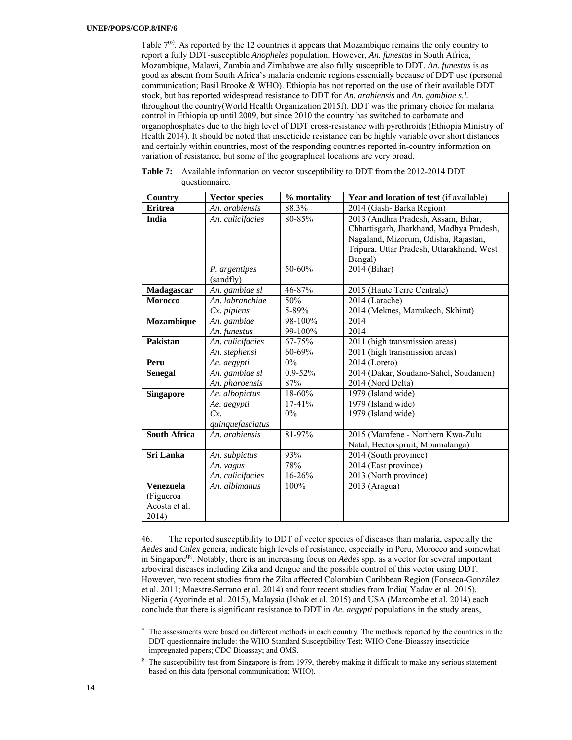Table  $7<sup>(o)</sup>$ . As reported by the 12 countries it appears that Mozambique remains the only country to report a fully DDT-susceptible *Anopheles* population. However, *An. funestus* in South Africa, Mozambique, Malawi, Zambia and Zimbabwe are also fully susceptible to DDT. *An. funestus* is as good as absent from South Africa's malaria endemic regions essentially because of DDT use (personal communication; Basil Brooke & WHO). Ethiopia has not reported on the use of their available DDT stock, but has reported widespread resistance to DDT for *An. arabiensis* and *An. gambiae s.l.* throughout the country(World Health Organization 2015f). DDT was the primary choice for malaria control in Ethiopia up until 2009, but since 2010 the country has switched to carbamate and organophosphates due to the high level of DDT cross-resistance with pyrethroids (Ethiopia Ministry of Health 2014). It should be noted that insecticide resistance can be highly variable over short distances and certainly within countries, most of the responding countries reported in-country information on variation of resistance, but some of the geographical locations are very broad.

| <b>Country</b>      | <b>Vector species</b> | % mortality | Year and location of test (if available)  |
|---------------------|-----------------------|-------------|-------------------------------------------|
| <b>Eritrea</b>      | An. arabiensis        | 88.3%       | 2014 (Gash-Barka Region)                  |
| India               | An. culicifacies      | 80-85%      | 2013 (Andhra Pradesh, Assam, Bihar,       |
|                     |                       |             | Chhattisgarh, Jharkhand, Madhya Pradesh,  |
|                     |                       |             | Nagaland, Mizorum, Odisha, Rajastan,      |
|                     |                       |             | Tripura, Uttar Pradesh, Uttarakhand, West |
|                     |                       |             | Bengal)                                   |
|                     | P. argentipes         | 50-60%      | 2014 (Bihar)                              |
|                     | (sandfly)             |             |                                           |
| Madagascar          | An. gambiae sl        | 46-87%      | 2015 (Haute Terre Centrale)               |
| <b>Morocco</b>      | An. labranchiae       | 50%         | 2014 (Larache)                            |
|                     | Cx. pipiens           | 5-89%       | 2014 (Meknes, Marrakech, Skhirat)         |
| Mozambique          | An. gambiae           | 98-100%     | 2014                                      |
|                     | An. funestus          | 99-100%     | 2014                                      |
| Pakistan            | An. culicifacies      | 67-75%      | 2011 (high transmission areas)            |
|                     | An. stephensi         | 60-69%      | 2011 (high transmission areas)            |
| Peru                | Ae. aegypti           | $0\%$       | $2014$ (Loreto)                           |
| <b>Senegal</b>      | An. gambiae sl        | $0.9 - 52%$ | 2014 (Dakar, Soudano-Sahel, Soudanien)    |
|                     | An. pharoensis        | 87%         | 2014 (Nord Delta)                         |
| <b>Singapore</b>    | Ae. albopictus        | 18-60%      | 1979 (Island wide)                        |
|                     | Ae. aegypti           | $17-41%$    | 1979 (Island wide)                        |
|                     | Cx                    | $0\%$       | 1979 (Island wide)                        |
|                     | quinquefasciatus      |             |                                           |
| <b>South Africa</b> | An. arabiensis        | 81-97%      | 2015 (Mamfene - Northern Kwa-Zulu         |
|                     |                       |             | Natal, Hectorspruit, Mpumalanga)          |
| Sri Lanka           | An. subpictus         | 93%         | 2014 (South province)                     |
|                     | An. vagus             | 78%         | 2014 (East province)                      |
|                     | An. culicifacies      | 16-26%      | 2013 (North province)                     |
| <b>Venezuela</b>    | An. albimanus         | 100%        | 2013 (Aragua)                             |
| (Figueroa           |                       |             |                                           |
| Acosta et al.       |                       |             |                                           |
| 2014)               |                       |             |                                           |

**Table 7:** Available information on vector susceptibility to DDT from the 2012-2014 DDT questionnaire.

46. The reported susceptibility to DDT of vector species of diseases than malaria, especially the *Aedes* and *Culex* genera, indicate high levels of resistance, especially in Peru, Morocco and somewhat in Singapore<sup>(p)</sup>. Notably, there is an increasing focus on *Aedes* spp. as a vector for several important arboviral diseases including Zika and dengue and the possible control of this vector using DDT. However, two recent studies from the Zika affected Colombian Caribbean Region (Fonseca-González et al. 2011; Maestre-Serrano et al. 2014) and four recent studies from India( Yadav et al. 2015), Nigeria (Ayorinde et al. 2015), Malaysia (Ishak et al. 2015) and USA (Marcombe et al. 2014) each conclude that there is significant resistance to DDT in *Ae. aegypti* populations in the study areas,

<sup>&</sup>lt;sup>o</sup> The assessments were based on different methods in each country. The methods reported by the countries in the DDT questionnaire include: the WHO Standard Susceptibility Test; WHO Cone-Bioassay insecticide impregnated papers; CDC Bioassay; and OMS.

 $P$  The susceptibility test from Singapore is from 1979, thereby making it difficult to make any serious statement based on this data (personal communication; WHO).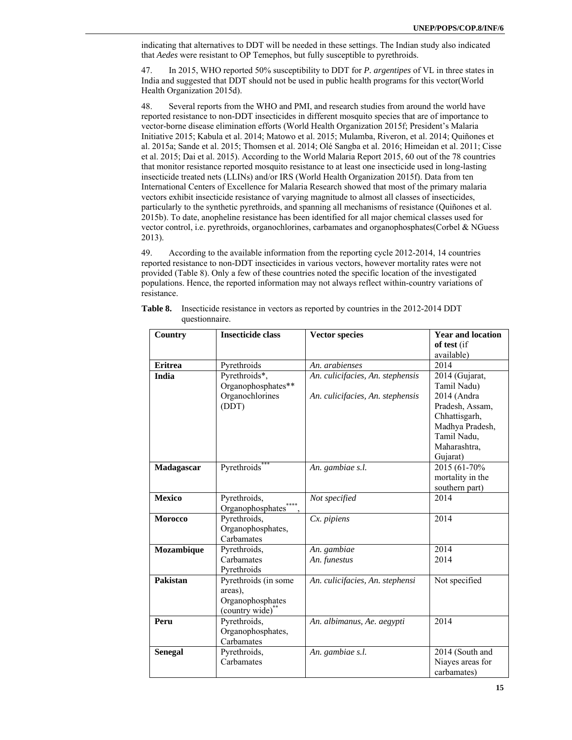indicating that alternatives to DDT will be needed in these settings. The Indian study also indicated that *Aedes* were resistant to OP Temephos, but fully susceptible to pyrethroids.

47. In 2015, WHO reported 50% susceptibility to DDT for *P. argentipes* of VL in three states in India and suggested that DDT should not be used in public health programs for this vector(World Health Organization 2015d).

48. Several reports from the WHO and PMI, and research studies from around the world have reported resistance to non-DDT insecticides in different mosquito species that are of importance to vector-borne disease elimination efforts (World Health Organization 2015f; President's Malaria Initiative 2015; Kabula et al. 2014; Matowo et al. 2015; Mulamba, Riveron, et al. 2014; Quiñones et al. 2015a; Sande et al. 2015; Thomsen et al. 2014; Olé Sangba et al. 2016; Himeidan et al. 2011; Cisse et al. 2015; Dai et al. 2015). According to the World Malaria Report 2015, 60 out of the 78 countries that monitor resistance reported mosquito resistance to at least one insecticide used in long-lasting insecticide treated nets (LLINs) and/or IRS (World Health Organization 2015f). Data from ten International Centers of Excellence for Malaria Research showed that most of the primary malaria vectors exhibit insecticide resistance of varying magnitude to almost all classes of insecticides, particularly to the synthetic pyrethroids, and spanning all mechanisms of resistance (Quiñones et al. 2015b). To date, anopheline resistance has been identified for all major chemical classes used for vector control, i.e. pyrethroids, organochlorines, carbamates and organophosphates(Corbel & NGuess 2013).

49. According to the available information from the reporting cycle 2012-2014, 14 countries reported resistance to non-DDT insecticides in various vectors, however mortality rates were not provided (Table 8). Only a few of these countries noted the specific location of the investigated populations. Hence, the reported information may not always reflect within-country variations of resistance.

| <b>Country</b> | <b>Insecticide class</b><br><b>Vector species</b> |                                  | <b>Year and location</b>           |  |
|----------------|---------------------------------------------------|----------------------------------|------------------------------------|--|
|                |                                                   |                                  | of test (if                        |  |
|                | Pyrethroids                                       | An. arabienses                   | available)<br>2014                 |  |
| <b>Eritrea</b> |                                                   |                                  |                                    |  |
| India          | Pyrethroids*,                                     | An. culicifacies, An. stephensis | 2014 (Gujarat,                     |  |
|                | Organophosphates**                                |                                  | Tamil Nadu)                        |  |
|                | Organochlorines                                   | An. culicifacies, An. stephensis | 2014 (Andra                        |  |
|                | (DDT)                                             |                                  | Pradesh, Assam,                    |  |
|                |                                                   |                                  | Chhattisgarh,                      |  |
|                |                                                   |                                  | Madhya Pradesh,                    |  |
|                |                                                   |                                  | Tamil Nadu,                        |  |
|                |                                                   |                                  | Maharashtra,                       |  |
|                | Pyrethroids*                                      | An. gambiae s.l.                 | Gujarat)<br>2015 (61-70%)          |  |
| Madagascar     |                                                   |                                  |                                    |  |
|                |                                                   |                                  | mortality in the<br>southern part) |  |
| <b>Mexico</b>  | Pyrethroids,                                      | Not specified                    | 2014                               |  |
|                | Organophosphates <sup>*</sup>                     |                                  |                                    |  |
| <b>Morocco</b> | Pyrethroids,                                      | Cx. pipiens                      | 2014                               |  |
|                | Organophosphates,                                 |                                  |                                    |  |
|                | Carbamates                                        |                                  |                                    |  |
| Mozambique     | Pyrethroids,                                      | An. gambiae                      | 2014                               |  |
|                | Carbamates                                        | An. funestus                     | 2014                               |  |
|                | Pyrethroids                                       |                                  |                                    |  |
| Pakistan       | Pyrethroids (in some                              | An. culicifacies, An. stephensi  | Not specified                      |  |
|                | areas).                                           |                                  |                                    |  |
|                | Organophosphates                                  |                                  |                                    |  |
|                | (country wide)**                                  |                                  |                                    |  |
| Peru           | Pyrethroids,                                      | An. albimanus, Ae. aegypti       | 2014                               |  |
|                | Organophosphates,                                 |                                  |                                    |  |
|                | Carbamates                                        |                                  |                                    |  |
| <b>Senegal</b> | Pyrethroids,                                      | An. gambiae s.l.                 | 2014 (South and                    |  |
|                | Carbamates                                        |                                  | Niayes areas for                   |  |
|                |                                                   |                                  | carbamates)                        |  |

**Table 8.** Insecticide resistance in vectors as reported by countries in the 2012-2014 DDT questionnaire.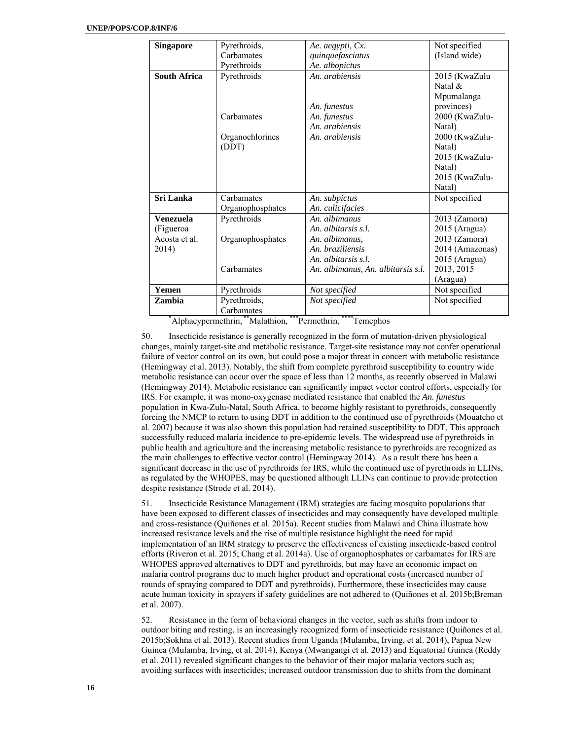| <b>Singapore</b>    | Pyrethroids,     | Ae. aegypti, Cx.                   | Not specified   |
|---------------------|------------------|------------------------------------|-----------------|
|                     | Carbamates       |                                    |                 |
|                     |                  | quinquefasciatus                   | (Island wide)   |
|                     | Pyrethroids      | Ae. albopictus                     |                 |
| <b>South Africa</b> | Pyrethroids      | An. arabiensis                     | 2015 (KwaZulu   |
|                     |                  |                                    | Natal &         |
|                     |                  |                                    | Mpumalanga      |
|                     |                  | An. funestus                       | provinces)      |
|                     | Carbamates       | An. funestus                       | 2000 (KwaZulu-  |
|                     |                  | An. arabiensis                     | Natal)          |
|                     | Organochlorines  | An. arabiensis                     | 2000 (KwaZulu-  |
|                     | (DDT)            |                                    | Natal)          |
|                     |                  |                                    | 2015 (KwaZulu-  |
|                     |                  |                                    | Natal)          |
|                     |                  |                                    | 2015 (KwaZulu-  |
|                     |                  |                                    | Natal)          |
| Sri Lanka           | Carbamates       | An. subpictus                      | Not specified   |
|                     | Organophosphates | An. culicifacies                   |                 |
| <b>Venezuela</b>    | Pyrethroids      | An. albimanus                      | $2013$ (Zamora) |
| (Figueroa           |                  | An. albitarsis s.l.                | 2015 (Aragua)   |
| Acosta et al.       | Organophosphates | An. albimanus.                     | $2013$ (Zamora) |
| 2014)               |                  | An. braziliensis                   | 2014 (Amazonas) |
|                     |                  | An. albitarsis s.l.                | 2015 (Aragua)   |
|                     | Carbamates       | An. albimanus, An. albitarsis s.l. | 2013, 2015      |
|                     |                  |                                    | (Aragua)        |
| Yemen               | Pyrethroids      | Not specified                      | Not specified   |
| Zambia              | Pyrethroids,     | Not specified                      | Not specified   |
|                     | Carbamates       |                                    |                 |

\*Alphacypermethrin, \*\*Malathion, \*\*\*\*Permethrin, \*\*\*\*\*Temephos

50. Insecticide resistance is generally recognized in the form of mutation-driven physiological changes, mainly target-site and metabolic resistance. Target-site resistance may not confer operational failure of vector control on its own, but could pose a major threat in concert with metabolic resistance (Hemingway et al. 2013). Notably, the shift from complete pyrethroid susceptibility to country wide metabolic resistance can occur over the space of less than 12 months, as recently observed in Malawi (Hemingway 2014). Metabolic resistance can significantly impact vector control efforts, especially for IRS. For example, it was mono-oxygenase mediated resistance that enabled the *An. funestus* population in Kwa-Zulu-Natal, South Africa, to become highly resistant to pyrethroids, consequently forcing the NMCP to return to using DDT in addition to the continued use of pyrethroids (Mouatcho et al. 2007) because it was also shown this population had retained susceptibility to DDT. This approach successfully reduced malaria incidence to pre-epidemic levels. The widespread use of pyrethroids in public health and agriculture and the increasing metabolic resistance to pyrethroids are recognized as the main challenges to effective vector control (Hemingway 2014). As a result there has been a significant decrease in the use of pyrethroids for IRS, while the continued use of pyrethroids in LLINs, as regulated by the WHOPES, may be questioned although LLINs can continue to provide protection despite resistance (Strode et al. 2014).

51. Insecticide Resistance Management (IRM) strategies are facing mosquito populations that have been exposed to different classes of insecticides and may consequently have developed multiple and cross-resistance (Quiñones et al. 2015a). Recent studies from Malawi and China illustrate how increased resistance levels and the rise of multiple resistance highlight the need for rapid implementation of an IRM strategy to preserve the effectiveness of existing insecticide-based control efforts (Riveron et al. 2015; Chang et al. 2014a). Use of organophosphates or carbamates for IRS are WHOPES approved alternatives to DDT and pyrethroids, but may have an economic impact on malaria control programs due to much higher product and operational costs (increased number of rounds of spraying compared to DDT and pyrethroids). Furthermore, these insecticides may cause acute human toxicity in sprayers if safety guidelines are not adhered to (Quiñones et al. 2015b;Breman et al. 2007).

52. Resistance in the form of behavioral changes in the vector, such as shifts from indoor to outdoor biting and resting, is an increasingly recognized form of insecticide resistance (Quiñones et al. 2015b;Sokhna et al. 2013). Recent studies from Uganda (Mulamba, Irving, et al. 2014), Papua New Guinea (Mulamba, Irving, et al. 2014), Kenya (Mwangangi et al. 2013) and Equatorial Guinea (Reddy et al. 2011) revealed significant changes to the behavior of their major malaria vectors such as; avoiding surfaces with insecticides; increased outdoor transmission due to shifts from the dominant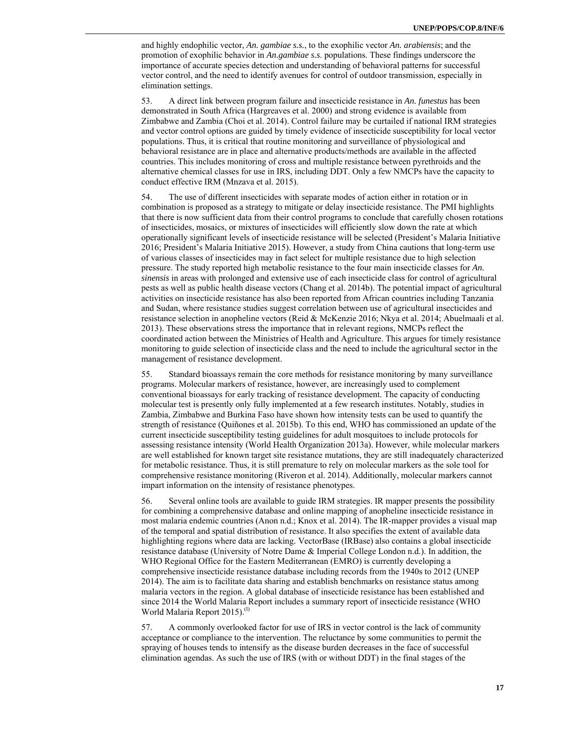and highly endophilic vector, *An. gambiae s.s.*, to the exophilic vector *An. arabiensis*; and the promotion of exophilic behavior in *An.gambiae s.s*. populations. These findings underscore the importance of accurate species detection and understanding of behavioral patterns for successful vector control, and the need to identify avenues for control of outdoor transmission, especially in elimination settings.

53. A direct link between program failure and insecticide resistance in *An. funestus* has been demonstrated in South Africa (Hargreaves et al. 2000) and strong evidence is available from Zimbabwe and Zambia (Choi et al. 2014). Control failure may be curtailed if national IRM strategies and vector control options are guided by timely evidence of insecticide susceptibility for local vector populations. Thus, it is critical that routine monitoring and surveillance of physiological and behavioral resistance are in place and alternative products/methods are available in the affected countries. This includes monitoring of cross and multiple resistance between pyrethroids and the alternative chemical classes for use in IRS, including DDT. Only a few NMCPs have the capacity to conduct effective IRM (Mnzava et al. 2015).

54. The use of different insecticides with separate modes of action either in rotation or in combination is proposed as a strategy to mitigate or delay insecticide resistance. The PMI highlights that there is now sufficient data from their control programs to conclude that carefully chosen rotations of insecticides, mosaics, or mixtures of insecticides will efficiently slow down the rate at which operationally significant levels of insecticide resistance will be selected (President's Malaria Initiative 2016; President's Malaria Initiative 2015). However, a study from China cautions that long-term use of various classes of insecticides may in fact select for multiple resistance due to high selection pressure. The study reported high metabolic resistance to the four main insecticide classes for *An. sinensis* in areas with prolonged and extensive use of each insecticide class for control of agricultural pests as well as public health disease vectors (Chang et al. 2014b). The potential impact of agricultural activities on insecticide resistance has also been reported from African countries including Tanzania and Sudan, where resistance studies suggest correlation between use of agricultural insecticides and resistance selection in anopheline vectors (Reid & McKenzie 2016; Nkya et al. 2014; Abuelmaali et al. 2013). These observations stress the importance that in relevant regions, NMCPs reflect the coordinated action between the Ministries of Health and Agriculture. This argues for timely resistance monitoring to guide selection of insecticide class and the need to include the agricultural sector in the management of resistance development.

55. Standard bioassays remain the core methods for resistance monitoring by many surveillance programs. Molecular markers of resistance, however, are increasingly used to complement conventional bioassays for early tracking of resistance development. The capacity of conducting molecular test is presently only fully implemented at a few research institutes. Notably, studies in Zambia, Zimbabwe and Burkina Faso have shown how intensity tests can be used to quantify the strength of resistance (Quiñones et al. 2015b). To this end, WHO has commissioned an update of the current insecticide susceptibility testing guidelines for adult mosquitoes to include protocols for assessing resistance intensity (World Health Organization 2013a). However, while molecular markers are well established for known target site resistance mutations, they are still inadequately characterized for metabolic resistance. Thus, it is still premature to rely on molecular markers as the sole tool for comprehensive resistance monitoring (Riveron et al. 2014). Additionally, molecular markers cannot impart information on the intensity of resistance phenotypes.

56. Several online tools are available to guide IRM strategies. IR mapper presents the possibility for combining a comprehensive database and online mapping of anopheline insecticide resistance in most malaria endemic countries (Anon n.d.; Knox et al. 2014). The IR-mapper provides a visual map of the temporal and spatial distribution of resistance. It also specifies the extent of available data highlighting regions where data are lacking. VectorBase (IRBase) also contains a global insecticide resistance database (University of Notre Dame & Imperial College London n.d.). In addition, the WHO Regional Office for the Eastern Mediterranean (EMRO) is currently developing a comprehensive insecticide resistance database including records from the 1940s to 2012 (UNEP 2014). The aim is to facilitate data sharing and establish benchmarks on resistance status among malaria vectors in the region. A global database of insecticide resistance has been established and since 2014 the World Malaria Report includes a summary report of insecticide resistance (WHO World Malaria Report 2015).<sup>(l)</sup>

57. A commonly overlooked factor for use of IRS in vector control is the lack of community acceptance or compliance to the intervention. The reluctance by some communities to permit the spraying of houses tends to intensify as the disease burden decreases in the face of successful elimination agendas. As such the use of IRS (with or without DDT) in the final stages of the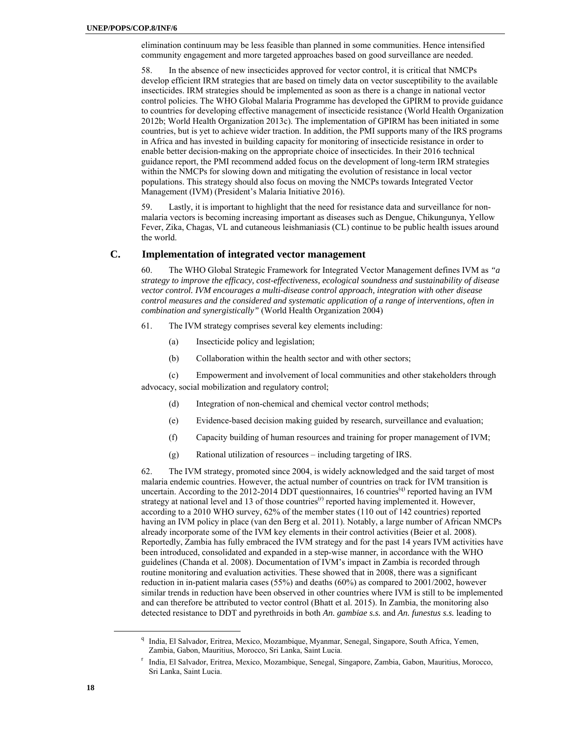elimination continuum may be less feasible than planned in some communities. Hence intensified community engagement and more targeted approaches based on good surveillance are needed.

58. In the absence of new insecticides approved for vector control, it is critical that NMCPs develop efficient IRM strategies that are based on timely data on vector susceptibility to the available insecticides. IRM strategies should be implemented as soon as there is a change in national vector control policies. The WHO Global Malaria Programme has developed the GPIRM to provide guidance to countries for developing effective management of insecticide resistance (World Health Organization 2012b; World Health Organization 2013c). The implementation of GPIRM has been initiated in some countries, but is yet to achieve wider traction. In addition, the PMI supports many of the IRS programs in Africa and has invested in building capacity for monitoring of insecticide resistance in order to enable better decision-making on the appropriate choice of insecticides. In their 2016 technical guidance report, the PMI recommend added focus on the development of long-term IRM strategies within the NMCPs for slowing down and mitigating the evolution of resistance in local vector populations. This strategy should also focus on moving the NMCPs towards Integrated Vector Management (IVM) (President's Malaria Initiative 2016).

59. Lastly, it is important to highlight that the need for resistance data and surveillance for nonmalaria vectors is becoming increasing important as diseases such as Dengue, Chikungunya, Yellow Fever, Zika, Chagas, VL and cutaneous leishmaniasis (CL) continue to be public health issues around the world.

### **C. Implementation of integrated vector management**

60. The WHO Global Strategic Framework for Integrated Vector Management defines IVM as *"a strategy to improve the efficacy, cost-effectiveness, ecological soundness and sustainability of disease vector control. IVM encourages a multi-disease control approach, integration with other disease control measures and the considered and systematic application of a range of interventions, often in combination and synergistically"* (World Health Organization 2004)

- 61. The IVM strategy comprises several key elements including:
	- (a) Insecticide policy and legislation;
	- (b) Collaboration within the health sector and with other sectors;

(c) Empowerment and involvement of local communities and other stakeholders through advocacy, social mobilization and regulatory control;

- (d) Integration of non-chemical and chemical vector control methods;
- (e) Evidence-based decision making guided by research, surveillance and evaluation;
- (f) Capacity building of human resources and training for proper management of IVM;
- (g) Rational utilization of resources including targeting of IRS.

62. The IVM strategy, promoted since 2004, is widely acknowledged and the said target of most malaria endemic countries. However, the actual number of countries on track for IVM transition is uncertain. According to the 2012-2014 DDT questionnaires, 16 countries<sup>(a)</sup> reported having an IVM strategy at national level and 13 of those countries<sup>(r)</sup> reported having implemented it. However, according to a 2010 WHO survey, 62% of the member states (110 out of 142 countries) reported having an IVM policy in place (van den Berg et al. 2011). Notably, a large number of African NMCPs already incorporate some of the IVM key elements in their control activities (Beier et al. 2008). Reportedly, Zambia has fully embraced the IVM strategy and for the past 14 years IVM activities have been introduced, consolidated and expanded in a step-wise manner, in accordance with the WHO guidelines (Chanda et al. 2008). Documentation of IVM's impact in Zambia is recorded through routine monitoring and evaluation activities. These showed that in 2008, there was a significant reduction in in-patient malaria cases (55%) and deaths (60%) as compared to 2001/2002, however similar trends in reduction have been observed in other countries where IVM is still to be implemented and can therefore be attributed to vector control (Bhatt et al. 2015). In Zambia, the monitoring also detected resistance to DDT and pyrethroids in both *An. gambiae s.s.* and *An. funestus s.s.* leading to

 $\overline{a}$  India, El Salvador, Eritrea, Mexico, Mozambique, Myanmar, Senegal, Singapore, South Africa, Yemen, Zambia, Gabon, Mauritius, Morocco, Sri Lanka, Saint Lucia.

r India, El Salvador, Eritrea, Mexico, Mozambique, Senegal, Singapore, Zambia, Gabon, Mauritius, Morocco, Sri Lanka, Saint Lucia.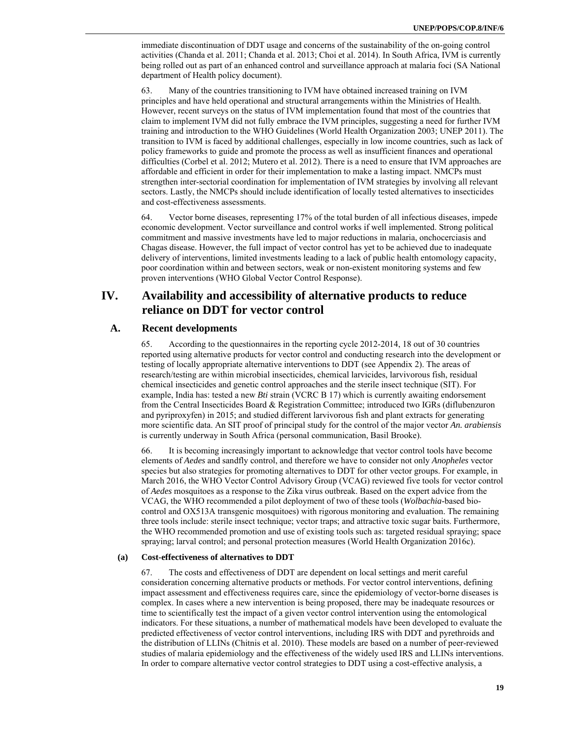immediate discontinuation of DDT usage and concerns of the sustainability of the on-going control activities (Chanda et al. 2011; Chanda et al. 2013; Choi et al. 2014). In South Africa, IVM is currently being rolled out as part of an enhanced control and surveillance approach at malaria foci (SA National department of Health policy document).

63. Many of the countries transitioning to IVM have obtained increased training on IVM principles and have held operational and structural arrangements within the Ministries of Health. However, recent surveys on the status of IVM implementation found that most of the countries that claim to implement IVM did not fully embrace the IVM principles, suggesting a need for further IVM training and introduction to the WHO Guidelines (World Health Organization 2003; UNEP 2011). The transition to IVM is faced by additional challenges, especially in low income countries, such as lack of policy frameworks to guide and promote the process as well as insufficient finances and operational difficulties (Corbel et al. 2012; Mutero et al. 2012). There is a need to ensure that IVM approaches are affordable and efficient in order for their implementation to make a lasting impact. NMCPs must strengthen inter-sectorial coordination for implementation of IVM strategies by involving all relevant sectors. Lastly, the NMCPs should include identification of locally tested alternatives to insecticides and cost-effectiveness assessments.

64. Vector borne diseases, representing 17% of the total burden of all infectious diseases, impede economic development. Vector surveillance and control works if well implemented. Strong political commitment and massive investments have led to major reductions in malaria, onchocerciasis and Chagas disease. However, the full impact of vector control has yet to be achieved due to inadequate delivery of interventions, limited investments leading to a lack of public health entomology capacity, poor coordination within and between sectors, weak or non-existent monitoring systems and few proven interventions (WHO Global Vector Control Response).

# **IV. Availability and accessibility of alternative products to reduce reliance on DDT for vector control**

### **A. Recent developments**

65. According to the questionnaires in the reporting cycle 2012-2014, 18 out of 30 countries reported using alternative products for vector control and conducting research into the development or testing of locally appropriate alternative interventions to DDT (see Appendix 2). The areas of research/testing are within microbial insecticides, chemical larvicides, larvivorous fish, residual chemical insecticides and genetic control approaches and the sterile insect technique (SIT). For example, India has: tested a new *Bti* strain (VCRC B 17) which is currently awaiting endorsement from the Central Insecticides Board & Registration Committee; introduced two IGRs (diflubenzuron and pyriproxyfen) in 2015; and studied different larvivorous fish and plant extracts for generating more scientific data. An SIT proof of principal study for the control of the major vector *An. arabiensis* is currently underway in South Africa (personal communication, Basil Brooke).

66. It is becoming increasingly important to acknowledge that vector control tools have become elements of *Aedes* and sandfly control, and therefore we have to consider not only *Anopheles* vector species but also strategies for promoting alternatives to DDT for other vector groups. For example, in March 2016, the WHO Vector Control Advisory Group (VCAG) reviewed five tools for vector control of *Aedes* mosquitoes as a response to the Zika virus outbreak. Based on the expert advice from the VCAG, the WHO recommended a pilot deployment of two of these tools (*Wolbachia*-based biocontrol and OX513A transgenic mosquitoes) with rigorous monitoring and evaluation. The remaining three tools include: sterile insect technique; vector traps; and attractive toxic sugar baits. Furthermore, the WHO recommended promotion and use of existing tools such as: targeted residual spraying; space spraying; larval control; and personal protection measures (World Health Organization 2016c).

#### **(a) Cost-effectiveness of alternatives to DDT**

67. The costs and effectiveness of DDT are dependent on local settings and merit careful consideration concerning alternative products or methods. For vector control interventions, defining impact assessment and effectiveness requires care, since the epidemiology of vector-borne diseases is complex. In cases where a new intervention is being proposed, there may be inadequate resources or time to scientifically test the impact of a given vector control intervention using the entomological indicators. For these situations, a number of mathematical models have been developed to evaluate the predicted effectiveness of vector control interventions, including IRS with DDT and pyrethroids and the distribution of LLINs (Chitnis et al. 2010). These models are based on a number of peer-reviewed studies of malaria epidemiology and the effectiveness of the widely used IRS and LLINs interventions. In order to compare alternative vector control strategies to DDT using a cost-effective analysis, a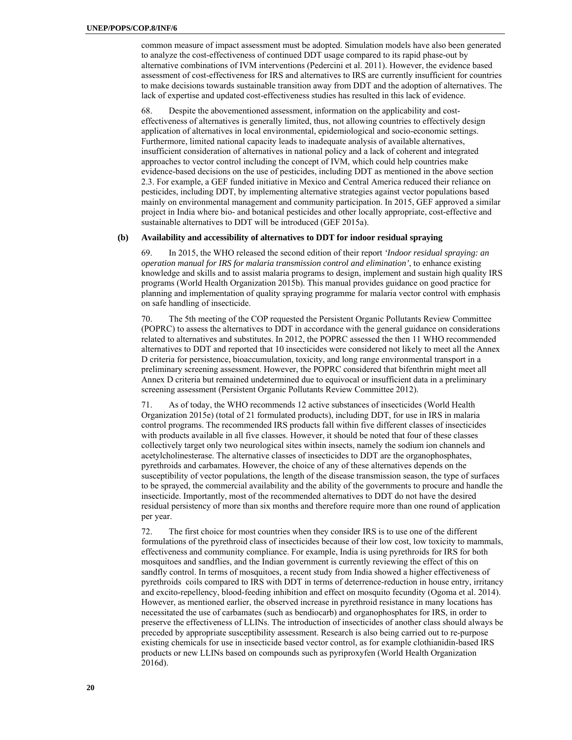common measure of impact assessment must be adopted. Simulation models have also been generated to analyze the cost-effectiveness of continued DDT usage compared to its rapid phase-out by alternative combinations of IVM interventions (Pedercini et al. 2011). However, the evidence based assessment of cost-effectiveness for IRS and alternatives to IRS are currently insufficient for countries to make decisions towards sustainable transition away from DDT and the adoption of alternatives. The lack of expertise and updated cost-effectiveness studies has resulted in this lack of evidence.

68. Despite the abovementioned assessment, information on the applicability and costeffectiveness of alternatives is generally limited, thus, not allowing countries to effectively design application of alternatives in local environmental, epidemiological and socio-economic settings. Furthermore, limited national capacity leads to inadequate analysis of available alternatives, insufficient consideration of alternatives in national policy and a lack of coherent and integrated approaches to vector control including the concept of IVM, which could help countries make evidence-based decisions on the use of pesticides, including DDT as mentioned in the above section 2.3. For example, a GEF funded initiative in Mexico and Central America reduced their reliance on pesticides, including DDT, by implementing alternative strategies against vector populations based mainly on environmental management and community participation. In 2015, GEF approved a similar project in India where bio- and botanical pesticides and other locally appropriate, cost-effective and sustainable alternatives to DDT will be introduced (GEF 2015a).

#### **(b) Availability and accessibility of alternatives to DDT for indoor residual spraying**

69. In 2015, the WHO released the second edition of their report *'Indoor residual spraying: an operation manual for IRS for malaria transmission control and elimination'*, to enhance existing knowledge and skills and to assist malaria programs to design, implement and sustain high quality IRS programs (World Health Organization 2015b). This manual provides guidance on good practice for planning and implementation of quality spraying programme for malaria vector control with emphasis on safe handling of insecticide.

70. The 5th meeting of the COP requested the Persistent Organic Pollutants Review Committee (POPRC) to assess the alternatives to DDT in accordance with the general guidance on considerations related to alternatives and substitutes. In 2012, the POPRC assessed the then 11 WHO recommended alternatives to DDT and reported that 10 insecticides were considered not likely to meet all the Annex D criteria for persistence, bioaccumulation, toxicity, and long range environmental transport in a preliminary screening assessment. However, the POPRC considered that bifenthrin might meet all Annex D criteria but remained undetermined due to equivocal or insufficient data in a preliminary screening assessment (Persistent Organic Pollutants Review Committee 2012).

71. As of today, the WHO recommends 12 active substances of insecticides (World Health Organization 2015e) (total of 21 formulated products), including DDT, for use in IRS in malaria control programs. The recommended IRS products fall within five different classes of insecticides with products available in all five classes. However, it should be noted that four of these classes collectively target only two neurological sites within insects, namely the sodium ion channels and acetylcholinesterase. The alternative classes of insecticides to DDT are the organophosphates, pyrethroids and carbamates. However, the choice of any of these alternatives depends on the susceptibility of vector populations, the length of the disease transmission season, the type of surfaces to be sprayed, the commercial availability and the ability of the governments to procure and handle the insecticide. Importantly, most of the recommended alternatives to DDT do not have the desired residual persistency of more than six months and therefore require more than one round of application per year.

72. The first choice for most countries when they consider IRS is to use one of the different formulations of the pyrethroid class of insecticides because of their low cost, low toxicity to mammals, effectiveness and community compliance. For example, India is using pyrethroids for IRS for both mosquitoes and sandflies, and the Indian government is currently reviewing the effect of this on sandfly control. In terms of mosquitoes, a recent study from India showed a higher effectiveness of pyrethroids coils compared to IRS with DDT in terms of deterrence-reduction in house entry, irritancy and excito-repellency, blood-feeding inhibition and effect on mosquito fecundity (Ogoma et al. 2014). However, as mentioned earlier, the observed increase in pyrethroid resistance in many locations has necessitated the use of carbamates (such as bendiocarb) and organophosphates for IRS, in order to preserve the effectiveness of LLINs. The introduction of insecticides of another class should always be preceded by appropriate susceptibility assessment. Research is also being carried out to re-purpose existing chemicals for use in insecticide based vector control, as for example clothianidin-based IRS products or new LLINs based on compounds such as pyriproxyfen (World Health Organization 2016d).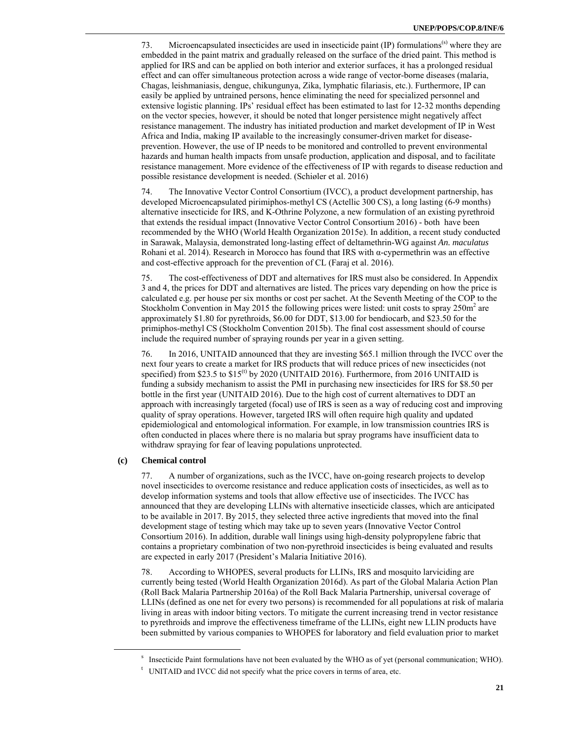73. Microencapsulated insecticides are used in insecticide paint  $(IP)$  formulations<sup>(s)</sup> where they are embedded in the paint matrix and gradually released on the surface of the dried paint. This method is applied for IRS and can be applied on both interior and exterior surfaces, it has a prolonged residual effect and can offer simultaneous protection across a wide range of vector-borne diseases (malaria, Chagas, leishmaniasis, dengue, chikungunya, Zika, lymphatic filariasis, etc.). Furthermore, IP can easily be applied by untrained persons, hence eliminating the need for specialized personnel and extensive logistic planning. IPs' residual effect has been estimated to last for 12-32 months depending on the vector species, however, it should be noted that longer persistence might negatively affect resistance management. The industry has initiated production and market development of IP in West Africa and India, making IP available to the increasingly consumer-driven market for diseaseprevention. However, the use of IP needs to be monitored and controlled to prevent environmental hazards and human health impacts from unsafe production, application and disposal, and to facilitate resistance management. More evidence of the effectiveness of IP with regards to disease reduction and possible resistance development is needed. (Schiøler et al. 2016)

74. The Innovative Vector Control Consortium (IVCC), a product development partnership, has developed Microencapsulated pirimiphos-methyl CS (Actellic 300 CS), a long lasting (6-9 months) alternative insecticide for IRS, and K-Othrine Polyzone, a new formulation of an existing pyrethroid that extends the residual impact (Innovative Vector Control Consortium 2016) - both have been recommended by the WHO (World Health Organization 2015e). In addition, a recent study conducted in Sarawak, Malaysia, demonstrated long-lasting effect of deltamethrin-WG against *An. maculatus* Rohani et al. 2014). Research in Morocco has found that IRS with α-cypermethrin was an effective and cost-effective approach for the prevention of CL (Faraj et al. 2016).

75. The cost-effectiveness of DDT and alternatives for IRS must also be considered. In Appendix 3 and 4, the prices for DDT and alternatives are listed. The prices vary depending on how the price is calculated e.g. per house per six months or cost per sachet. At the Seventh Meeting of the COP to the Stockholm Convention in May 2015 the following prices were listed: unit costs to spray 250m<sup>2</sup> are approximately \$1.80 for pyrethroids, \$6.00 for DDT, \$13.00 for bendiocarb, and \$23.50 for the primiphos-methyl CS (Stockholm Convention 2015b). The final cost assessment should of course include the required number of spraying rounds per year in a given setting.

76. In 2016, UNITAID announced that they are investing \$65.1 million through the IVCC over the next four years to create a market for IRS products that will reduce prices of new insecticides (not specified) from \$23.5 to  $$15^{(t)}$  by 2020 (UNITAID 2016). Furthermore, from 2016 UNITAID is funding a subsidy mechanism to assist the PMI in purchasing new insecticides for IRS for \$8.50 per bottle in the first year (UNITAID 2016). Due to the high cost of current alternatives to DDT an approach with increasingly targeted (focal) use of IRS is seen as a way of reducing cost and improving quality of spray operations. However, targeted IRS will often require high quality and updated epidemiological and entomological information. For example, in low transmission countries IRS is often conducted in places where there is no malaria but spray programs have insufficient data to withdraw spraying for fear of leaving populations unprotected.

#### **(c) Chemical control**

77. A number of organizations, such as the IVCC, have on-going research projects to develop novel insecticides to overcome resistance and reduce application costs of insecticides, as well as to develop information systems and tools that allow effective use of insecticides. The IVCC has announced that they are developing LLINs with alternative insecticide classes, which are anticipated to be available in 2017. By 2015, they selected three active ingredients that moved into the final development stage of testing which may take up to seven years (Innovative Vector Control Consortium 2016). In addition, durable wall linings using high-density polypropylene fabric that contains a proprietary combination of two non-pyrethroid insecticides is being evaluated and results are expected in early 2017 (President's Malaria Initiative 2016).

78. According to WHOPES, several products for LLINs, IRS and mosquito larviciding are currently being tested (World Health Organization 2016d). As part of the Global Malaria Action Plan (Roll Back Malaria Partnership 2016a) of the Roll Back Malaria Partnership, universal coverage of LLINs (defined as one net for every two persons) is recommended for all populations at risk of malaria living in areas with indoor biting vectors. To mitigate the current increasing trend in vector resistance to pyrethroids and improve the effectiveness timeframe of the LLINs, eight new LLIN products have been submitted by various companies to WHOPES for laboratory and field evaluation prior to market

<sup>&</sup>lt;sup>s</sup> Insecticide Paint formulations have not been evaluated by the WHO as of yet (personal communication; WHO). <sup>t</sup> UNITAID and IVCC did not specify what the price covers in terms of area, etc.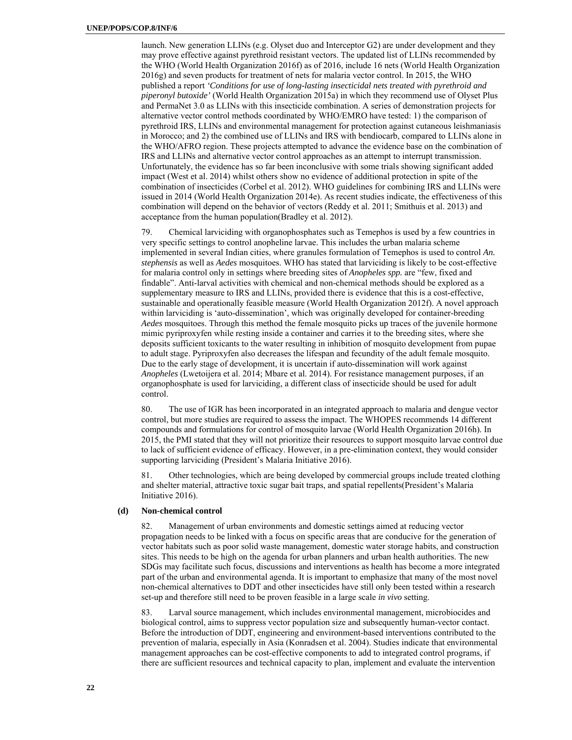launch. New generation LLINs (e.g. Olyset duo and Interceptor G2) are under development and they may prove effective against pyrethroid resistant vectors. The updated list of LLINs recommended by the WHO (World Health Organization 2016f) as of 2016, include 16 nets (World Health Organization 2016g) and seven products for treatment of nets for malaria vector control. In 2015, the WHO published a report *'Conditions for use of long-lasting insecticidal nets treated with pyrethroid and piperonyl butoxide'* (World Health Organization 2015a) in which they recommend use of Olyset Plus and PermaNet 3.0 as LLINs with this insecticide combination. A series of demonstration projects for alternative vector control methods coordinated by WHO/EMRO have tested: 1) the comparison of pyrethroid IRS, LLINs and environmental management for protection against cutaneous leishmaniasis in Morocco; and 2) the combined use of LLINs and IRS with bendiocarb, compared to LLINs alone in the WHO/AFRO region. These projects attempted to advance the evidence base on the combination of IRS and LLINs and alternative vector control approaches as an attempt to interrupt transmission. Unfortunately, the evidence has so far been inconclusive with some trials showing significant added impact (West et al. 2014) whilst others show no evidence of additional protection in spite of the combination of insecticides (Corbel et al. 2012). WHO guidelines for combining IRS and LLINs were issued in 2014 (World Health Organization 2014e). As recent studies indicate, the effectiveness of this combination will depend on the behavior of vectors (Reddy et al. 2011; Smithuis et al. 2013) and acceptance from the human population(Bradley et al. 2012).

79. Chemical larviciding with organophosphates such as Temephos is used by a few countries in very specific settings to control anopheline larvae. This includes the urban malaria scheme implemented in several Indian cities, where granules formulation of Temephos is used to control *An. stephensis* as well as *Aedes* mosquitoes. WHO has stated that larviciding is likely to be cost-effective for malaria control only in settings where breeding sites of *Anopheles spp.* are "few, fixed and findable". Anti-larval activities with chemical and non-chemical methods should be explored as a supplementary measure to IRS and LLINs, provided there is evidence that this is a cost-effective, sustainable and operationally feasible measure (World Health Organization 2012f). A novel approach within larviciding is 'auto-dissemination', which was originally developed for container-breeding *Aedes* mosquitoes. Through this method the female mosquito picks up traces of the juvenile hormone mimic pyriproxyfen while resting inside a container and carries it to the breeding sites, where she deposits sufficient toxicants to the water resulting in inhibition of mosquito development from pupae to adult stage. Pyriproxyfen also decreases the lifespan and fecundity of the adult female mosquito. Due to the early stage of development, it is uncertain if auto-dissemination will work against *Anopheles* (Lwetoijera et al. 2014; Mbare et al. 2014). For resistance management purposes, if an organophosphate is used for larviciding, a different class of insecticide should be used for adult control.

80. The use of IGR has been incorporated in an integrated approach to malaria and dengue vector control, but more studies are required to assess the impact. The WHOPES recommends 14 different compounds and formulations for control of mosquito larvae (World Health Organization 2016h). In 2015, the PMI stated that they will not prioritize their resources to support mosquito larvae control due to lack of sufficient evidence of efficacy. However, in a pre-elimination context, they would consider supporting larviciding (President's Malaria Initiative 2016).

81. Other technologies, which are being developed by commercial groups include treated clothing and shelter material, attractive toxic sugar bait traps, and spatial repellents(President's Malaria Initiative 2016).

#### **(d) Non-chemical control**

82. Management of urban environments and domestic settings aimed at reducing vector propagation needs to be linked with a focus on specific areas that are conducive for the generation of vector habitats such as poor solid waste management, domestic water storage habits, and construction sites. This needs to be high on the agenda for urban planners and urban health authorities. The new SDGs may facilitate such focus, discussions and interventions as health has become a more integrated part of the urban and environmental agenda. It is important to emphasize that many of the most novel non-chemical alternatives to DDT and other insecticides have still only been tested within a research set-up and therefore still need to be proven feasible in a large scale *in vivo* setting.

83. Larval source management, which includes environmental management, microbiocides and biological control, aims to suppress vector population size and subsequently human-vector contact. Before the introduction of DDT, engineering and environment-based interventions contributed to the prevention of malaria, especially in Asia (Konradsen et al. 2004). Studies indicate that environmental management approaches can be cost-effective components to add to integrated control programs, if there are sufficient resources and technical capacity to plan, implement and evaluate the intervention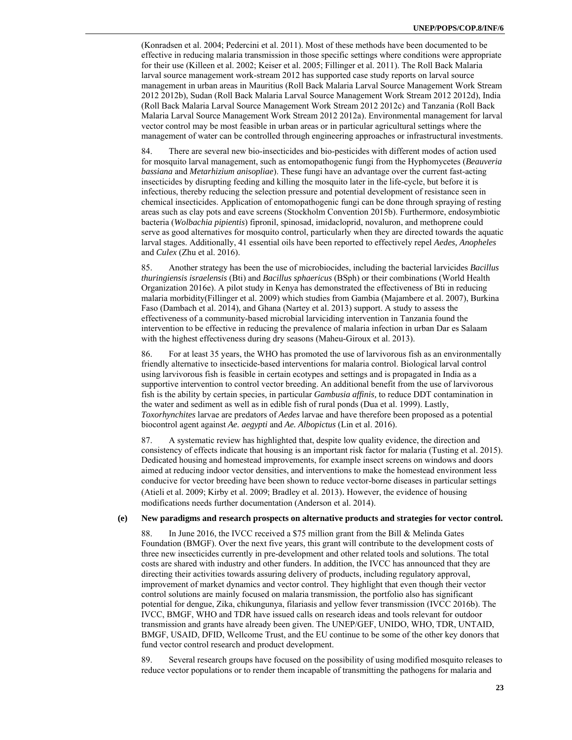(Konradsen et al. 2004; Pedercini et al. 2011). Most of these methods have been documented to be effective in reducing malaria transmission in those specific settings where conditions were appropriate for their use (Killeen et al. 2002; Keiser et al. 2005; Fillinger et al. 2011). The Roll Back Malaria larval source management work-stream 2012 has supported case study reports on larval source management in urban areas in Mauritius (Roll Back Malaria Larval Source Management Work Stream 2012 2012b), Sudan (Roll Back Malaria Larval Source Management Work Stream 2012 2012d), India (Roll Back Malaria Larval Source Management Work Stream 2012 2012c) and Tanzania (Roll Back Malaria Larval Source Management Work Stream 2012 2012a). Environmental management for larval vector control may be most feasible in urban areas or in particular agricultural settings where the management of water can be controlled through engineering approaches or infrastructural investments.

84. There are several new bio-insecticides and bio-pesticides with different modes of action used for mosquito larval management, such as entomopathogenic fungi from the Hyphomycetes (*Beauveria bassiana* and *Metarhizium anisopliae*). These fungi have an advantage over the current fast-acting insecticides by disrupting feeding and killing the mosquito later in the life-cycle, but before it is infectious, thereby reducing the selection pressure and potential development of resistance seen in chemical insecticides. Application of entomopathogenic fungi can be done through spraying of resting areas such as clay pots and eave screens (Stockholm Convention 2015b). Furthermore, endosymbiotic bacteria (*Wolbachia pipientis*) fipronil, spinosad, imidacloprid, novaluron, and methoprene could serve as good alternatives for mosquito control, particularly when they are directed towards the aquatic larval stages. Additionally, 41 essential oils have been reported to effectively repel *Aedes, Anopheles* and *Culex* (Zhu et al. 2016).

85. Another strategy has been the use of microbiocides, including the bacterial larvicides *Bacillus thuringiensis israelensis* (Bti) and *Bacillus sphaericus* (BSph) or their combinations (World Health Organization 2016e). A pilot study in Kenya has demonstrated the effectiveness of Bti in reducing malaria morbidity(Fillinger et al. 2009) which studies from Gambia (Majambere et al. 2007), Burkina Faso (Dambach et al. 2014), and Ghana (Nartey et al. 2013) support. A study to assess the effectiveness of a community-based microbial larviciding intervention in Tanzania found the intervention to be effective in reducing the prevalence of malaria infection in urban Dar es Salaam with the highest effectiveness during dry seasons (Maheu-Giroux et al. 2013).

86. For at least 35 years, the WHO has promoted the use of larvivorous fish as an environmentally friendly alternative to insecticide-based interventions for malaria control. Biological larval control using larvivorous fish is feasible in certain ecotypes and settings and is propagated in India as a supportive intervention to control vector breeding. An additional benefit from the use of larvivorous fish is the ability by certain species, in particular *Gambusia affinis,* to reduce DDT contamination in the water and sediment as well as in edible fish of rural ponds (Dua et al. 1999). Lastly, *Toxorhynchites* larvae are predators of *Aedes* larvae and have therefore been proposed as a potential biocontrol agent against *Ae. aegypti* and *Ae. Albopictus* (Lin et al. 2016).

87. A systematic review has highlighted that, despite low quality evidence, the direction and consistency of effects indicate that housing is an important risk factor for malaria (Tusting et al. 2015). Dedicated housing and homestead improvements, for example insect screens on windows and doors aimed at reducing indoor vector densities, and interventions to make the homestead environment less conducive for vector breeding have been shown to reduce vector-borne diseases in particular settings (Atieli et al. 2009; Kirby et al. 2009; Bradley et al. 2013). However, the evidence of housing modifications needs further documentation (Anderson et al. 2014).

#### **(e) New paradigms and research prospects on alternative products and strategies for vector control.**

88. In June 2016, the IVCC received a \$75 million grant from the Bill & Melinda Gates Foundation (BMGF). Over the next five years, this grant will contribute to the development costs of three new insecticides currently in pre-development and other related tools and solutions. The total costs are shared with industry and other funders. In addition, the IVCC has announced that they are directing their activities towards assuring delivery of products, including regulatory approval, improvement of market dynamics and vector control. They highlight that even though their vector control solutions are mainly focused on malaria transmission, the portfolio also has significant potential for dengue, Zika, chikungunya, filariasis and yellow fever transmission (IVCC 2016b). The IVCC, BMGF, WHO and TDR have issued calls on research ideas and tools relevant for outdoor transmission and grants have already been given. The UNEP/GEF, UNIDO, WHO, TDR, UNTAID, BMGF, USAID, DFID, Wellcome Trust, and the EU continue to be some of the other key donors that fund vector control research and product development.

89. Several research groups have focused on the possibility of using modified mosquito releases to reduce vector populations or to render them incapable of transmitting the pathogens for malaria and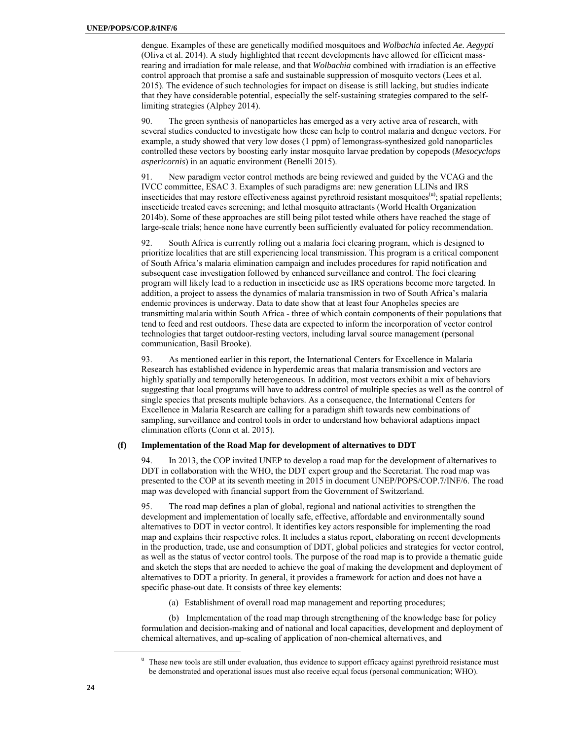dengue. Examples of these are genetically modified mosquitoes and *Wolbachia* infected *Ae. Aegypti*  (Oliva et al. 2014). A study highlighted that recent developments have allowed for efficient massrearing and irradiation for male release, and that *Wolbachia* combined with irradiation is an effective control approach that promise a safe and sustainable suppression of mosquito vectors (Lees et al. 2015). The evidence of such technologies for impact on disease is still lacking, but studies indicate that they have considerable potential, especially the self-sustaining strategies compared to the selflimiting strategies (Alphey 2014).

90. The green synthesis of nanoparticles has emerged as a very active area of research, with several studies conducted to investigate how these can help to control malaria and dengue vectors. For example, a study showed that very low doses (1 ppm) of lemongrass-synthesized gold nanoparticles controlled these vectors by boosting early instar mosquito larvae predation by copepods (*Mesocyclops aspericornis*) in an aquatic environment (Benelli 2015).

91. New paradigm vector control methods are being reviewed and guided by the VCAG and the IVCC committee, ESAC 3. Examples of such paradigms are: new generation LLINs and IRS insecticides that may restore effectiveness against pyrethroid resistant mosquitoes $\mathbf{u}$ ; spatial repellents; insecticide treated eaves screening; and lethal mosquito attractants (World Health Organization 2014b). Some of these approaches are still being pilot tested while others have reached the stage of large-scale trials; hence none have currently been sufficiently evaluated for policy recommendation.

92. South Africa is currently rolling out a malaria foci clearing program, which is designed to prioritize localities that are still experiencing local transmission. This program is a critical component of South Africa's malaria elimination campaign and includes procedures for rapid notification and subsequent case investigation followed by enhanced surveillance and control. The foci clearing program will likely lead to a reduction in insecticide use as IRS operations become more targeted. In addition, a project to assess the dynamics of malaria transmission in two of South Africa's malaria endemic provinces is underway. Data to date show that at least four Anopheles species are transmitting malaria within South Africa - three of which contain components of their populations that tend to feed and rest outdoors. These data are expected to inform the incorporation of vector control technologies that target outdoor-resting vectors, including larval source management (personal communication, Basil Brooke).

93. As mentioned earlier in this report, the International Centers for Excellence in Malaria Research has established evidence in hyperdemic areas that malaria transmission and vectors are highly spatially and temporally heterogeneous. In addition, most vectors exhibit a mix of behaviors suggesting that local programs will have to address control of multiple species as well as the control of single species that presents multiple behaviors. As a consequence, the International Centers for Excellence in Malaria Research are calling for a paradigm shift towards new combinations of sampling, surveillance and control tools in order to understand how behavioral adaptions impact elimination efforts (Conn et al. 2015).

#### **(f) Implementation of the Road Map for development of alternatives to DDT**

94. In 2013, the COP invited UNEP to develop a road map for the development of alternatives to DDT in collaboration with the WHO, the DDT expert group and the Secretariat. The road map was presented to the COP at its seventh meeting in 2015 in document UNEP/POPS/COP.7/INF/6. The road map was developed with financial support from the Government of Switzerland.

95. The road map defines a plan of global, regional and national activities to strengthen the development and implementation of locally safe, effective, affordable and environmentally sound alternatives to DDT in vector control. It identifies key actors responsible for implementing the road map and explains their respective roles. It includes a status report, elaborating on recent developments in the production, trade, use and consumption of DDT, global policies and strategies for vector control, as well as the status of vector control tools. The purpose of the road map is to provide a thematic guide and sketch the steps that are needed to achieve the goal of making the development and deployment of alternatives to DDT a priority. In general, it provides a framework for action and does not have a specific phase-out date. It consists of three key elements:

(a) Establishment of overall road map management and reporting procedures;

(b) Implementation of the road map through strengthening of the knowledge base for policy formulation and decision-making and of national and local capacities, development and deployment of chemical alternatives, and up-scaling of application of non-chemical alternatives, and

 $\overline{\phantom{a}}$  These new tools are still under evaluation, thus evidence to support efficacy against pyrethroid resistance must be demonstrated and operational issues must also receive equal focus (personal communication; WHO).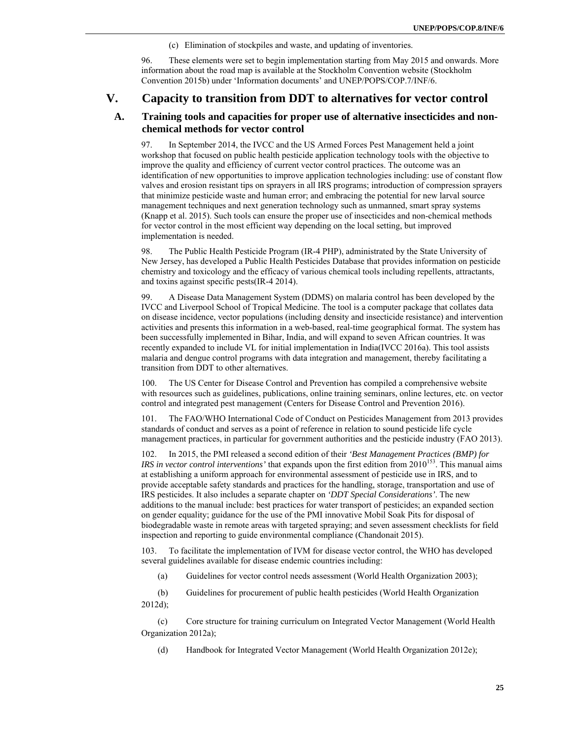(c) Elimination of stockpiles and waste, and updating of inventories.

96. These elements were set to begin implementation starting from May 2015 and onwards. More information about the road map is available at the Stockholm Convention website (Stockholm Convention 2015b) under 'Information documents' and UNEP/POPS/COP.7/INF/6.

### **V. Capacity to transition from DDT to alternatives for vector control**

### **A. Training tools and capacities for proper use of alternative insecticides and nonchemical methods for vector control**

97. In September 2014, the IVCC and the US Armed Forces Pest Management held a joint workshop that focused on public health pesticide application technology tools with the objective to improve the quality and efficiency of current vector control practices. The outcome was an identification of new opportunities to improve application technologies including: use of constant flow valves and erosion resistant tips on sprayers in all IRS programs; introduction of compression sprayers that minimize pesticide waste and human error; and embracing the potential for new larval source management techniques and next generation technology such as unmanned, smart spray systems (Knapp et al. 2015). Such tools can ensure the proper use of insecticides and non-chemical methods for vector control in the most efficient way depending on the local setting, but improved implementation is needed.

98. The Public Health Pesticide Program (IR-4 PHP), administrated by the State University of New Jersey, has developed a Public Health Pesticides Database that provides information on pesticide chemistry and toxicology and the efficacy of various chemical tools including repellents, attractants, and toxins against specific pests(IR-4 2014).

99. A Disease Data Management System (DDMS) on malaria control has been developed by the IVCC and Liverpool School of Tropical Medicine. The tool is a computer package that collates data on disease incidence, vector populations (including density and insecticide resistance) and intervention activities and presents this information in a web-based, real-time geographical format. The system has been successfully implemented in Bihar, India, and will expand to seven African countries. It was recently expanded to include VL for initial implementation in India(IVCC 2016a). This tool assists malaria and dengue control programs with data integration and management, thereby facilitating a transition from DDT to other alternatives.

100. The US Center for Disease Control and Prevention has compiled a comprehensive website with resources such as guidelines, publications, online training seminars, online lectures, etc. on vector control and integrated pest management (Centers for Disease Control and Prevention 2016).

101. The FAO/WHO International Code of Conduct on Pesticides Management from 2013 provides standards of conduct and serves as a point of reference in relation to sound pesticide life cycle management practices, in particular for government authorities and the pesticide industry (FAO 2013).

102. In 2015, the PMI released a second edition of their *'Best Management Practices (BMP) for IRS in vector control interventions'* that expands upon the first edition from 2010<sup>153</sup>. This manual aims at establishing a uniform approach for environmental assessment of pesticide use in IRS, and to provide acceptable safety standards and practices for the handling, storage, transportation and use of IRS pesticides. It also includes a separate chapter on *'DDT Special Considerations'*. The new additions to the manual include: best practices for water transport of pesticides; an expanded section on gender equality; guidance for the use of the PMI innovative Mobil Soak Pits for disposal of biodegradable waste in remote areas with targeted spraying; and seven assessment checklists for field inspection and reporting to guide environmental compliance (Chandonait 2015).

103. To facilitate the implementation of IVM for disease vector control, the WHO has developed several guidelines available for disease endemic countries including:

(a) Guidelines for vector control needs assessment (World Health Organization 2003);

(b) Guidelines for procurement of public health pesticides (World Health Organization 2012d);

(c) Core structure for training curriculum on Integrated Vector Management (World Health Organization 2012a);

(d) Handbook for Integrated Vector Management (World Health Organization 2012e);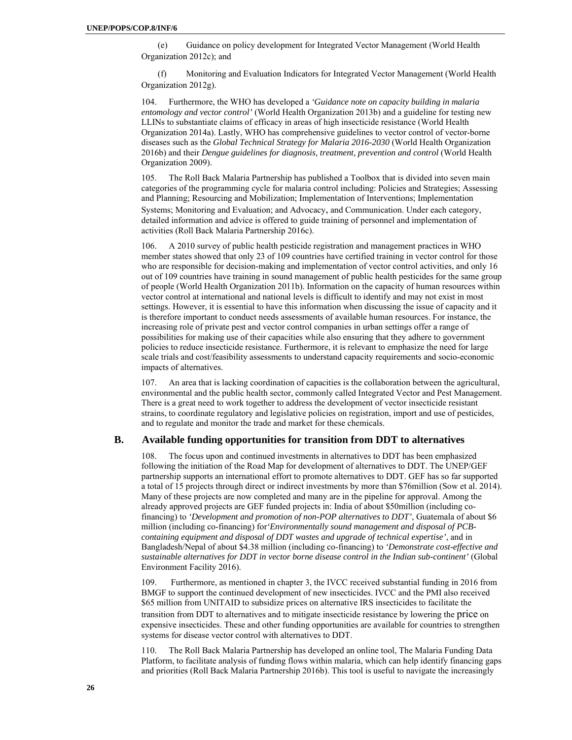(e) Guidance on policy development for Integrated Vector Management (World Health Organization 2012c); and

(f) Monitoring and Evaluation Indicators for Integrated Vector Management (World Health Organization 2012g).

104. Furthermore, the WHO has developed a *'Guidance note on capacity building in malaria entomology and vector control'* (World Health Organization 2013b) and a guideline for testing new LLINs to substantiate claims of efficacy in areas of high insecticide resistance (World Health Organization 2014a). Lastly, WHO has comprehensive guidelines to vector control of vector-borne diseases such as the *Global Technical Strategy for Malaria 2016-2030* (World Health Organization 2016b) and their *Dengue guidelines for diagnosis, treatment, prevention and control* (World Health Organization 2009).

105. The Roll Back Malaria Partnership has published a Toolbox that is divided into seven main categories of the programming cycle for malaria control including: Policies and Strategies; Assessing and Planning; Resourcing and Mobilization; Implementation of Interventions; Implementation Systems; Monitoring and Evaluation; and Advocacy, and Communication. Under each category, detailed information and advice is offered to guide training of personnel and implementation of activities (Roll Back Malaria Partnership 2016c).

106. A 2010 survey of public health pesticide registration and management practices in WHO member states showed that only 23 of 109 countries have certified training in vector control for those who are responsible for decision-making and implementation of vector control activities, and only 16 out of 109 countries have training in sound management of public health pesticides for the same group of people (World Health Organization 2011b). Information on the capacity of human resources within vector control at international and national levels is difficult to identify and may not exist in most settings. However, it is essential to have this information when discussing the issue of capacity and it is therefore important to conduct needs assessments of available human resources. For instance, the increasing role of private pest and vector control companies in urban settings offer a range of possibilities for making use of their capacities while also ensuring that they adhere to government policies to reduce insecticide resistance. Furthermore, it is relevant to emphasize the need for large scale trials and cost/feasibility assessments to understand capacity requirements and socio-economic impacts of alternatives.

107. An area that is lacking coordination of capacities is the collaboration between the agricultural, environmental and the public health sector, commonly called Integrated Vector and Pest Management. There is a great need to work together to address the development of vector insecticide resistant strains, to coordinate regulatory and legislative policies on registration, import and use of pesticides, and to regulate and monitor the trade and market for these chemicals.

### **B. Available funding opportunities for transition from DDT to alternatives**

108. The focus upon and continued investments in alternatives to DDT has been emphasized following the initiation of the Road Map for development of alternatives to DDT. The UNEP/GEF partnership supports an international effort to promote alternatives to DDT. GEF has so far supported a total of 15 projects through direct or indirect investments by more than \$76million (Sow et al. 2014). Many of these projects are now completed and many are in the pipeline for approval. Among the already approved projects are GEF funded projects in: India of about \$50million (including cofinancing) to *'Development and promotion of non-POP alternatives to DDT'*, Guatemala of about \$6 million (including co-financing) for*'Environmentally sound management and disposal of PCBcontaining equipment and disposal of DDT wastes and upgrade of technical expertise'*, and in Bangladesh/Nepal of about \$4.38 million (including co-financing) to *'Demonstrate cost-effective and sustainable alternatives for DDT in vector borne disease control in the Indian sub-continent'* (Global Environment Facility 2016).

109. Furthermore, as mentioned in chapter 3, the IVCC received substantial funding in 2016 from BMGF to support the continued development of new insecticides. IVCC and the PMI also received \$65 million from UNITAID to subsidize prices on alternative IRS insecticides to facilitate the transition from DDT to alternatives and to mitigate insecticide resistance by lowering the price on expensive insecticides. These and other funding opportunities are available for countries to strengthen systems for disease vector control with alternatives to DDT.

110. The Roll Back Malaria Partnership has developed an online tool, The Malaria Funding Data Platform, to facilitate analysis of funding flows within malaria, which can help identify financing gaps and priorities (Roll Back Malaria Partnership 2016b). This tool is useful to navigate the increasingly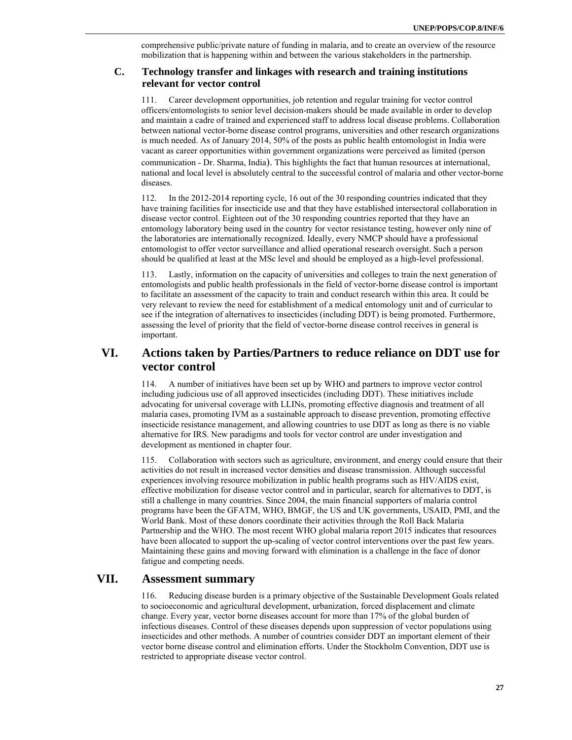comprehensive public/private nature of funding in malaria, and to create an overview of the resource mobilization that is happening within and between the various stakeholders in the partnership.

### **C. Technology transfer and linkages with research and training institutions relevant for vector control**

111. Career development opportunities, job retention and regular training for vector control officers/entomologists to senior level decision-makers should be made available in order to develop and maintain a cadre of trained and experienced staff to address local disease problems. Collaboration between national vector-borne disease control programs, universities and other research organizations is much needed. As of January 2014, 50% of the posts as public health entomologist in India were vacant as career opportunities within government organizations were perceived as limited (person communication - Dr. Sharma, India). This highlights the fact that human resources at international, national and local level is absolutely central to the successful control of malaria and other vector-borne diseases.

112. In the 2012-2014 reporting cycle, 16 out of the 30 responding countries indicated that they have training facilities for insecticide use and that they have established intersectoral collaboration in disease vector control. Eighteen out of the 30 responding countries reported that they have an entomology laboratory being used in the country for vector resistance testing, however only nine of the laboratories are internationally recognized. Ideally, every NMCP should have a professional entomologist to offer vector surveillance and allied operational research oversight. Such a person should be qualified at least at the MSc level and should be employed as a high-level professional.

113. Lastly, information on the capacity of universities and colleges to train the next generation of entomologists and public health professionals in the field of vector-borne disease control is important to facilitate an assessment of the capacity to train and conduct research within this area. It could be very relevant to review the need for establishment of a medical entomology unit and of curricular to see if the integration of alternatives to insecticides (including DDT) is being promoted. Furthermore, assessing the level of priority that the field of vector-borne disease control receives in general is important.

# **VI. Actions taken by Parties/Partners to reduce reliance on DDT use for vector control**

114. A number of initiatives have been set up by WHO and partners to improve vector control including judicious use of all approved insecticides (including DDT). These initiatives include advocating for universal coverage with LLINs, promoting effective diagnosis and treatment of all malaria cases, promoting IVM as a sustainable approach to disease prevention, promoting effective insecticide resistance management, and allowing countries to use DDT as long as there is no viable alternative for IRS. New paradigms and tools for vector control are under investigation and development as mentioned in chapter four.

115. Collaboration with sectors such as agriculture, environment, and energy could ensure that their activities do not result in increased vector densities and disease transmission. Although successful experiences involving resource mobilization in public health programs such as HIV/AIDS exist, effective mobilization for disease vector control and in particular, search for alternatives to DDT, is still a challenge in many countries. Since 2004, the main financial supporters of malaria control programs have been the GFATM, WHO, BMGF, the US and UK governments, USAID, PMI, and the World Bank. Most of these donors coordinate their activities through the Roll Back Malaria Partnership and the WHO. The most recent WHO global malaria report 2015 indicates that resources have been allocated to support the up-scaling of vector control interventions over the past few years. Maintaining these gains and moving forward with elimination is a challenge in the face of donor fatigue and competing needs.

### **VII. Assessment summary**

116. Reducing disease burden is a primary objective of the Sustainable Development Goals related to socioeconomic and agricultural development, urbanization, forced displacement and climate change. Every year, vector borne diseases account for more than 17% of the global burden of infectious diseases. Control of these diseases depends upon suppression of vector populations using insecticides and other methods. A number of countries consider DDT an important element of their vector borne disease control and elimination efforts. Under the Stockholm Convention, DDT use is restricted to appropriate disease vector control.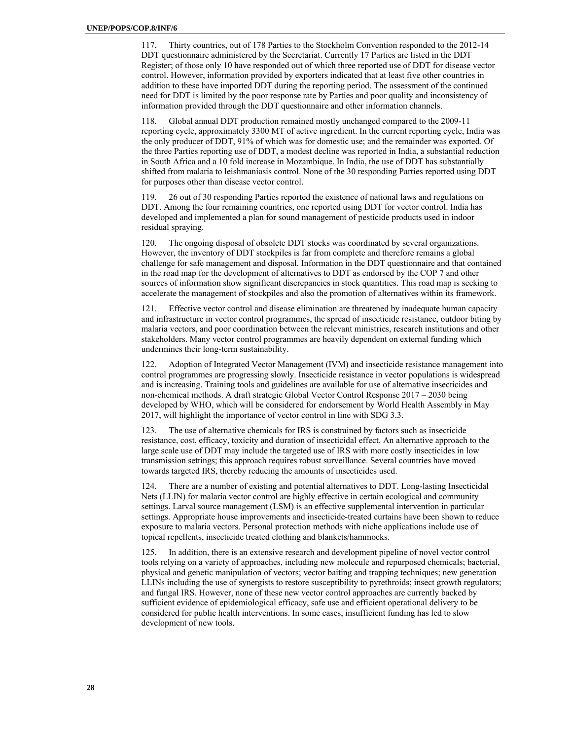117. Thirty countries, out of 178 Parties to the Stockholm Convention responded to the 2012-14 DDT questionnaire administered by the Secretariat. Currently 17 Parties are listed in the DDT Register; of those only 10 have responded out of which three reported use of DDT for disease vector control. However, information provided by exporters indicated that at least five other countries in addition to these have imported DDT during the reporting period. The assessment of the continued need for DDT is limited by the poor response rate by Parties and poor quality and inconsistency of information provided through the DDT questionnaire and other information channels.

118. Global annual DDT production remained mostly unchanged compared to the 2009-11 reporting cycle, approximately 3300 MT of active ingredient. In the current reporting cycle, India was the only producer of DDT, 91% of which was for domestic use; and the remainder was exported. Of the three Parties reporting use of DDT, a modest decline was reported in India, a substantial reduction in South Africa and a 10 fold increase in Mozambique. In India, the use of DDT has substantially shifted from malaria to leishmaniasis control. None of the 30 responding Parties reported using DDT for purposes other than disease vector control.

119. 26 out of 30 responding Parties reported the existence of national laws and regulations on DDT. Among the four remaining countries, one reported using DDT for vector control. India has developed and implemented a plan for sound management of pesticide products used in indoor residual spraying.

120. The ongoing disposal of obsolete DDT stocks was coordinated by several organizations. However, the inventory of DDT stockpiles is far from complete and therefore remains a global challenge for safe management and disposal. Information in the DDT questionnaire and that contained in the road map for the development of alternatives to DDT as endorsed by the COP 7 and other sources of information show significant discrepancies in stock quantities. This road map is seeking to accelerate the management of stockpiles and also the promotion of alternatives within its framework.

121. Effective vector control and disease elimination are threatened by inadequate human capacity and infrastructure in vector control programmes, the spread of insecticide resistance, outdoor biting by malaria vectors, and poor coordination between the relevant ministries, research institutions and other stakeholders. Many vector control programmes are heavily dependent on external funding which undermines their long-term sustainability.

122. Adoption of Integrated Vector Management (IVM) and insecticide resistance management into control programmes are progressing slowly. Insecticide resistance in vector populations is widespread and is increasing. Training tools and guidelines are available for use of alternative insecticides and non-chemical methods. A draft strategic Global Vector Control Response 2017 – 2030 being developed by WHO, which will be considered for endorsement by World Health Assembly in May 2017, will highlight the importance of vector control in line with SDG 3.3.

123. The use of alternative chemicals for IRS is constrained by factors such as insecticide resistance, cost, efficacy, toxicity and duration of insecticidal effect. An alternative approach to the large scale use of DDT may include the targeted use of IRS with more costly insecticides in low transmission settings; this approach requires robust surveillance. Several countries have moved towards targeted IRS, thereby reducing the amounts of insecticides used.

124. There are a number of existing and potential alternatives to DDT. Long-lasting Insecticidal Nets (LLIN) for malaria vector control are highly effective in certain ecological and community settings. Larval source management (LSM) is an effective supplemental intervention in particular settings. Appropriate house improvements and insecticide-treated curtains have been shown to reduce exposure to malaria vectors. Personal protection methods with niche applications include use of topical repellents, insecticide treated clothing and blankets/hammocks.

125. In addition, there is an extensive research and development pipeline of novel vector control tools relying on a variety of approaches, including new molecule and repurposed chemicals; bacterial, physical and genetic manipulation of vectors; vector baiting and trapping techniques; new generation LLINs including the use of synergists to restore susceptibility to pyrethroids; insect growth regulators; and fungal IRS. However, none of these new vector control approaches are currently backed by sufficient evidence of epidemiological efficacy, safe use and efficient operational delivery to be considered for public health interventions. In some cases, insufficient funding has led to slow development of new tools.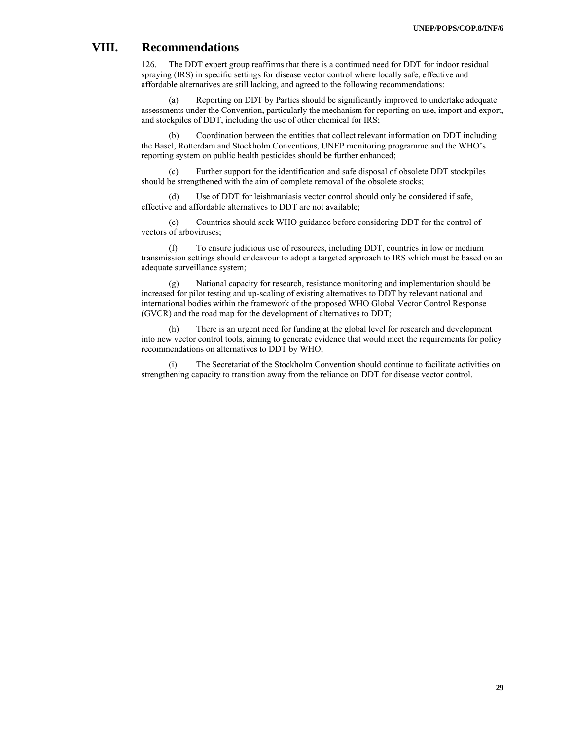## **VIII. Recommendations**

126. The DDT expert group reaffirms that there is a continued need for DDT for indoor residual spraying (IRS) in specific settings for disease vector control where locally safe, effective and affordable alternatives are still lacking, and agreed to the following recommendations:

(a) Reporting on DDT by Parties should be significantly improved to undertake adequate assessments under the Convention, particularly the mechanism for reporting on use, import and export, and stockpiles of DDT, including the use of other chemical for IRS;

(b) Coordination between the entities that collect relevant information on DDT including the Basel, Rotterdam and Stockholm Conventions, UNEP monitoring programme and the WHO's reporting system on public health pesticides should be further enhanced;

(c) Further support for the identification and safe disposal of obsolete DDT stockpiles should be strengthened with the aim of complete removal of the obsolete stocks;

(d) Use of DDT for leishmaniasis vector control should only be considered if safe, effective and affordable alternatives to DDT are not available;

(e) Countries should seek WHO guidance before considering DDT for the control of vectors of arboviruses;

(f) To ensure judicious use of resources, including DDT, countries in low or medium transmission settings should endeavour to adopt a targeted approach to IRS which must be based on an adequate surveillance system;

(g) National capacity for research, resistance monitoring and implementation should be increased for pilot testing and up-scaling of existing alternatives to DDT by relevant national and international bodies within the framework of the proposed WHO Global Vector Control Response (GVCR) and the road map for the development of alternatives to DDT;

(h) There is an urgent need for funding at the global level for research and development into new vector control tools, aiming to generate evidence that would meet the requirements for policy recommendations on alternatives to DDT by WHO;

(i) The Secretariat of the Stockholm Convention should continue to facilitate activities on strengthening capacity to transition away from the reliance on DDT for disease vector control.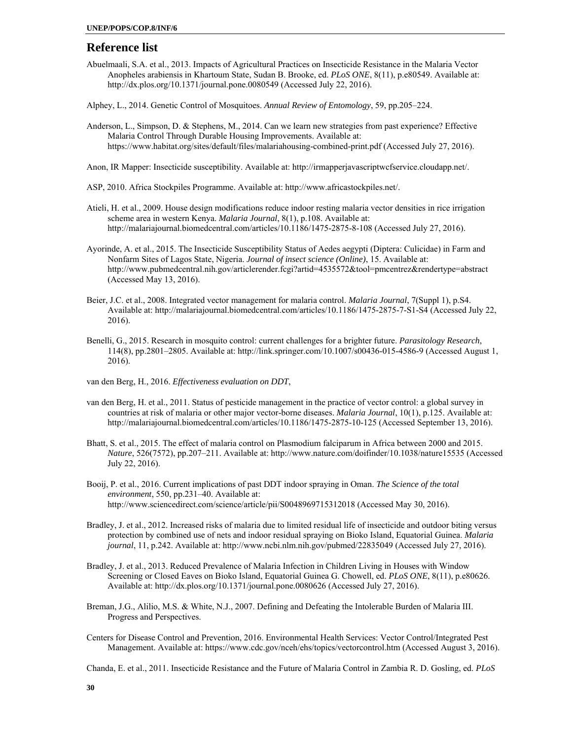### **Reference list**

- Abuelmaali, S.A. et al., 2013. Impacts of Agricultural Practices on Insecticide Resistance in the Malaria Vector Anopheles arabiensis in Khartoum State, Sudan B. Brooke, ed. *PLoS ONE*, 8(11), p.e80549. Available at: http://dx.plos.org/10.1371/journal.pone.0080549 (Accessed July 22, 2016).
- Alphey, L., 2014. Genetic Control of Mosquitoes. *Annual Review of Entomology*, 59, pp.205–224.
- Anderson, L., Simpson, D. & Stephens, M., 2014. Can we learn new strategies from past experience? Effective Malaria Control Through Durable Housing Improvements. Available at: https://www.habitat.org/sites/default/files/malariahousing-combined-print.pdf (Accessed July 27, 2016).
- Anon, IR Mapper: Insecticide susceptibility. Available at: http://irmapperjavascriptwcfservice.cloudapp.net/.

ASP, 2010. Africa Stockpiles Programme. Available at: http://www.africastockpiles.net/.

- Atieli, H. et al., 2009. House design modifications reduce indoor resting malaria vector densities in rice irrigation scheme area in western Kenya. *Malaria Journal*, 8(1), p.108. Available at: http://malariajournal.biomedcentral.com/articles/10.1186/1475-2875-8-108 (Accessed July 27, 2016).
- Ayorinde, A. et al., 2015. The Insecticide Susceptibility Status of Aedes aegypti (Diptera: Culicidae) in Farm and Nonfarm Sites of Lagos State, Nigeria. *Journal of insect science (Online)*, 15. Available at: http://www.pubmedcentral.nih.gov/articlerender.fcgi?artid=4535572&tool=pmcentrez&rendertype=abstract (Accessed May 13, 2016).
- Beier, J.C. et al., 2008. Integrated vector management for malaria control. *Malaria Journal*, 7(Suppl 1), p.S4. Available at: http://malariajournal.biomedcentral.com/articles/10.1186/1475-2875-7-S1-S4 (Accessed July 22, 2016).
- Benelli, G., 2015. Research in mosquito control: current challenges for a brighter future. *Parasitology Research*, 114(8), pp.2801–2805. Available at: http://link.springer.com/10.1007/s00436-015-4586-9 (Accessed August 1, 2016).
- van den Berg, H., 2016. *Effectiveness evaluation on DDT*,
- van den Berg, H. et al., 2011. Status of pesticide management in the practice of vector control: a global survey in countries at risk of malaria or other major vector-borne diseases. *Malaria Journal*, 10(1), p.125. Available at: http://malariajournal.biomedcentral.com/articles/10.1186/1475-2875-10-125 (Accessed September 13, 2016).
- Bhatt, S. et al., 2015. The effect of malaria control on Plasmodium falciparum in Africa between 2000 and 2015. *Nature*, 526(7572), pp.207–211. Available at: http://www.nature.com/doifinder/10.1038/nature15535 (Accessed July 22, 2016).
- Booij, P. et al., 2016. Current implications of past DDT indoor spraying in Oman. *The Science of the total environment*, 550, pp.231–40. Available at: http://www.sciencedirect.com/science/article/pii/S0048969715312018 (Accessed May 30, 2016).
- Bradley, J. et al., 2012. Increased risks of malaria due to limited residual life of insecticide and outdoor biting versus protection by combined use of nets and indoor residual spraying on Bioko Island, Equatorial Guinea. *Malaria journal*, 11, p.242. Available at: http://www.ncbi.nlm.nih.gov/pubmed/22835049 (Accessed July 27, 2016).
- Bradley, J. et al., 2013. Reduced Prevalence of Malaria Infection in Children Living in Houses with Window Screening or Closed Eaves on Bioko Island, Equatorial Guinea G. Chowell, ed. *PLoS ONE*, 8(11), p.e80626. Available at: http://dx.plos.org/10.1371/journal.pone.0080626 (Accessed July 27, 2016).
- Breman, J.G., Alilio, M.S. & White, N.J., 2007. Defining and Defeating the Intolerable Burden of Malaria III. Progress and Perspectives.
- Centers for Disease Control and Prevention, 2016. Environmental Health Services: Vector Control/Integrated Pest Management. Available at: https://www.cdc.gov/nceh/ehs/topics/vectorcontrol.htm (Accessed August 3, 2016).

Chanda, E. et al., 2011. Insecticide Resistance and the Future of Malaria Control in Zambia R. D. Gosling, ed. *PLoS*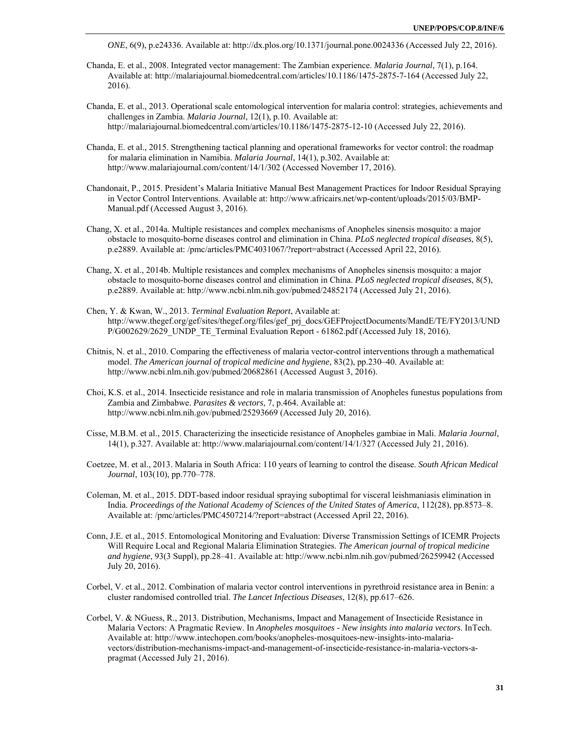*ONE*, 6(9), p.e24336. Available at: http://dx.plos.org/10.1371/journal.pone.0024336 (Accessed July 22, 2016).

- Chanda, E. et al., 2008. Integrated vector management: The Zambian experience. *Malaria Journal*, 7(1), p.164. Available at: http://malariajournal.biomedcentral.com/articles/10.1186/1475-2875-7-164 (Accessed July 22, 2016).
- Chanda, E. et al., 2013. Operational scale entomological intervention for malaria control: strategies, achievements and challenges in Zambia. *Malaria Journal*, 12(1), p.10. Available at: http://malariajournal.biomedcentral.com/articles/10.1186/1475-2875-12-10 (Accessed July 22, 2016).
- Chanda, E. et al., 2015. Strengthening tactical planning and operational frameworks for vector control: the roadmap for malaria elimination in Namibia. *Malaria Journal*, 14(1), p.302. Available at: http://www.malariajournal.com/content/14/1/302 (Accessed November 17, 2016).
- Chandonait, P., 2015. President's Malaria Initiative Manual Best Management Practices for Indoor Residual Spraying in Vector Control Interventions. Available at: http://www.africairs.net/wp-content/uploads/2015/03/BMP-Manual.pdf (Accessed August 3, 2016).
- Chang, X. et al., 2014a. Multiple resistances and complex mechanisms of Anopheles sinensis mosquito: a major obstacle to mosquito-borne diseases control and elimination in China. *PLoS neglected tropical diseases*, 8(5), p.e2889. Available at: /pmc/articles/PMC4031067/?report=abstract (Accessed April 22, 2016).
- Chang, X. et al., 2014b. Multiple resistances and complex mechanisms of Anopheles sinensis mosquito: a major obstacle to mosquito-borne diseases control and elimination in China. *PLoS neglected tropical diseases*, 8(5), p.e2889. Available at: http://www.ncbi.nlm.nih.gov/pubmed/24852174 (Accessed July 21, 2016).
- Chen, Y. & Kwan, W., 2013. *Terminal Evaluation Report*, Available at: http://www.thegef.org/gef/sites/thegef.org/files/gef\_prj\_docs/GEFProjectDocuments/MandE/TE/FY2013/UND P/G002629/2629\_UNDP\_TE\_Terminal Evaluation Report - 61862.pdf (Accessed July 18, 2016).
- Chitnis, N. et al., 2010. Comparing the effectiveness of malaria vector-control interventions through a mathematical model. *The American journal of tropical medicine and hygiene*, 83(2), pp.230–40. Available at: http://www.ncbi.nlm.nih.gov/pubmed/20682861 (Accessed August 3, 2016).
- Choi, K.S. et al., 2014. Insecticide resistance and role in malaria transmission of Anopheles funestus populations from Zambia and Zimbabwe. *Parasites & vectors*, 7, p.464. Available at: http://www.ncbi.nlm.nih.gov/pubmed/25293669 (Accessed July 20, 2016).
- Cisse, M.B.M. et al., 2015. Characterizing the insecticide resistance of Anopheles gambiae in Mali. *Malaria Journal*, 14(1), p.327. Available at: http://www.malariajournal.com/content/14/1/327 (Accessed July 21, 2016).
- Coetzee, M. et al., 2013. Malaria in South Africa: 110 years of learning to control the disease. *South African Medical Journal*, 103(10), pp.770–778.
- Coleman, M. et al., 2015. DDT-based indoor residual spraying suboptimal for visceral leishmaniasis elimination in India. *Proceedings of the National Academy of Sciences of the United States of America*, 112(28), pp.8573–8. Available at: /pmc/articles/PMC4507214/?report=abstract (Accessed April 22, 2016).
- Conn, J.E. et al., 2015. Entomological Monitoring and Evaluation: Diverse Transmission Settings of ICEMR Projects Will Require Local and Regional Malaria Elimination Strategies. *The American journal of tropical medicine and hygiene*, 93(3 Suppl), pp.28–41. Available at: http://www.ncbi.nlm.nih.gov/pubmed/26259942 (Accessed July 20, 2016).
- Corbel, V. et al., 2012. Combination of malaria vector control interventions in pyrethroid resistance area in Benin: a cluster randomised controlled trial. *The Lancet Infectious Diseases*, 12(8), pp.617–626.
- Corbel, V. & NGuess, R., 2013. Distribution, Mechanisms, Impact and Management of Insecticide Resistance in Malaria Vectors: A Pragmatic Review. In *Anopheles mosquitoes - New insights into malaria vectors*. InTech. Available at: http://www.intechopen.com/books/anopheles-mosquitoes-new-insights-into-malariavectors/distribution-mechanisms-impact-and-management-of-insecticide-resistance-in-malaria-vectors-apragmat (Accessed July 21, 2016).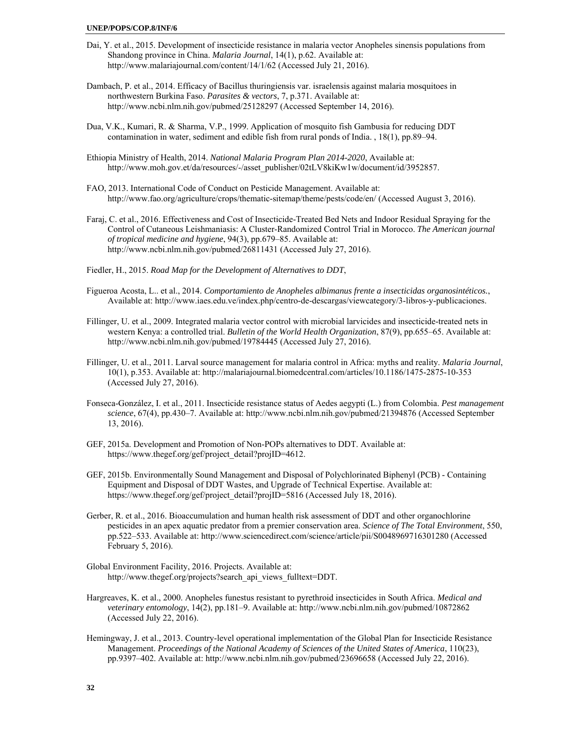#### **UNEP/POPS/COP.8/INF/6**

- Dai, Y. et al., 2015. Development of insecticide resistance in malaria vector Anopheles sinensis populations from Shandong province in China. *Malaria Journal*, 14(1), p.62. Available at: http://www.malariajournal.com/content/14/1/62 (Accessed July 21, 2016).
- Dambach, P. et al., 2014. Efficacy of Bacillus thuringiensis var. israelensis against malaria mosquitoes in northwestern Burkina Faso. *Parasites & vectors*, 7, p.371. Available at: http://www.ncbi.nlm.nih.gov/pubmed/25128297 (Accessed September 14, 2016).
- Dua, V.K., Kumari, R. & Sharma, V.P., 1999. Application of mosquito fish Gambusia for reducing DDT contamination in water, sediment and edible fish from rural ponds of India. , 18(1), pp.89–94.
- Ethiopia Ministry of Health, 2014. *National Malaria Program Plan 2014-2020*, Available at: http://www.moh.gov.et/da/resources/-/asset\_publisher/02tLV8kiKw1w/document/id/3952857.
- FAO, 2013. International Code of Conduct on Pesticide Management. Available at: http://www.fao.org/agriculture/crops/thematic-sitemap/theme/pests/code/en/ (Accessed August 3, 2016).
- Faraj, C. et al., 2016. Effectiveness and Cost of Insecticide-Treated Bed Nets and Indoor Residual Spraying for the Control of Cutaneous Leishmaniasis: A Cluster-Randomized Control Trial in Morocco. *The American journal of tropical medicine and hygiene*, 94(3), pp.679–85. Available at: http://www.ncbi.nlm.nih.gov/pubmed/26811431 (Accessed July 27, 2016).
- Fiedler, H., 2015. *Road Map for the Development of Alternatives to DDT*,
- Figueroa Acosta, L.. et al., 2014. *Comportamiento de Anopheles albimanus frente a insecticidas organosintéticos.*, Available at: http://www.iaes.edu.ve/index.php/centro-de-descargas/viewcategory/3-libros-y-publicaciones.
- Fillinger, U. et al., 2009. Integrated malaria vector control with microbial larvicides and insecticide-treated nets in western Kenya: a controlled trial. *Bulletin of the World Health Organization*, 87(9), pp.655–65. Available at: http://www.ncbi.nlm.nih.gov/pubmed/19784445 (Accessed July 27, 2016).
- Fillinger, U. et al., 2011. Larval source management for malaria control in Africa: myths and reality. *Malaria Journal*, 10(1), p.353. Available at: http://malariajournal.biomedcentral.com/articles/10.1186/1475-2875-10-353 (Accessed July 27, 2016).
- Fonseca-González, I. et al., 2011. Insecticide resistance status of Aedes aegypti (L.) from Colombia. *Pest management science*, 67(4), pp.430–7. Available at: http://www.ncbi.nlm.nih.gov/pubmed/21394876 (Accessed September 13, 2016).
- GEF, 2015a. Development and Promotion of Non-POPs alternatives to DDT. Available at: https://www.thegef.org/gef/project\_detail?projID=4612.
- GEF, 2015b. Environmentally Sound Management and Disposal of Polychlorinated Biphenyl (PCB) Containing Equipment and Disposal of DDT Wastes, and Upgrade of Technical Expertise. Available at: https://www.thegef.org/gef/project\_detail?projID=5816 (Accessed July 18, 2016).
- Gerber, R. et al., 2016. Bioaccumulation and human health risk assessment of DDT and other organochlorine pesticides in an apex aquatic predator from a premier conservation area. *Science of The Total Environment*, 550, pp.522–533. Available at: http://www.sciencedirect.com/science/article/pii/S0048969716301280 (Accessed February 5, 2016).
- Global Environment Facility, 2016. Projects. Available at: http://www.thegef.org/projects?search\_api\_views\_fulltext=DDT.
- Hargreaves, K. et al., 2000. Anopheles funestus resistant to pyrethroid insecticides in South Africa. *Medical and veterinary entomology*, 14(2), pp.181–9. Available at: http://www.ncbi.nlm.nih.gov/pubmed/10872862 (Accessed July 22, 2016).
- Hemingway, J. et al., 2013. Country-level operational implementation of the Global Plan for Insecticide Resistance Management. *Proceedings of the National Academy of Sciences of the United States of America*, 110(23), pp.9397–402. Available at: http://www.ncbi.nlm.nih.gov/pubmed/23696658 (Accessed July 22, 2016).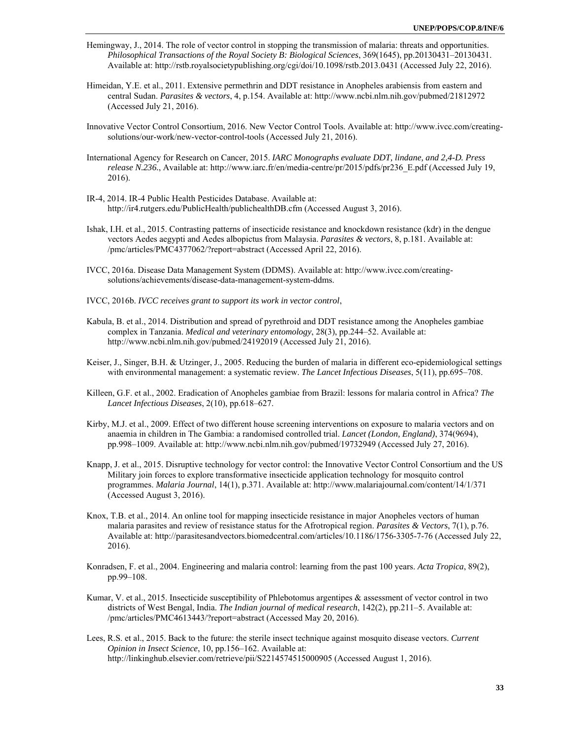- Hemingway, J., 2014. The role of vector control in stopping the transmission of malaria: threats and opportunities. *Philosophical Transactions of the Royal Society B: Biological Sciences*, 369(1645), pp.20130431–20130431. Available at: http://rstb.royalsocietypublishing.org/cgi/doi/10.1098/rstb.2013.0431 (Accessed July 22, 2016).
- Himeidan, Y.E. et al., 2011. Extensive permethrin and DDT resistance in Anopheles arabiensis from eastern and central Sudan. *Parasites & vectors*, 4, p.154. Available at: http://www.ncbi.nlm.nih.gov/pubmed/21812972 (Accessed July 21, 2016).
- Innovative Vector Control Consortium, 2016. New Vector Control Tools. Available at: http://www.ivcc.com/creatingsolutions/our-work/new-vector-control-tools (Accessed July 21, 2016).
- International Agency for Research on Cancer, 2015. *IARC Monographs evaluate DDT, lindane, and 2,4-D. Press release N.236.*, Available at: http://www.iarc.fr/en/media-centre/pr/2015/pdfs/pr236\_E.pdf (Accessed July 19, 2016).
- IR-4, 2014. IR-4 Public Health Pesticides Database. Available at: http://ir4.rutgers.edu/PublicHealth/publichealthDB.cfm (Accessed August 3, 2016).
- Ishak, I.H. et al., 2015. Contrasting patterns of insecticide resistance and knockdown resistance (kdr) in the dengue vectors Aedes aegypti and Aedes albopictus from Malaysia. *Parasites & vectors*, 8, p.181. Available at: /pmc/articles/PMC4377062/?report=abstract (Accessed April 22, 2016).
- IVCC, 2016a. Disease Data Management System (DDMS). Available at: http://www.ivcc.com/creatingsolutions/achievements/disease-data-management-system-ddms.
- IVCC, 2016b. *IVCC receives grant to support its work in vector control*,
- Kabula, B. et al., 2014. Distribution and spread of pyrethroid and DDT resistance among the Anopheles gambiae complex in Tanzania. *Medical and veterinary entomology*, 28(3), pp.244–52. Available at: http://www.ncbi.nlm.nih.gov/pubmed/24192019 (Accessed July 21, 2016).
- Keiser, J., Singer, B.H. & Utzinger, J., 2005. Reducing the burden of malaria in different eco-epidemiological settings with environmental management: a systematic review. *The Lancet Infectious Diseases*, 5(11), pp.695–708.
- Killeen, G.F. et al., 2002. Eradication of Anopheles gambiae from Brazil: lessons for malaria control in Africa? *The Lancet Infectious Diseases*, 2(10), pp.618–627.
- Kirby, M.J. et al., 2009. Effect of two different house screening interventions on exposure to malaria vectors and on anaemia in children in The Gambia: a randomised controlled trial. *Lancet (London, England)*, 374(9694), pp.998–1009. Available at: http://www.ncbi.nlm.nih.gov/pubmed/19732949 (Accessed July 27, 2016).
- Knapp, J. et al., 2015. Disruptive technology for vector control: the Innovative Vector Control Consortium and the US Military join forces to explore transformative insecticide application technology for mosquito control programmes. *Malaria Journal*, 14(1), p.371. Available at: http://www.malariajournal.com/content/14/1/371 (Accessed August 3, 2016).
- Knox, T.B. et al., 2014. An online tool for mapping insecticide resistance in major Anopheles vectors of human malaria parasites and review of resistance status for the Afrotropical region. *Parasites & Vectors*, 7(1), p.76. Available at: http://parasitesandvectors.biomedcentral.com/articles/10.1186/1756-3305-7-76 (Accessed July 22, 2016).
- Konradsen, F. et al., 2004. Engineering and malaria control: learning from the past 100 years. *Acta Tropica*, 89(2), pp.99–108.
- Kumar, V. et al., 2015. Insecticide susceptibility of Phlebotomus argentipes & assessment of vector control in two districts of West Bengal, India. *The Indian journal of medical research*, 142(2), pp.211–5. Available at: /pmc/articles/PMC4613443/?report=abstract (Accessed May 20, 2016).
- Lees, R.S. et al., 2015. Back to the future: the sterile insect technique against mosquito disease vectors. *Current Opinion in Insect Science*, 10, pp.156–162. Available at: http://linkinghub.elsevier.com/retrieve/pii/S2214574515000905 (Accessed August 1, 2016).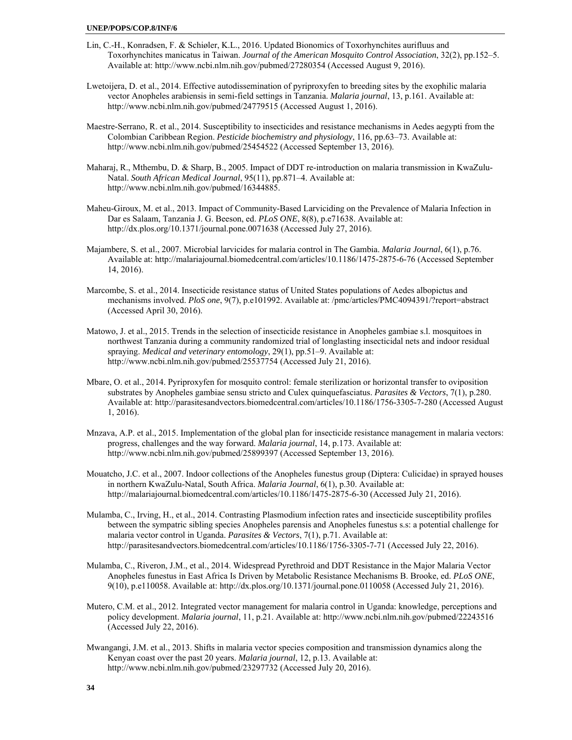- Lin, C.-H., Konradsen, F. & Schiøler, K.L., 2016. Updated Bionomics of Toxorhynchites aurifluus and Toxorhynchites manicatus in Taiwan. *Journal of the American Mosquito Control Association*, 32(2), pp.152–5. Available at: http://www.ncbi.nlm.nih.gov/pubmed/27280354 (Accessed August 9, 2016).
- Lwetoijera, D. et al., 2014. Effective autodissemination of pyriproxyfen to breeding sites by the exophilic malaria vector Anopheles arabiensis in semi-field settings in Tanzania. *Malaria journal*, 13, p.161. Available at: http://www.ncbi.nlm.nih.gov/pubmed/24779515 (Accessed August 1, 2016).
- Maestre-Serrano, R. et al., 2014. Susceptibility to insecticides and resistance mechanisms in Aedes aegypti from the Colombian Caribbean Region. *Pesticide biochemistry and physiology*, 116, pp.63–73. Available at: http://www.ncbi.nlm.nih.gov/pubmed/25454522 (Accessed September 13, 2016).
- Maharaj, R., Mthembu, D. & Sharp, B., 2005. Impact of DDT re-introduction on malaria transmission in KwaZulu-Natal. *South African Medical Journal*, 95(11), pp.871–4. Available at: http://www.ncbi.nlm.nih.gov/pubmed/16344885.
- Maheu-Giroux, M. et al., 2013. Impact of Community-Based Larviciding on the Prevalence of Malaria Infection in Dar es Salaam, Tanzania J. G. Beeson, ed. *PLoS ONE*, 8(8), p.e71638. Available at: http://dx.plos.org/10.1371/journal.pone.0071638 (Accessed July 27, 2016).
- Majambere, S. et al., 2007. Microbial larvicides for malaria control in The Gambia. *Malaria Journal*, 6(1), p.76. Available at: http://malariajournal.biomedcentral.com/articles/10.1186/1475-2875-6-76 (Accessed September 14, 2016).
- Marcombe, S. et al., 2014. Insecticide resistance status of United States populations of Aedes albopictus and mechanisms involved. *PloS one*, 9(7), p.e101992. Available at: /pmc/articles/PMC4094391/?report=abstract (Accessed April 30, 2016).
- Matowo, J. et al., 2015. Trends in the selection of insecticide resistance in Anopheles gambiae s.l. mosquitoes in northwest Tanzania during a community randomized trial of longlasting insecticidal nets and indoor residual spraying. *Medical and veterinary entomology*, 29(1), pp.51–9. Available at: http://www.ncbi.nlm.nih.gov/pubmed/25537754 (Accessed July 21, 2016).
- Mbare, O. et al., 2014. Pyriproxyfen for mosquito control: female sterilization or horizontal transfer to oviposition substrates by Anopheles gambiae sensu stricto and Culex quinquefasciatus. *Parasites & Vectors*, 7(1), p.280. Available at: http://parasitesandvectors.biomedcentral.com/articles/10.1186/1756-3305-7-280 (Accessed August 1, 2016).
- Mnzava, A.P. et al., 2015. Implementation of the global plan for insecticide resistance management in malaria vectors: progress, challenges and the way forward. *Malaria journal*, 14, p.173. Available at: http://www.ncbi.nlm.nih.gov/pubmed/25899397 (Accessed September 13, 2016).
- Mouatcho, J.C. et al., 2007. Indoor collections of the Anopheles funestus group (Diptera: Culicidae) in sprayed houses in northern KwaZulu-Natal, South Africa. *Malaria Journal*, 6(1), p.30. Available at: http://malariajournal.biomedcentral.com/articles/10.1186/1475-2875-6-30 (Accessed July 21, 2016).
- Mulamba, C., Irving, H., et al., 2014. Contrasting Plasmodium infection rates and insecticide susceptibility profiles between the sympatric sibling species Anopheles parensis and Anopheles funestus s.s: a potential challenge for malaria vector control in Uganda. *Parasites & Vectors*, 7(1), p.71. Available at: http://parasitesandvectors.biomedcentral.com/articles/10.1186/1756-3305-7-71 (Accessed July 22, 2016).
- Mulamba, C., Riveron, J.M., et al., 2014. Widespread Pyrethroid and DDT Resistance in the Major Malaria Vector Anopheles funestus in East Africa Is Driven by Metabolic Resistance Mechanisms B. Brooke, ed. *PLoS ONE*, 9(10), p.e110058. Available at: http://dx.plos.org/10.1371/journal.pone.0110058 (Accessed July 21, 2016).
- Mutero, C.M. et al., 2012. Integrated vector management for malaria control in Uganda: knowledge, perceptions and policy development. *Malaria journal*, 11, p.21. Available at: http://www.ncbi.nlm.nih.gov/pubmed/22243516 (Accessed July 22, 2016).
- Mwangangi, J.M. et al., 2013. Shifts in malaria vector species composition and transmission dynamics along the Kenyan coast over the past 20 years. *Malaria journal*, 12, p.13. Available at: http://www.ncbi.nlm.nih.gov/pubmed/23297732 (Accessed July 20, 2016).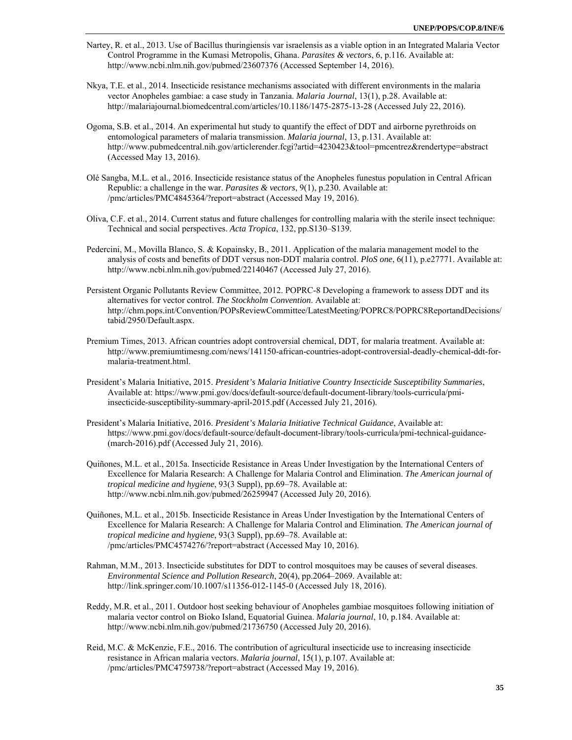- Nartey, R. et al., 2013. Use of Bacillus thuringiensis var israelensis as a viable option in an Integrated Malaria Vector Control Programme in the Kumasi Metropolis, Ghana. *Parasites & vectors*, 6, p.116. Available at: http://www.ncbi.nlm.nih.gov/pubmed/23607376 (Accessed September 14, 2016).
- Nkya, T.E. et al., 2014. Insecticide resistance mechanisms associated with different environments in the malaria vector Anopheles gambiae: a case study in Tanzania. *Malaria Journal*, 13(1), p.28. Available at: http://malariajournal.biomedcentral.com/articles/10.1186/1475-2875-13-28 (Accessed July 22, 2016).
- Ogoma, S.B. et al., 2014. An experimental hut study to quantify the effect of DDT and airborne pyrethroids on entomological parameters of malaria transmission. *Malaria journal*, 13, p.131. Available at: http://www.pubmedcentral.nih.gov/articlerender.fcgi?artid=4230423&tool=pmcentrez&rendertype=abstract (Accessed May 13, 2016).
- Olé Sangba, M.L. et al., 2016. Insecticide resistance status of the Anopheles funestus population in Central African Republic: a challenge in the war. *Parasites & vectors*, 9(1), p.230. Available at: /pmc/articles/PMC4845364/?report=abstract (Accessed May 19, 2016).
- Oliva, C.F. et al., 2014. Current status and future challenges for controlling malaria with the sterile insect technique: Technical and social perspectives. *Acta Tropica*, 132, pp.S130–S139.
- Pedercini, M., Movilla Blanco, S. & Kopainsky, B., 2011. Application of the malaria management model to the analysis of costs and benefits of DDT versus non-DDT malaria control. *PloS one*, 6(11), p.e27771. Available at: http://www.ncbi.nlm.nih.gov/pubmed/22140467 (Accessed July 27, 2016).
- Persistent Organic Pollutants Review Committee, 2012. POPRC-8 Developing a framework to assess DDT and its alternatives for vector control. *The Stockholm Convention*. Available at: http://chm.pops.int/Convention/POPsReviewCommittee/LatestMeeting/POPRC8/POPRC8ReportandDecisions/ tabid/2950/Default.aspx.
- Premium Times, 2013. African countries adopt controversial chemical, DDT, for malaria treatment. Available at: http://www.premiumtimesng.com/news/141150-african-countries-adopt-controversial-deadly-chemical-ddt-formalaria-treatment.html.
- President's Malaria Initiative, 2015. *President's Malaria Initiative Country Insecticide Susceptibility Summaries*, Available at: https://www.pmi.gov/docs/default-source/default-document-library/tools-curricula/pmiinsecticide-susceptibility-summary-april-2015.pdf (Accessed July 21, 2016).
- President's Malaria Initiative, 2016. *President's Malaria Initiative Technical Guidance*, Available at: https://www.pmi.gov/docs/default-source/default-document-library/tools-curricula/pmi-technical-guidance- (march-2016).pdf (Accessed July 21, 2016).
- Quiñones, M.L. et al., 2015a. Insecticide Resistance in Areas Under Investigation by the International Centers of Excellence for Malaria Research: A Challenge for Malaria Control and Elimination. *The American journal of tropical medicine and hygiene*, 93(3 Suppl), pp.69–78. Available at: http://www.ncbi.nlm.nih.gov/pubmed/26259947 (Accessed July 20, 2016).
- Quiñones, M.L. et al., 2015b. Insecticide Resistance in Areas Under Investigation by the International Centers of Excellence for Malaria Research: A Challenge for Malaria Control and Elimination. *The American journal of tropical medicine and hygiene*, 93(3 Suppl), pp.69–78. Available at: /pmc/articles/PMC4574276/?report=abstract (Accessed May 10, 2016).
- Rahman, M.M., 2013. Insecticide substitutes for DDT to control mosquitoes may be causes of several diseases. *Environmental Science and Pollution Research*, 20(4), pp.2064–2069. Available at: http://link.springer.com/10.1007/s11356-012-1145-0 (Accessed July 18, 2016).
- Reddy, M.R. et al., 2011. Outdoor host seeking behaviour of Anopheles gambiae mosquitoes following initiation of malaria vector control on Bioko Island, Equatorial Guinea. *Malaria journal*, 10, p.184. Available at: http://www.ncbi.nlm.nih.gov/pubmed/21736750 (Accessed July 20, 2016).
- Reid, M.C. & McKenzie, F.E., 2016. The contribution of agricultural insecticide use to increasing insecticide resistance in African malaria vectors. *Malaria journal*, 15(1), p.107. Available at: /pmc/articles/PMC4759738/?report=abstract (Accessed May 19, 2016).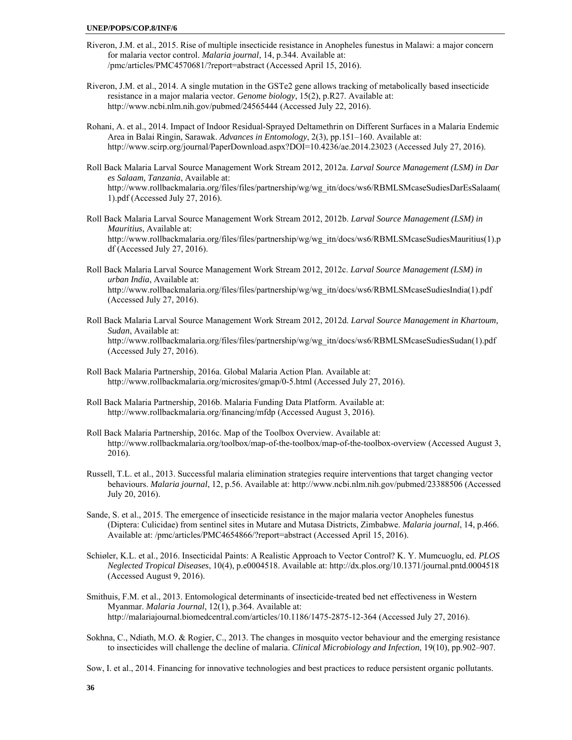#### **UNEP/POPS/COP.8/INF/6**

- Riveron, J.M. et al., 2015. Rise of multiple insecticide resistance in Anopheles funestus in Malawi: a major concern for malaria vector control. *Malaria journal*, 14, p.344. Available at: /pmc/articles/PMC4570681/?report=abstract (Accessed April 15, 2016).
- Riveron, J.M. et al., 2014. A single mutation in the GSTe2 gene allows tracking of metabolically based insecticide resistance in a major malaria vector. *Genome biology*, 15(2), p.R27. Available at: http://www.ncbi.nlm.nih.gov/pubmed/24565444 (Accessed July 22, 2016).
- Rohani, A. et al., 2014. Impact of Indoor Residual-Sprayed Deltamethrin on Different Surfaces in a Malaria Endemic Area in Balai Ringin, Sarawak. *Advances in Entomology*, 2(3), pp.151–160. Available at: http://www.scirp.org/journal/PaperDownload.aspx?DOI=10.4236/ae.2014.23023 (Accessed July 27, 2016).
- Roll Back Malaria Larval Source Management Work Stream 2012, 2012a. *Larval Source Management (LSM) in Dar es Salaam, Tanzania*, Available at: http://www.rollbackmalaria.org/files/files/partnership/wg/wg\_itn/docs/ws6/RBMLSMcaseSudiesDarEsSalaam( 1).pdf (Accessed July 27, 2016).
- Roll Back Malaria Larval Source Management Work Stream 2012, 2012b. *Larval Source Management (LSM) in Mauritius*, Available at: http://www.rollbackmalaria.org/files/files/partnership/wg/wg\_itn/docs/ws6/RBMLSMcaseSudiesMauritius(1).p df (Accessed July 27, 2016).
- Roll Back Malaria Larval Source Management Work Stream 2012, 2012c. *Larval Source Management (LSM) in urban India*, Available at: http://www.rollbackmalaria.org/files/files/partnership/wg/wg\_itn/docs/ws6/RBMLSMcaseSudiesIndia(1).pdf (Accessed July 27, 2016).
- Roll Back Malaria Larval Source Management Work Stream 2012, 2012d. *Larval Source Management in Khartoum, Sudan*, Available at: http://www.rollbackmalaria.org/files/files/partnership/wg/wg\_itn/docs/ws6/RBMLSMcaseSudiesSudan(1).pdf (Accessed July 27, 2016).
- Roll Back Malaria Partnership, 2016a. Global Malaria Action Plan. Available at: http://www.rollbackmalaria.org/microsites/gmap/0-5.html (Accessed July 27, 2016).
- Roll Back Malaria Partnership, 2016b. Malaria Funding Data Platform. Available at: http://www.rollbackmalaria.org/financing/mfdp (Accessed August 3, 2016).
- Roll Back Malaria Partnership, 2016c. Map of the Toolbox Overview. Available at: http://www.rollbackmalaria.org/toolbox/map-of-the-toolbox/map-of-the-toolbox-overview (Accessed August 3, 2016).
- Russell, T.L. et al., 2013. Successful malaria elimination strategies require interventions that target changing vector behaviours. *Malaria journal*, 12, p.56. Available at: http://www.ncbi.nlm.nih.gov/pubmed/23388506 (Accessed July 20, 2016).
- Sande, S. et al., 2015. The emergence of insecticide resistance in the major malaria vector Anopheles funestus (Diptera: Culicidae) from sentinel sites in Mutare and Mutasa Districts, Zimbabwe. *Malaria journal*, 14, p.466. Available at: /pmc/articles/PMC4654866/?report=abstract (Accessed April 15, 2016).
- Schiøler, K.L. et al., 2016. Insecticidal Paints: A Realistic Approach to Vector Control? K. Y. Mumcuoglu, ed. *PLOS Neglected Tropical Diseases*, 10(4), p.e0004518. Available at: http://dx.plos.org/10.1371/journal.pntd.0004518 (Accessed August 9, 2016).
- Smithuis, F.M. et al., 2013. Entomological determinants of insecticide-treated bed net effectiveness in Western Myanmar. *Malaria Journal*, 12(1), p.364. Available at: http://malariajournal.biomedcentral.com/articles/10.1186/1475-2875-12-364 (Accessed July 27, 2016).
- Sokhna, C., Ndiath, M.O. & Rogier, C., 2013. The changes in mosquito vector behaviour and the emerging resistance to insecticides will challenge the decline of malaria. *Clinical Microbiology and Infection*, 19(10), pp.902–907.

Sow, I. et al., 2014. Financing for innovative technologies and best practices to reduce persistent organic pollutants.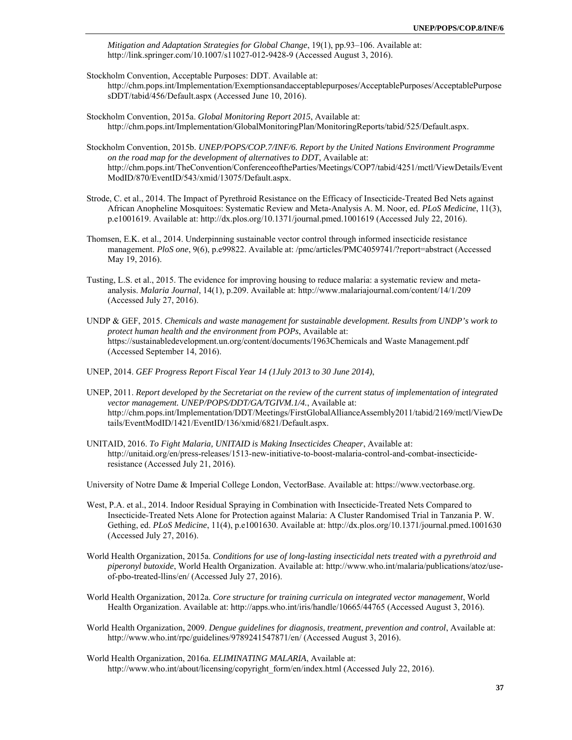*Mitigation and Adaptation Strategies for Global Change*, 19(1), pp.93–106. Available at: http://link.springer.com/10.1007/s11027-012-9428-9 (Accessed August 3, 2016).

- Stockholm Convention, Acceptable Purposes: DDT. Available at: http://chm.pops.int/Implementation/Exemptionsandacceptablepurposes/AcceptablePurposes/AcceptablePurpose sDDT/tabid/456/Default.aspx (Accessed June 10, 2016).
- Stockholm Convention, 2015a. *Global Monitoring Report 2015*, Available at: http://chm.pops.int/Implementation/GlobalMonitoringPlan/MonitoringReports/tabid/525/Default.aspx.
- Stockholm Convention, 2015b. *UNEP/POPS/COP.7/INF/6. Report by the United Nations Environment Programme on the road map for the development of alternatives to DDT*, Available at: http://chm.pops.int/TheConvention/ConferenceoftheParties/Meetings/COP7/tabid/4251/mctl/ViewDetails/Event ModID/870/EventID/543/xmid/13075/Default.aspx.
- Strode, C. et al., 2014. The Impact of Pyrethroid Resistance on the Efficacy of Insecticide-Treated Bed Nets against African Anopheline Mosquitoes: Systematic Review and Meta-Analysis A. M. Noor, ed. *PLoS Medicine*, 11(3), p.e1001619. Available at: http://dx.plos.org/10.1371/journal.pmed.1001619 (Accessed July 22, 2016).
- Thomsen, E.K. et al., 2014. Underpinning sustainable vector control through informed insecticide resistance management. *PloS one*, 9(6), p.e99822. Available at: /pmc/articles/PMC4059741/?report=abstract (Accessed May 19, 2016).
- Tusting, L.S. et al., 2015. The evidence for improving housing to reduce malaria: a systematic review and metaanalysis. *Malaria Journal*, 14(1), p.209. Available at: http://www.malariajournal.com/content/14/1/209 (Accessed July 27, 2016).
- UNDP & GEF, 2015. *Chemicals and waste management for sustainable development. Results from UNDP's work to protect human health and the environment from POPs*, Available at: https://sustainabledevelopment.un.org/content/documents/1963Chemicals and Waste Management.pdf (Accessed September 14, 2016).
- UNEP, 2014. *GEF Progress Report Fiscal Year 14 (1July 2013 to 30 June 2014)*,
- UNEP, 2011. *Report developed by the Secretariat on the review of the current status of implementation of integrated vector management. UNEP/POPS/DDT/GA/TGIVM.1/4.*, Available at: http://chm.pops.int/Implementation/DDT/Meetings/FirstGlobalAllianceAssembly2011/tabid/2169/mctl/ViewDe tails/EventModID/1421/EventID/136/xmid/6821/Default.aspx.
- UNITAID, 2016. *To Fight Malaria, UNITAID is Making Insecticides Cheaper*, Available at: http://unitaid.org/en/press-releases/1513-new-initiative-to-boost-malaria-control-and-combat-insecticideresistance (Accessed July 21, 2016).

University of Notre Dame & Imperial College London, VectorBase. Available at: https://www.vectorbase.org.

- West, P.A. et al., 2014. Indoor Residual Spraying in Combination with Insecticide-Treated Nets Compared to Insecticide-Treated Nets Alone for Protection against Malaria: A Cluster Randomised Trial in Tanzania P. W. Gething, ed. *PLoS Medicine*, 11(4), p.e1001630. Available at: http://dx.plos.org/10.1371/journal.pmed.1001630 (Accessed July 27, 2016).
- World Health Organization, 2015a. *Conditions for use of long-lasting insecticidal nets treated with a pyrethroid and piperonyl butoxide*, World Health Organization. Available at: http://www.who.int/malaria/publications/atoz/useof-pbo-treated-llins/en/ (Accessed July 27, 2016).
- World Health Organization, 2012a. *Core structure for training curricula on integrated vector management*, World Health Organization. Available at: http://apps.who.int/iris/handle/10665/44765 (Accessed August 3, 2016).
- World Health Organization, 2009. *Dengue guidelines for diagnosis, treatment, prevention and control*, Available at: http://www.who.int/rpc/guidelines/9789241547871/en/ (Accessed August 3, 2016).
- World Health Organization, 2016a. *ELIMINATING MALARIA*, Available at: http://www.who.int/about/licensing/copyright\_form/en/index.html (Accessed July 22, 2016).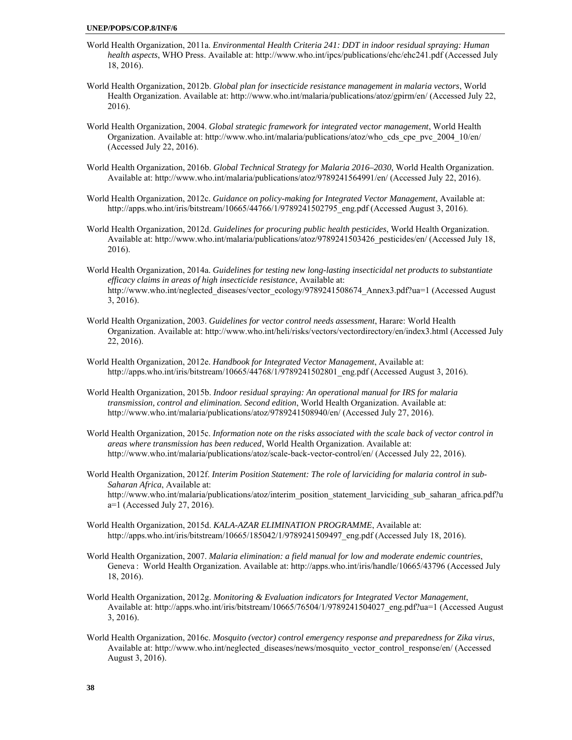- World Health Organization, 2011a. *Environmental Health Criteria 241: DDT in indoor residual spraying: Human health aspects*, WHO Press. Available at: http://www.who.int/ipcs/publications/ehc/ehc241.pdf (Accessed July 18, 2016).
- World Health Organization, 2012b. *Global plan for insecticide resistance management in malaria vectors*, World Health Organization. Available at: http://www.who.int/malaria/publications/atoz/gpirm/en/ (Accessed July 22, 2016).
- World Health Organization, 2004. *Global strategic framework for integrated vector management*, World Health Organization. Available at: http://www.who.int/malaria/publications/atoz/who\_cds\_cpe\_pvc\_2004\_10/en/ (Accessed July 22, 2016).
- World Health Organization, 2016b. *Global Technical Strategy for Malaria 2016–2030*, World Health Organization. Available at: http://www.who.int/malaria/publications/atoz/9789241564991/en/ (Accessed July 22, 2016).
- World Health Organization, 2012c. *Guidance on policy-making for Integrated Vector Management*, Available at: http://apps.who.int/iris/bitstream/10665/44766/1/9789241502795\_eng.pdf (Accessed August 3, 2016).
- World Health Organization, 2012d. *Guidelines for procuring public health pesticides*, World Health Organization. Available at: http://www.who.int/malaria/publications/atoz/9789241503426\_pesticides/en/ (Accessed July 18, 2016).
- World Health Organization, 2014a. *Guidelines for testing new long-lasting insecticidal net products to substantiate efficacy claims in areas of high insecticide resistance*, Available at: http://www.who.int/neglected\_diseases/vector\_ecology/9789241508674\_Annex3.pdf?ua=1 (Accessed August 3, 2016).
- World Health Organization, 2003. *Guidelines for vector control needs assessment*, Harare: World Health Organization. Available at: http://www.who.int/heli/risks/vectors/vectordirectory/en/index3.html (Accessed July 22, 2016).
- World Health Organization, 2012e. *Handbook for Integrated Vector Management*, Available at: http://apps.who.int/iris/bitstream/10665/44768/1/9789241502801\_eng.pdf (Accessed August 3, 2016).
- World Health Organization, 2015b. *Indoor residual spraying: An operational manual for IRS for malaria transmission, control and elimination. Second edition*, World Health Organization. Available at: http://www.who.int/malaria/publications/atoz/9789241508940/en/ (Accessed July 27, 2016).
- World Health Organization, 2015c. *Information note on the risks associated with the scale back of vector control in areas where transmission has been reduced*, World Health Organization. Available at: http://www.who.int/malaria/publications/atoz/scale-back-vector-control/en/ (Accessed July 22, 2016).
- World Health Organization, 2012f. *Interim Position Statement: The role of larviciding for malaria control in sub-Saharan Africa*, Available at: http://www.who.int/malaria/publications/atoz/interim\_position\_statement\_larviciding\_sub\_saharan\_africa.pdf?u a=1 (Accessed July 27, 2016).
- World Health Organization, 2015d. *KALA-AZAR ELIMINATION PROGRAMME*, Available at: http://apps.who.int/iris/bitstream/10665/185042/1/9789241509497\_eng.pdf (Accessed July 18, 2016).
- World Health Organization, 2007. *Malaria elimination: a field manual for low and moderate endemic countries*, Geneva : World Health Organization. Available at: http://apps.who.int/iris/handle/10665/43796 (Accessed July 18, 2016).
- World Health Organization, 2012g. *Monitoring & Evaluation indicators for Integrated Vector Management*, Available at: http://apps.who.int/iris/bitstream/10665/76504/1/9789241504027\_eng.pdf?ua=1 (Accessed August 3, 2016).
- World Health Organization, 2016c. *Mosquito (vector) control emergency response and preparedness for Zika virus*, Available at: http://www.who.int/neglected\_diseases/news/mosquito\_vector\_control\_response/en/ (Accessed August 3, 2016).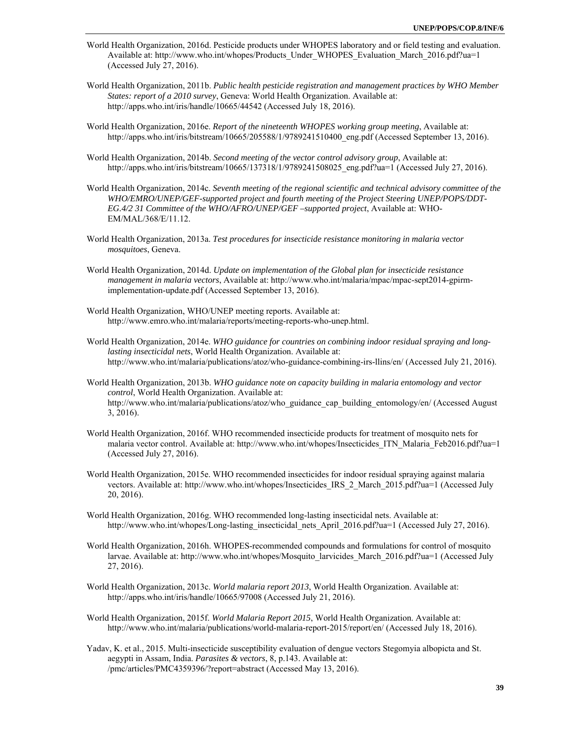- World Health Organization, 2016d. Pesticide products under WHOPES laboratory and or field testing and evaluation. Available at: http://www.who.int/whopes/Products\_Under\_WHOPES\_Evaluation\_March\_2016.pdf?ua=1 (Accessed July 27, 2016).
- World Health Organization, 2011b. *Public health pesticide registration and management practices by WHO Member States: report of a 2010 survey*, Geneva: World Health Organization. Available at: http://apps.who.int/iris/handle/10665/44542 (Accessed July 18, 2016).
- World Health Organization, 2016e. *Report of the nineteenth WHOPES working group meeting*, Available at: http://apps.who.int/iris/bitstream/10665/205588/1/9789241510400\_eng.pdf (Accessed September 13, 2016).
- World Health Organization, 2014b. *Second meeting of the vector control advisory group*, Available at: http://apps.who.int/iris/bitstream/10665/137318/1/9789241508025\_eng.pdf?ua=1 (Accessed July 27, 2016).
- World Health Organization, 2014c. *Seventh meeting of the regional scientific and technical advisory committee of the WHO/EMRO/UNEP/GEF-supported project and fourth meeting of the Project Steering UNEP/POPS/DDT-EG.4/2 31 Committee of the WHO/AFRO/UNEP/GEF –supported project*, Available at: WHO-EM/MAL/368/E/11.12.
- World Health Organization, 2013a. *Test procedures for insecticide resistance monitoring in malaria vector mosquitoes*, Geneva.
- World Health Organization, 2014d. *Update on implementation of the Global plan for insecticide resistance management in malaria vectors*, Available at: http://www.who.int/malaria/mpac/mpac-sept2014-gpirmimplementation-update.pdf (Accessed September 13, 2016).
- World Health Organization, WHO/UNEP meeting reports. Available at: http://www.emro.who.int/malaria/reports/meeting-reports-who-unep.html.
- World Health Organization, 2014e. *WHO guidance for countries on combining indoor residual spraying and longlasting insecticidal nets*, World Health Organization. Available at: http://www.who.int/malaria/publications/atoz/who-guidance-combining-irs-llins/en/ (Accessed July 21, 2016).
- World Health Organization, 2013b. *WHO guidance note on capacity building in malaria entomology and vector control*, World Health Organization. Available at: http://www.who.int/malaria/publications/atoz/who\_guidance\_cap\_building\_entomology/en/ (Accessed August 3, 2016).
- World Health Organization, 2016f. WHO recommended insecticide products for treatment of mosquito nets for malaria vector control. Available at: http://www.who.int/whopes/Insecticides ITN Malaria Feb2016.pdf?ua=1 (Accessed July 27, 2016).
- World Health Organization, 2015e. WHO recommended insecticides for indoor residual spraying against malaria vectors. Available at: http://www.who.int/whopes/Insecticides\_IRS\_2\_March\_2015.pdf?ua=1 (Accessed July 20, 2016).
- World Health Organization, 2016g. WHO recommended long-lasting insecticidal nets. Available at: http://www.who.int/whopes/Long-lasting\_insecticidal\_nets\_April\_2016.pdf?ua=1 (Accessed July 27, 2016).
- World Health Organization, 2016h. WHOPES-recommended compounds and formulations for control of mosquito larvae. Available at: http://www.who.int/whopes/Mosquito\_larvicides\_March\_2016.pdf?ua=1 (Accessed July 27, 2016).
- World Health Organization, 2013c. *World malaria report 2013*, World Health Organization. Available at: http://apps.who.int/iris/handle/10665/97008 (Accessed July 21, 2016).
- World Health Organization, 2015f. *World Malaria Report 2015*, World Health Organization. Available at: http://www.who.int/malaria/publications/world-malaria-report-2015/report/en/ (Accessed July 18, 2016).
- Yadav, K. et al., 2015. Multi-insecticide susceptibility evaluation of dengue vectors Stegomyia albopicta and St. aegypti in Assam, India. *Parasites & vectors*, 8, p.143. Available at: /pmc/articles/PMC4359396/?report=abstract (Accessed May 13, 2016).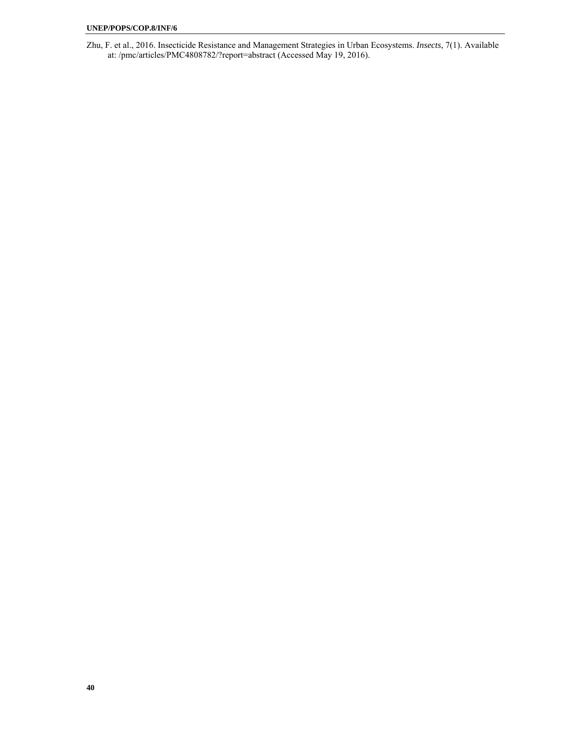Zhu, F. et al., 2016. Insecticide Resistance and Management Strategies in Urban Ecosystems. *Insects*, 7(1). Available at: /pmc/articles/PMC4808782/?report=abstract (Accessed May 19, 2016).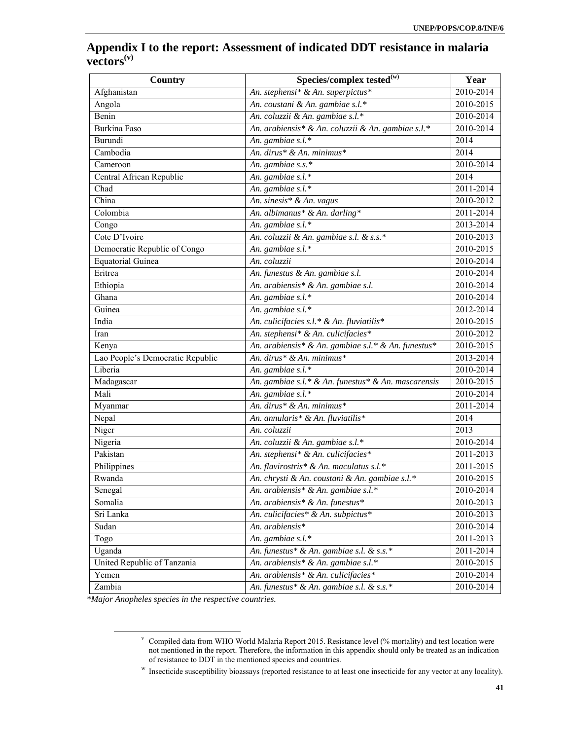# **Appendix I to the report: Assessment of indicated DDT resistance in malaria vectors(v)**

| <b>Country</b>                   | Species/complex tested $\overline{\mathbf{w}}$      | Year      |
|----------------------------------|-----------------------------------------------------|-----------|
| Afghanistan                      | An. stephensi* & An. superpictus*                   | 2010-2014 |
| Angola                           | An. coustani & An. gambiae s.l.*                    | 2010-2015 |
| Benin                            | An. coluzzii & An. gambiae s.l.*                    | 2010-2014 |
| Burkina Faso                     | An. arabiensis* & An. coluzzii & An. gambiae s.l.*  | 2010-2014 |
| <b>Burundi</b>                   | An. gambiae s.l.*                                   | 2014      |
| Cambodia                         | An. dirus* & An. minimus*                           | 2014      |
| Cameroon                         | An. gambiae s.s.*                                   | 2010-2014 |
| Central African Republic         | An. gambiae $s.l.*$                                 | 2014      |
| Chad                             | An. gambiae s.l.*                                   | 2011-2014 |
| China                            | An. sinesis* & An. vagus                            | 2010-2012 |
| Colombia                         | An. albimanus* & An. darling*                       | 2011-2014 |
| Congo                            | An. gambiae s.l.*                                   | 2013-2014 |
| Cote D'Ivoire                    | An. coluzzii & An. gambiae s.l. & s.s.*             | 2010-2013 |
| Democratic Republic of Congo     | An. gambiae s.l.*                                   | 2010-2015 |
| <b>Equatorial Guinea</b>         | An. coluzzii                                        | 2010-2014 |
| Eritrea                          | An. funestus & An. gambiae s.l.                     | 2010-2014 |
| Ethiopia                         | An. arabiensis* & An. gambiae s.l.                  | 2010-2014 |
| Ghana                            | An. gambiae s.l.*                                   | 2010-2014 |
| Guinea                           | An. gambiae s.l.*                                   | 2012-2014 |
| India                            | An. culicifacies s.l.* & An. fluviatilis*           | 2010-2015 |
| Iran                             | An. stephensi* & An. culicifacies*                  | 2010-2012 |
| Kenya                            | An. arabiensis* & An. gambiae s.l.* & An. funestus* | 2010-2015 |
| Lao People's Democratic Republic | An. dirus* & An. minimus*                           | 2013-2014 |
| Liberia                          | An. gambiae $s.l.*$                                 | 2010-2014 |
| Madagascar                       | An. gambiae s.l.* & An. funestus* & An. mascarensis | 2010-2015 |
| Mali                             | An. gambiae s.l.*                                   | 2010-2014 |
| Myanmar                          | An. dirus* & An. minimus*                           | 2011-2014 |
| Nepal                            | An. annularis* & An. fluviatilis*                   | 2014      |
| Niger                            | An. coluzzii                                        | 2013      |
| Nigeria                          | An. coluzzii & An. gambiae s.l.*                    | 2010-2014 |
| Pakistan                         | An. stephensi* & An. culicifacies*                  | 2011-2013 |
| Philippines                      | An. flavirostris* & An. maculatus s.l.*             | 2011-2015 |
| Rwanda                           | An. chrysti & An. coustani & An. gambiae s.l.*      | 2010-2015 |
| Senegal                          | An. arabiensis* & An. gambiae s.l.*                 | 2010-2014 |
| Somalia                          | An. arabiensis* & An. funestus*                     | 2010-2013 |
| Sri Lanka                        | An. culicifacies* & An. subpictus*                  | 2010-2013 |
| Sudan                            | An. arabiensis*                                     | 2010-2014 |
| Togo                             | An. gambiae $s.l.*$                                 | 2011-2013 |
| Uganda                           | An. funestus* & An. gambiae s.l. & s.s.*            | 2011-2014 |
| United Republic of Tanzania      | An. arabiensis* & An. gambiae s.l.*                 | 2010-2015 |
| Yemen                            | An. arabiensis* & An. culicifacies*                 | 2010-2014 |
| Zambia                           | An. funestus* & An. gambiae s.l. & s.s.*            | 2010-2014 |

*\*Major Anopheles species in the respective countries.* 

 $\frac{1}{\sqrt{2}}$  Compiled data from WHO World Malaria Report 2015. Resistance level (% mortality) and test location were not mentioned in the report. Therefore, the information in this appendix should only be treated as an indication of resistance to DDT in the mentioned species and countries.

w Insecticide susceptibility bioassays (reported resistance to at least one insecticide for any vector at any locality).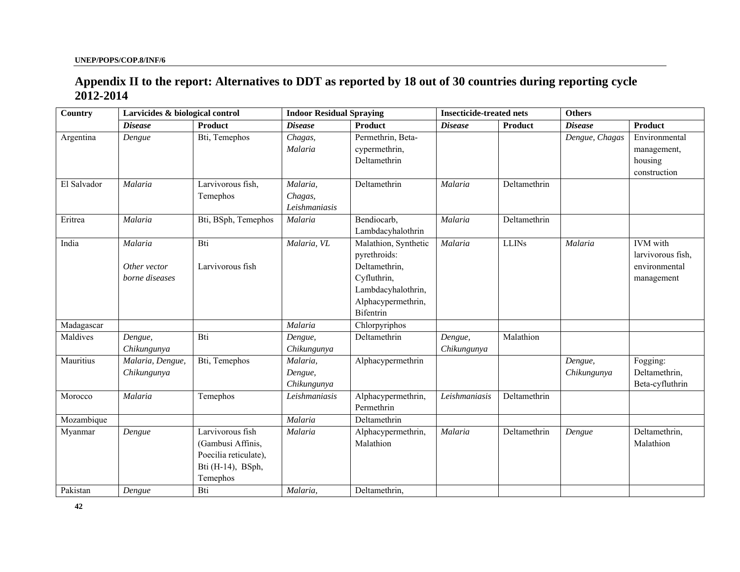# **Appendix II to the report: Alternatives to DDT as reported by 18 out of 30 countries during reporting cycle 2012-2014**

| <b>Country</b> | Larvicides & biological control |                       | <b>Indoor Residual Spraying</b> |                      | <b>Insecticide-treated nets</b> |              | <b>Others</b>  |                   |
|----------------|---------------------------------|-----------------------|---------------------------------|----------------------|---------------------------------|--------------|----------------|-------------------|
|                | <b>Disease</b>                  | Product               | <b>Disease</b>                  | <b>Product</b>       | <b>Disease</b>                  | Product      | <b>Disease</b> | Product           |
| Argentina      | Dengue                          | Bti, Temephos         | Chagas,                         | Permethrin, Beta-    |                                 |              | Dengue, Chagas | Environmental     |
|                |                                 |                       | Malaria                         | cypermethrin,        |                                 |              |                | management,       |
|                |                                 |                       |                                 | Deltamethrin         |                                 |              |                | housing           |
|                |                                 |                       |                                 |                      |                                 |              |                | construction      |
| El Salvador    | Malaria                         | Larvivorous fish,     | Malaria,                        | Deltamethrin         | Malaria                         | Deltamethrin |                |                   |
|                |                                 | Temephos              | Chagas,                         |                      |                                 |              |                |                   |
|                |                                 |                       | Leishmaniasis                   |                      |                                 |              |                |                   |
| Eritrea        | Malaria                         | Bti, BSph, Temephos   | Malaria                         | Bendiocarb,          | Malaria                         | Deltamethrin |                |                   |
|                |                                 |                       |                                 | Lambdacyhalothrin    |                                 |              |                |                   |
| India          | Malaria                         | Bti                   | Malaria, VL                     | Malathion, Synthetic | Malaria                         | $LLINs$      | Malaria        | <b>IVM</b> with   |
|                |                                 |                       |                                 | pyrethroids:         |                                 |              |                | larvivorous fish, |
|                | Other vector                    | Larvivorous fish      |                                 | Deltamethrin,        |                                 |              |                | environmental     |
|                | borne diseases                  |                       |                                 | Cyfluthrin,          |                                 |              |                | management        |
|                |                                 |                       |                                 | Lambdacyhalothrin,   |                                 |              |                |                   |
|                |                                 |                       |                                 | Alphacypermethrin,   |                                 |              |                |                   |
|                |                                 |                       |                                 | <b>Bifentrin</b>     |                                 |              |                |                   |
| Madagascar     |                                 |                       | Malaria                         | Chlorpyriphos        |                                 |              |                |                   |
| Maldives       | Dengue,                         | Bti                   | Dengue,                         | Deltamethrin         | Dengue,                         | Malathion    |                |                   |
|                | Chikungunya                     |                       | Chikungunya                     |                      | Chikungunya                     |              |                |                   |
| Mauritius      | Malaria, Dengue,                | Bti, Temephos         | Malaria,                        | Alphacypermethrin    |                                 |              | Dengue,        | Fogging:          |
|                | Chikungunya                     |                       | Dengue,                         |                      |                                 |              | Chikungunya    | Deltamethrin,     |
|                |                                 |                       | Chikungunya                     |                      |                                 |              |                | Beta-cyfluthrin   |
| Morocco        | Malaria                         | Temephos              | Leishmaniasis                   | Alphacypermethrin,   | Leishmaniasis                   | Deltamethrin |                |                   |
|                |                                 |                       |                                 | Permethrin           |                                 |              |                |                   |
| Mozambique     |                                 |                       | Malaria                         | Deltamethrin         |                                 |              |                |                   |
| Myanmar        | Dengue                          | Larvivorous fish      | Malaria                         | Alphacypermethrin,   | Malaria                         | Deltamethrin | Dengue         | Deltamethrin,     |
|                |                                 | (Gambusi Affinis,     |                                 | Malathion            |                                 |              |                | Malathion         |
|                |                                 | Poecilia reticulate), |                                 |                      |                                 |              |                |                   |
|                |                                 | Bti (H-14), BSph,     |                                 |                      |                                 |              |                |                   |
|                |                                 | Temephos              |                                 |                      |                                 |              |                |                   |
| Pakistan       | Dengue                          | Bti                   | Malaria,                        | Deltamethrin,        |                                 |              |                |                   |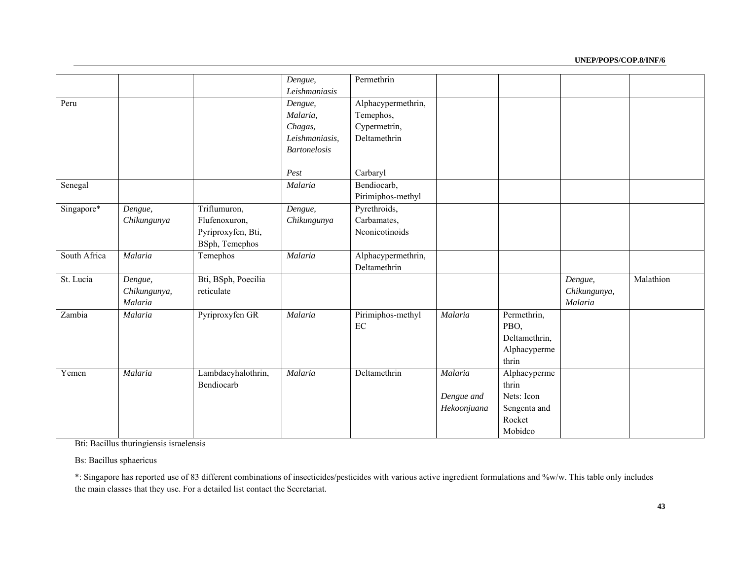#### **UNEP/POPS/COP.8/INF/6**

|              |                                    |                                                                       | Dengue,<br>Leishmaniasis                                                | Permethrin                                                      |                                      |                                                                          |                                    |           |
|--------------|------------------------------------|-----------------------------------------------------------------------|-------------------------------------------------------------------------|-----------------------------------------------------------------|--------------------------------------|--------------------------------------------------------------------------|------------------------------------|-----------|
| Peru         |                                    |                                                                       | Dengue,<br>Malaria,<br>Chagas,<br>Leishmaniasis,<br><b>Bartonelosis</b> | Alphacypermethrin,<br>Temephos,<br>Cypermetrin,<br>Deltamethrin |                                      |                                                                          |                                    |           |
|              |                                    |                                                                       | Pest                                                                    | Carbaryl                                                        |                                      |                                                                          |                                    |           |
| Senegal      |                                    |                                                                       | Malaria                                                                 | Bendiocarb,<br>Pirimiphos-methyl                                |                                      |                                                                          |                                    |           |
| Singapore*   | Dengue,<br>Chikungunya             | Triflumuron,<br>Flufenoxuron,<br>Pyriproxyfen, Bti,<br>BSph, Temephos | Dengue,<br>Chikungunya                                                  | Pyrethroids,<br>Carbamates,<br>Neonicotinoids                   |                                      |                                                                          |                                    |           |
| South Africa | Malaria                            | Temephos                                                              | Malaria                                                                 | Alphacypermethrin,<br>Deltamethrin                              |                                      |                                                                          |                                    |           |
| St. Lucia    | Dengue,<br>Chikungunya,<br>Malaria | Bti, BSph, Poecilia<br>reticulate                                     |                                                                         |                                                                 |                                      |                                                                          | Dengue,<br>Chikungunya,<br>Malaria | Malathion |
| Zambia       | Malaria                            | Pyriproxyfen GR                                                       | Malaria                                                                 | Pirimiphos-methyl<br>EC                                         | Malaria                              | Permethrin,<br>PBO,<br>Deltamethrin,<br>Alphacyperme<br>thrin            |                                    |           |
| Yemen        | Malaria                            | Lambdacyhalothrin,<br>Bendiocarb                                      | Malaria                                                                 | Deltamethrin                                                    | Malaria<br>Dengue and<br>Hekoonjuana | Alphacyperme<br>thrin<br>Nets: Icon<br>Sengenta and<br>Rocket<br>Mobidco |                                    |           |

Bti: Bacillus thuringiensis israelensis

Bs: Bacillus sphaericus

\*: Singapore has reported use of 83 different combinations of insecticides/pesticides with various active ingredient formulations and %w/w. This table only includes the main classes that they use. For a detailed list contact the Secretariat.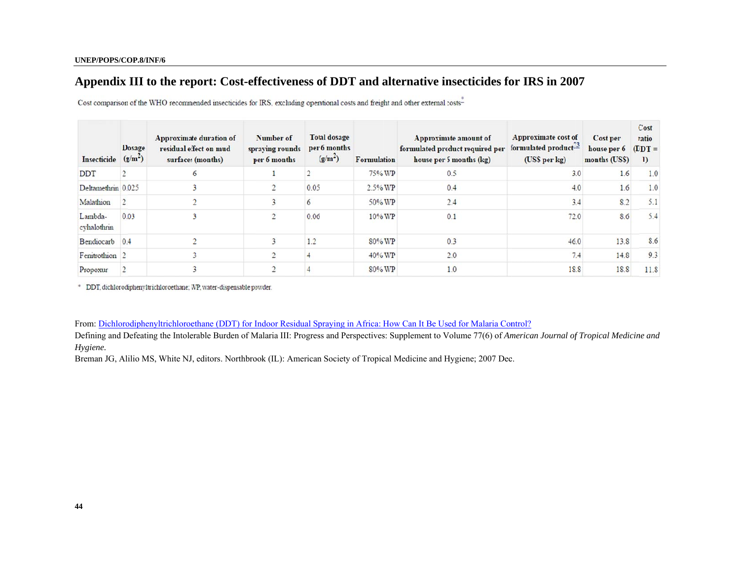# Appendix III to the report: Cost-effectiveness of DDT and alternative insecticides for IRS in 2007

| <b>Insecticide</b>     | <b>Dosage</b><br>(g/m <sup>2</sup> ) | Approximate duration of<br>residual effect on mud<br>surfaces (months) | Number of<br>spraying rounds<br>per 6 months | <b>Total dosage</b><br>per 6 months<br>(g/m <sup>2</sup> ) | <b>Formulation</b> | Approximate amount of<br>formulated product required per<br>house per 6 months (kg) | Approximate cost of<br>formulated product <sup>13</sup><br>(US\$ per kg) | Cost per<br>house per 6<br>months (US\$) | Cost<br>ratio<br>$(DDT =$<br>$_{1}$ |
|------------------------|--------------------------------------|------------------------------------------------------------------------|----------------------------------------------|------------------------------------------------------------|--------------------|-------------------------------------------------------------------------------------|--------------------------------------------------------------------------|------------------------------------------|-------------------------------------|
| <b>DDT</b>             |                                      | 6                                                                      |                                              |                                                            | 75% WP             | 0.5                                                                                 | 3.0                                                                      | 1.6                                      | 1.0                                 |
| Deltamethrin 0.025     |                                      |                                                                        |                                              | 0.05                                                       | $2.5\%$ WP         | 0.4                                                                                 | 4.0                                                                      | 1.6                                      | 1.0                                 |
| Malathion              |                                      |                                                                        |                                              |                                                            | 50% WP             | 2.4                                                                                 | 3.4                                                                      | 8.2                                      | 5.1                                 |
| Lambda-<br>cyhalothrin | 0.03                                 |                                                                        |                                              | 0.06                                                       | $10\%$ WP          | 0.1                                                                                 | 72.0                                                                     | 8.6                                      | 5.4                                 |
| Bendiocarb             | 0.4                                  |                                                                        |                                              | 1.2                                                        | $80\%$ WP          | 0.3                                                                                 | 46.0                                                                     | 13.8                                     | 8.6                                 |
| Fenitrothion 2         |                                      |                                                                        |                                              |                                                            | 40% WP             | 2.0                                                                                 | 7.4                                                                      | 14.8                                     | 9.3                                 |
| Propoxur               |                                      |                                                                        |                                              |                                                            | 80% WP             | 1.0                                                                                 | 18.8                                                                     | 18.8                                     | 11.8                                |

Cost comparison of the WHO recommended insecticides for IRS, excluding operational costs and freight and other external costs-

\* DDT, dichlorodiphenyltrichloroethane; WP, water-dispensable powder.

From: <u>Dichlorodiphenyltrichloroethane (DDT) for Indoor Residual Spraying in Africa: How Can It Be Used for Malaria Control?</u>

Defining and Defeating the Intolerable Burden of Malaria III: Progress and Perspectives: Supplement to Volume 77(6) of *American Journal of Tropical Medicine and Hygiene.*

Breman JG, Alilio MS, White NJ, editors. Northbrook (IL): American Society of Tropical Medicine and Hygiene; 2007 Dec.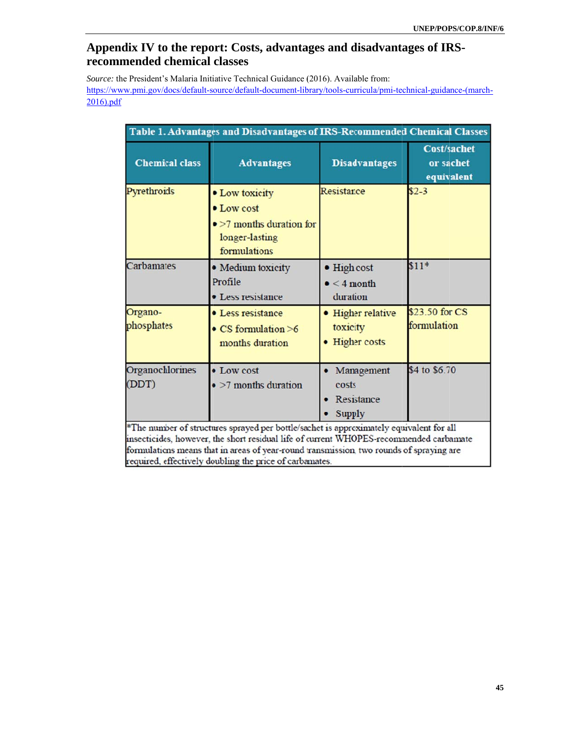# Appendix IV to the report: Costs, advantages and disadvantages of IRS**recom mmended c chemical classes**

Source: the President's Malaria Initiative Technical Guidance (2016). Available from: https://www.pmi.gov/docs/default-source/default-document-library/tools-curricula/pmi-technical-guidance-(march-2016).pdf f

| Table 1. Advantages and Disadvantages of IRS-Recommended Chemical Classes |                                                                                                                                                                                                                                                                                                                                         |                                                      |                                               |  |  |  |  |
|---------------------------------------------------------------------------|-----------------------------------------------------------------------------------------------------------------------------------------------------------------------------------------------------------------------------------------------------------------------------------------------------------------------------------------|------------------------------------------------------|-----------------------------------------------|--|--|--|--|
| <b>Chemical class</b>                                                     | <b>Advantages</b>                                                                                                                                                                                                                                                                                                                       | <b>Disadvantages</b>                                 | <b>Cost/sachet</b><br>or sachet<br>equivalent |  |  |  |  |
| Pyrethroids                                                               | • Low toxicity<br>• Low cost<br>$\bullet$ >7 months duration for<br>longer-lasting<br>formulations                                                                                                                                                                                                                                      | Resistance                                           | $$2-3$                                        |  |  |  |  |
| Carbamates                                                                | • Medium toxicity<br>Profile<br>• Less resistance                                                                                                                                                                                                                                                                                       | · High cost<br>$\bullet$ < 4 month<br>duration       | $$11*$                                        |  |  |  |  |
| Organo-<br>phosphates                                                     | • Less resistance<br>$\bullet$ CS formulation $>6$<br>months duration                                                                                                                                                                                                                                                                   | • Higher relative<br>toxicity<br><b>Higher</b> costs | \$23.50 for CS<br>formulation                 |  |  |  |  |
| Organochlorines<br>(DDT)                                                  | • Low cost<br>$\bullet$ >7 months duration                                                                                                                                                                                                                                                                                              | Management<br>costs<br>Resistance<br><b>Supply</b>   | \$4 to \$6.70                                 |  |  |  |  |
|                                                                           | *The number of structures sprayed per bottle/sachet is approximately equivalent for all<br>insecticides, however, the short residual life of current WHOPES-recommended carbamate<br>formulations means that in areas of year-round transmission, two rounds of spraying are<br>required, effectively doubling the price of carbamates. |                                                      |                                               |  |  |  |  |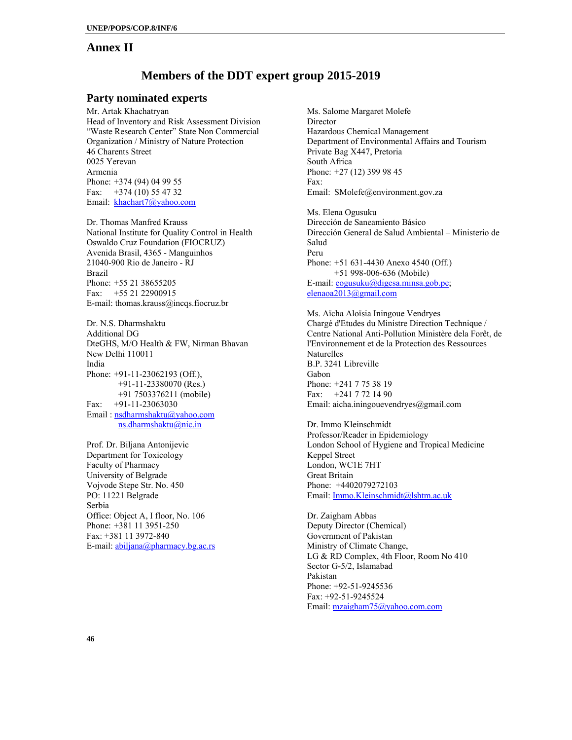### **Annex II**

# **Members of the DDT expert group 2015-2019**

### **Party nominated experts**

Mr. Artak Khachatryan Head of Inventory and Risk Assessment Division "Waste Research Center" State Non Commercial Organization / Ministry of Nature Protection 46 Charents Street 0025 Yerevan Armenia Phone: +374 (94) 04 99 55 Fax:  $+374(10)$  55 47 32 Email: khachart7@yahoo.com

Dr. Thomas Manfred Krauss National Institute for Quality Control in Health Oswaldo Cruz Foundation (FIOCRUZ) Avenida Brasil, 4365 - Manguinhos 21040-900 Rio de Janeiro - RJ Brazil Phone: +55 21 38655205 Fax: +55 21 22900915 E-mail: thomas.krauss@incqs.fiocruz.br

Dr. N.S. Dharmshaktu Additional DG DteGHS, M/O Health & FW, Nirman Bhavan New Delhi 110011 India Phone: +91-11-23062193 (Off.), +91-11-23380070 (Res.) +91 7503376211 (mobile) Fax:  $+91-11-23063030$ Email : nsdharmshaktu@yahoo.com ns.dharmshaktu@nic.in

Prof. Dr. Biljana Antonijevic Department for Toxicology Faculty of Pharmacy University of Belgrade Vojvode Stepe Str. No. 450 PO: 11221 Belgrade Serbia Office: Object A, I floor, No. 106 Phone: +381 11 3951-250 Fax: +381 11 3972-840 E-mail: abiljana@pharmacy.bg.ac.rs Ms. Salome Margaret Molefe Director Hazardous Chemical Management Department of Environmental Affairs and Tourism Private Bag X447, Pretoria South Africa Phone: +27 (12) 399 98 45 Fax: Email: SMolefe@environment.gov.za

Ms. Elena Ogusuku Dirección de Saneamiento Básico Dirección General de Salud Ambiental – Ministerio de Salud Peru Phone: +51 631-4430 Anexo 4540 (Off.) +51 998-006-636 (Mobile) E-mail: eogusuku@digesa.minsa.gob.pe; elenaoa2013@gmail.com

Ms. Aïcha Aloïsia Iningoue Vendryes Chargé d'Etudes du Ministre Direction Technique / Centre National Anti-Pollution Ministère dela Forêt, de l'Environnement et de la Protection des Ressources Naturelles B.P. 3241 Libreville Gabon Phone: +241 7 75 38 19 Fax: +241 7 72 14 90 Email: aicha.iningouevendryes@gmail.com

Dr. Immo Kleinschmidt Professor/Reader in Epidemiology London School of Hygiene and Tropical Medicine Keppel Street London, WC1E 7HT Great Britain Phone: +4402079272103 Email: Immo.Kleinschmidt@lshtm.ac.uk

Dr. Zaigham Abbas Deputy Director (Chemical) Government of Pakistan Ministry of Climate Change, LG & RD Complex, 4th Floor, Room No 410 Sector G-5/2, Islamabad Pakistan Phone: +92-51-9245536 Fax: +92-51-9245524 Email: mzaigham75@yahoo.com.com